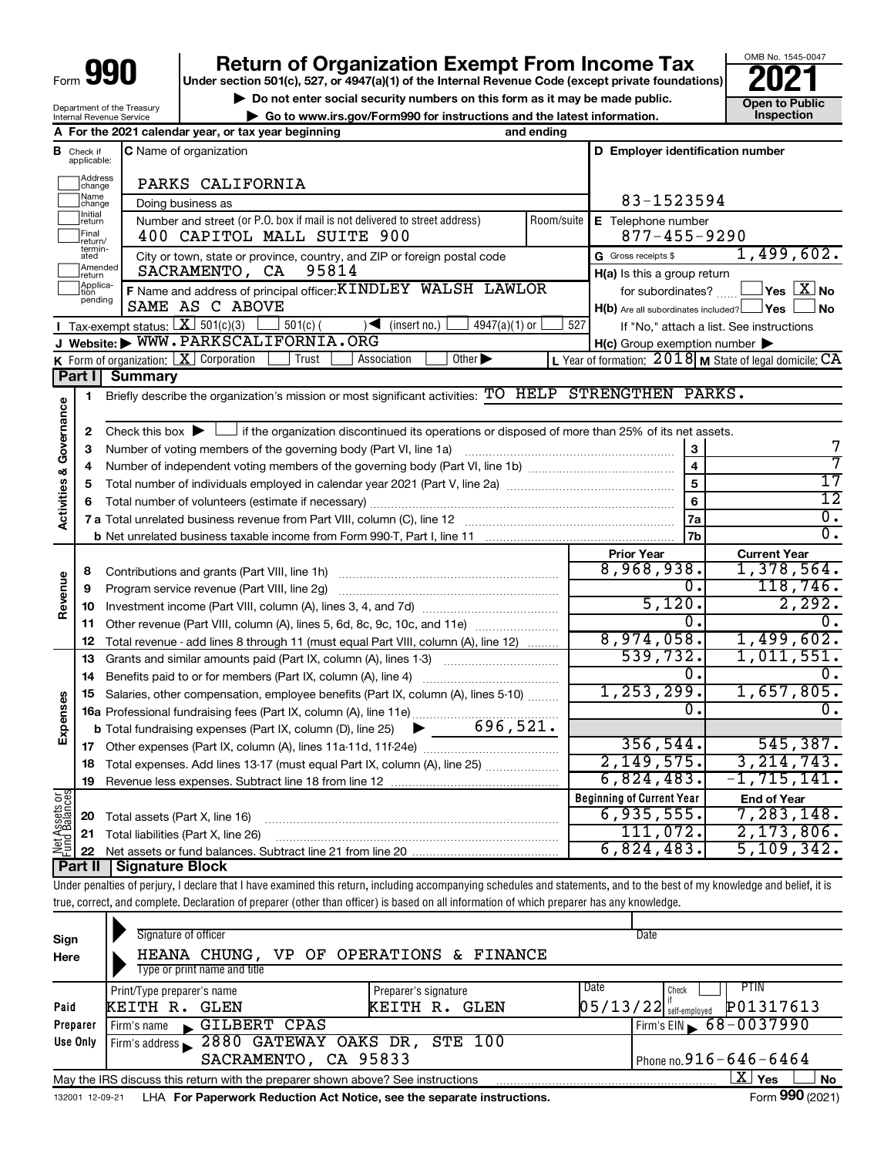# **Return of Organization Exempt From Income Tax**<br>r section 501(c), 527, or 4947(a)(1) of the Internal Revenue Code (except private foundations)<br>**202**

**Under section 501(c), 527, or 4947(a)(1) of the Internal Revenue Code (except private foundations)**

OMB No. 1545-0047 **pen to Public<br>Inspection** 

 $\overline{0}$ .

 $\overline{0}$ .

7 7 17 12 0.  $\overline{0}$  .

| Department of the Treasury      |
|---------------------------------|
| <b>Internal Revenue Service</b> |
|                                 |

| Do not enter social security numbers on this form as it may be made public.<br>Department of the Treasury<br>► Go to www.irs.gov/Form990 for instructions and the latest information.<br>Internal Revenue Service |                                                       |                                                                                                                                                                                                                                          |                                                                                                                 |                                                |  |
|-------------------------------------------------------------------------------------------------------------------------------------------------------------------------------------------------------------------|-------------------------------------------------------|------------------------------------------------------------------------------------------------------------------------------------------------------------------------------------------------------------------------------------------|-----------------------------------------------------------------------------------------------------------------|------------------------------------------------|--|
|                                                                                                                                                                                                                   |                                                       | A For the 2021 calendar year, or tax year beginning<br>and ending                                                                                                                                                                        |                                                                                                                 | Inspection                                     |  |
|                                                                                                                                                                                                                   | <b>B</b> Check if<br>applicable:<br>Address<br>change | <b>C</b> Name of organization<br>PARKS CALIFORNIA                                                                                                                                                                                        | D Employer identification number                                                                                |                                                |  |
|                                                                                                                                                                                                                   | Name<br>change                                        | Doing business as                                                                                                                                                                                                                        | 83-1523594                                                                                                      |                                                |  |
|                                                                                                                                                                                                                   | ]Initial<br>]return<br>Final<br>return/               | Number and street (or P.O. box if mail is not delivered to street address)<br>Room/suite<br>400 CAPITOL MALL SUITE 900                                                                                                                   | E Telephone number<br>$877 - 455 - 9290$                                                                        |                                                |  |
|                                                                                                                                                                                                                   | termin-<br>ated<br>Amended<br>return                  | City or town, state or province, country, and ZIP or foreign postal code<br>SACRAMENTO, CA 95814                                                                                                                                         | G Gross receipts \$<br>H(a) Is this a group return                                                              | 1,499,602.                                     |  |
|                                                                                                                                                                                                                   | Applica-<br>tion<br>pending                           | F Name and address of principal officer: KINDLEY WALSH LAWLOR<br>SAME AS C ABOVE<br><b>I</b> Tax-exempt status: $\boxed{\mathbf{X}}$ 501(c)(3)<br>$\frac{1}{2}$ 501(c) (<br>$4947(a)(1)$ or<br>$\sqrt{\left( \text{insert no.} \right)}$ | for subordinates?<br>H(b) Are all subordinates included? Ves<br>527<br>If "No," attach a list. See instructions | $\Box$ Yes $[\overline{\mathrm{X}}]$ No<br>⊿No |  |
|                                                                                                                                                                                                                   |                                                       | J Website: WWW.PARKSCALIFORNIA.ORG                                                                                                                                                                                                       | $H(c)$ Group exemption number $\blacktriangleright$                                                             |                                                |  |
|                                                                                                                                                                                                                   |                                                       | K Form of organization:   X Corporation<br>Trust<br>Association<br>Other $\blacktriangleright$                                                                                                                                           | L Year of formation: $2018$ M State of legal domicile: CA                                                       |                                                |  |
|                                                                                                                                                                                                                   | Part I                                                | <b>Summary</b>                                                                                                                                                                                                                           |                                                                                                                 |                                                |  |
|                                                                                                                                                                                                                   | 1                                                     | Briefly describe the organization's mission or most significant activities: TO HELP STRENGTHEN PARKS.                                                                                                                                    |                                                                                                                 |                                                |  |
| Activities & Governance                                                                                                                                                                                           | $\mathbf{2}$                                          | Check this box $\blacktriangleright$ $\Box$ if the organization discontinued its operations or disposed of more than 25% of its net assets.                                                                                              |                                                                                                                 |                                                |  |
|                                                                                                                                                                                                                   | з                                                     |                                                                                                                                                                                                                                          | 3                                                                                                               | 7                                              |  |
|                                                                                                                                                                                                                   | 4                                                     |                                                                                                                                                                                                                                          | $\overline{4}$                                                                                                  | 7                                              |  |
|                                                                                                                                                                                                                   | 5                                                     |                                                                                                                                                                                                                                          | $\overline{5}$                                                                                                  | $\overline{17}$                                |  |
|                                                                                                                                                                                                                   | 6                                                     |                                                                                                                                                                                                                                          | 6                                                                                                               | 12                                             |  |
|                                                                                                                                                                                                                   |                                                       |                                                                                                                                                                                                                                          | 7a                                                                                                              | 0.                                             |  |
|                                                                                                                                                                                                                   |                                                       |                                                                                                                                                                                                                                          | 7 <sub>b</sub>                                                                                                  | σ.                                             |  |
|                                                                                                                                                                                                                   |                                                       |                                                                                                                                                                                                                                          | <b>Prior Year</b>                                                                                               | <b>Current Year</b>                            |  |
|                                                                                                                                                                                                                   | 8                                                     |                                                                                                                                                                                                                                          | 8,968,938.                                                                                                      | 1,378,564.                                     |  |
|                                                                                                                                                                                                                   | 9                                                     | Program service revenue (Part VIII, line 2g)                                                                                                                                                                                             | 0.                                                                                                              | 118,746.                                       |  |
| Revenue                                                                                                                                                                                                           | 10                                                    |                                                                                                                                                                                                                                          | 5,120.                                                                                                          | 2,292.                                         |  |
|                                                                                                                                                                                                                   | 11                                                    | Other revenue (Part VIII, column (A), lines 5, 6d, 8c, 9c, 10c, and 11e)                                                                                                                                                                 | 0.                                                                                                              | 0.                                             |  |
|                                                                                                                                                                                                                   | 12                                                    | Total revenue - add lines 8 through 11 (must equal Part VIII, column (A), line 12)                                                                                                                                                       | 8,974,058.                                                                                                      | 1,499,602.                                     |  |
|                                                                                                                                                                                                                   | 13                                                    | Grants and similar amounts paid (Part IX, column (A), lines 1-3)                                                                                                                                                                         | 539,732.                                                                                                        | 1,011,551.                                     |  |
|                                                                                                                                                                                                                   | 14                                                    |                                                                                                                                                                                                                                          | 0.                                                                                                              | 0.                                             |  |
|                                                                                                                                                                                                                   | 15                                                    | Salaries, other compensation, employee benefits (Part IX, column (A), lines 5-10)                                                                                                                                                        | 1, 253, 299.                                                                                                    | 1,657,805.                                     |  |
|                                                                                                                                                                                                                   |                                                       | 16a Professional fundraising fees (Part IX, column (A), line 11e)                                                                                                                                                                        | 0.                                                                                                              | Ο.                                             |  |
| Expenses                                                                                                                                                                                                          |                                                       | <b>b</b> Total fundraising expenses (Part IX, column (D), line 25) $\bullet$ ___ 696, 521.                                                                                                                                               |                                                                                                                 |                                                |  |
|                                                                                                                                                                                                                   | 17                                                    |                                                                                                                                                                                                                                          | 356, 544.                                                                                                       | 545,387.                                       |  |
|                                                                                                                                                                                                                   | 18                                                    | Total expenses. Add lines 13-17 (must equal Part IX, column (A), line 25)                                                                                                                                                                | 2,149,575.                                                                                                      | 3, 214, 743.                                   |  |
|                                                                                                                                                                                                                   | 19                                                    |                                                                                                                                                                                                                                          | 6,824,483.                                                                                                      | $-1, 715, 141.$                                |  |

**Beginning of Current Year End of Year 20** Total assets (Part X, line 16) **21** Total liabilities (Part X, line 26) **22** Net Assets or Net assets or fund balances. Subtract line 21 from line 20 ~~~~~~~~~~~~~~~~~~~~~~~~~~~~ **Part II Signature Block**  $6,935,555.$  7 111,072. 2,173,806. 6,824,483. 5,109,342.

Under penalties of perjury, I declare that I have examined this return, including accompanying schedules and statements, and to the best of my knowledge and belief, it is true, correct, and complete. Declaration of preparer (other than officer) is based on all information of which preparer has any knowledge.

| Sign<br>Here                                                                                                        | Signature of officer<br>Type or print name and title                                                         | HEANA CHUNG, VP OF OPERATIONS & FINANCE |                                       |  | Date                                          |       |                              |  |  |
|---------------------------------------------------------------------------------------------------------------------|--------------------------------------------------------------------------------------------------------------|-----------------------------------------|---------------------------------------|--|-----------------------------------------------|-------|------------------------------|--|--|
| Paid                                                                                                                | Print/Type preparer's name<br>KEITH R.<br>GLEN                                                               |                                         | Preparer's signature<br>KEITH R. GLEN |  | Date<br>$\left[05/13/22\right]$ self-employed | Check | PTIN.<br>P01317613           |  |  |
| Preparer                                                                                                            | Firm's name                                                                                                  | GILBERT CPAS                            |                                       |  |                                               |       | Firm's EIN $\, 68 - 0037990$ |  |  |
| 2880 GATEWAY OAKS DR, STE 100<br>Use Only<br>Firm's address<br>Phone no. $916 - 646 - 6464$<br>SACRAMENTO, CA 95833 |                                                                                                              |                                         |                                       |  |                                               |       |                              |  |  |
|                                                                                                                     | X.<br>Yes<br><b>No</b><br>May the IRS discuss this return with the preparer shown above? See instructions    |                                         |                                       |  |                                               |       |                              |  |  |
|                                                                                                                     | Form 990 (2021)<br>LHA For Paperwork Reduction Act Notice, see the separate instructions.<br>132001 12-09-21 |                                         |                                       |  |                                               |       |                              |  |  |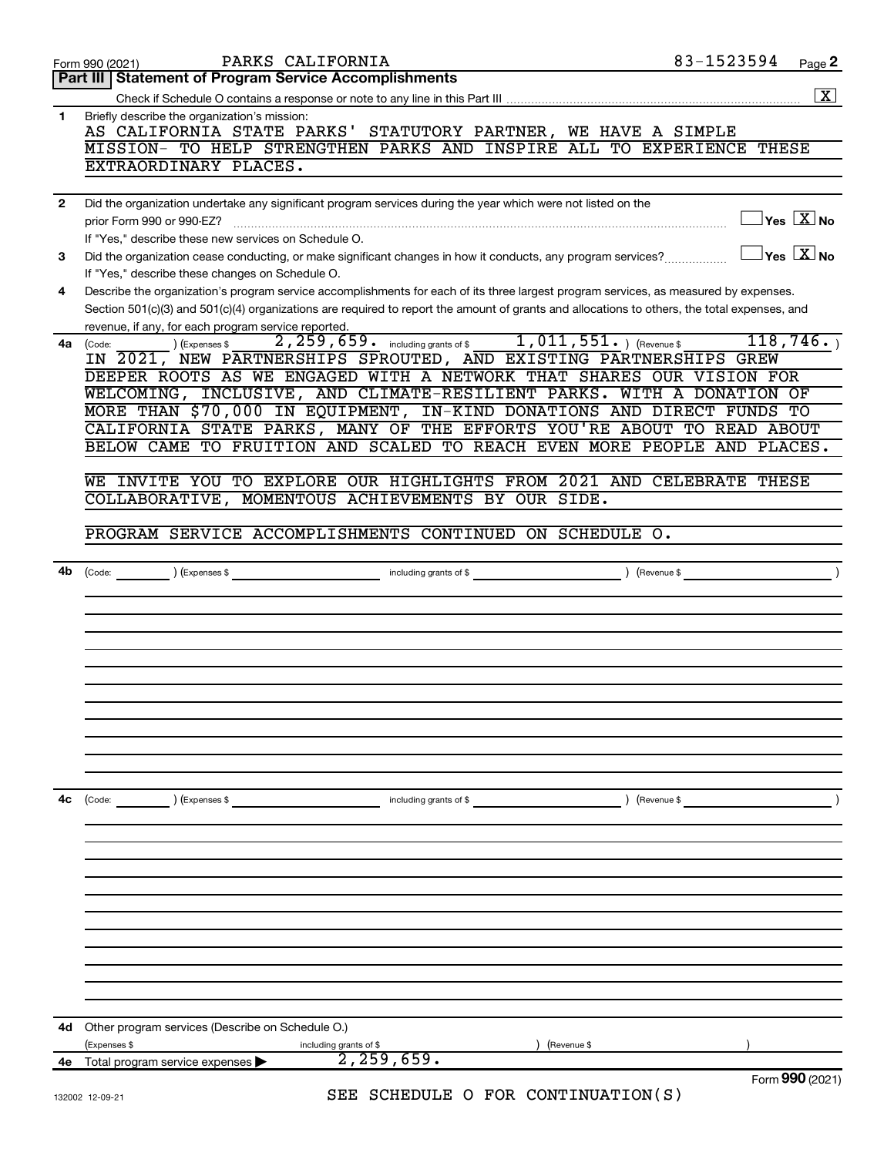| 4d<br>4e     | Other program services (Describe on Schedule O.)<br>(Expenses \$<br>(Revenue \$<br>including grants of \$<br>2, 259, 659.<br>Total program service expenses |
|--------------|-------------------------------------------------------------------------------------------------------------------------------------------------------------|
|              |                                                                                                                                                             |
|              |                                                                                                                                                             |
|              |                                                                                                                                                             |
|              |                                                                                                                                                             |
|              |                                                                                                                                                             |
|              |                                                                                                                                                             |
|              |                                                                                                                                                             |
|              |                                                                                                                                                             |
|              |                                                                                                                                                             |
|              |                                                                                                                                                             |
|              |                                                                                                                                                             |
|              |                                                                                                                                                             |
|              |                                                                                                                                                             |
|              |                                                                                                                                                             |
|              |                                                                                                                                                             |
| 4c           | $\left(\text{Code:}\right)$<br>(Expenses \$<br>(Revenue \$<br>including grants of \$                                                                        |
|              |                                                                                                                                                             |
|              |                                                                                                                                                             |
|              |                                                                                                                                                             |
|              |                                                                                                                                                             |
|              |                                                                                                                                                             |
|              |                                                                                                                                                             |
|              |                                                                                                                                                             |
|              |                                                                                                                                                             |
|              |                                                                                                                                                             |
|              |                                                                                                                                                             |
|              |                                                                                                                                                             |
|              |                                                                                                                                                             |
|              |                                                                                                                                                             |
|              |                                                                                                                                                             |
|              |                                                                                                                                                             |
|              | PROGRAM SERVICE ACCOMPLISHMENTS CONTINUED ON SCHEDULE O.                                                                                                    |
|              |                                                                                                                                                             |
|              | COLLABORATIVE, MOMENTOUS ACHIEVEMENTS BY OUR SIDE.                                                                                                          |
|              | WE INVITE YOU TO EXPLORE OUR HIGHLIGHTS FROM 2021 AND CELEBRATE THESE                                                                                       |
|              |                                                                                                                                                             |
|              | BELOW CAME TO FRUITION AND SCALED TO REACH EVEN MORE PEOPLE AND PLACES.                                                                                     |
|              | CALIFORNIA STATE PARKS, MANY OF THE EFFORTS YOU'RE ABOUT TO READ ABOUT                                                                                      |
|              | MORE THAN \$70,000 IN EQUIPMENT, IN-KIND DONATIONS AND DIRECT FUNDS TO                                                                                      |
|              | WELCOMING, INCLUSIVE, AND CLIMATE-RESILIENT PARKS. WITH A DONATION OF                                                                                       |
|              | DEEPER ROOTS AS WE ENGAGED WITH A NETWORK THAT SHARES OUR VISION FOR                                                                                        |
|              | IN 2021, NEW PARTNERSHIPS SPROUTED, AND EXISTING PARTNERSHIPS GREW                                                                                          |
|              | 2, 259, 659. including grants of \$1, 011, 551. ) (Revenue \$118, 746. )<br>(Expenses \$<br>4a (Code:                                                       |
|              | revenue, if any, for each program service reported.                                                                                                         |
|              | Section 501(c)(3) and 501(c)(4) organizations are required to report the amount of grants and allocations to others, the total expenses, and                |
| 4            | Describe the organization's program service accomplishments for each of its three largest program services, as measured by expenses.                        |
|              | If "Yes," describe these changes on Schedule O.                                                                                                             |
| З            |                                                                                                                                                             |
|              | If "Yes," describe these new services on Schedule O.                                                                                                        |
|              | $\exists$ Yes $\boxed{\text{X}}$ No                                                                                                                         |
| $\mathbf{2}$ | Did the organization undertake any significant program services during the year which were not listed on the                                                |
|              | EXTRAORDINARY PLACES.                                                                                                                                       |
|              | MISSION- TO HELP STRENGTHEN PARKS AND INSPIRE ALL TO EXPERIENCE THESE                                                                                       |
|              | AS CALIFORNIA STATE PARKS' STATUTORY PARTNER, WE HAVE A SIMPLE                                                                                              |
| $\mathbf{1}$ | Briefly describe the organization's mission:                                                                                                                |
|              | $\boxed{\mathbf{X}}$                                                                                                                                        |
|              | Part III   Statement of Program Service Accomplishments                                                                                                     |
|              | 83-1523594<br>PARKS CALIFORNIA<br>Form 990 (2021)<br>Page 2                                                                                                 |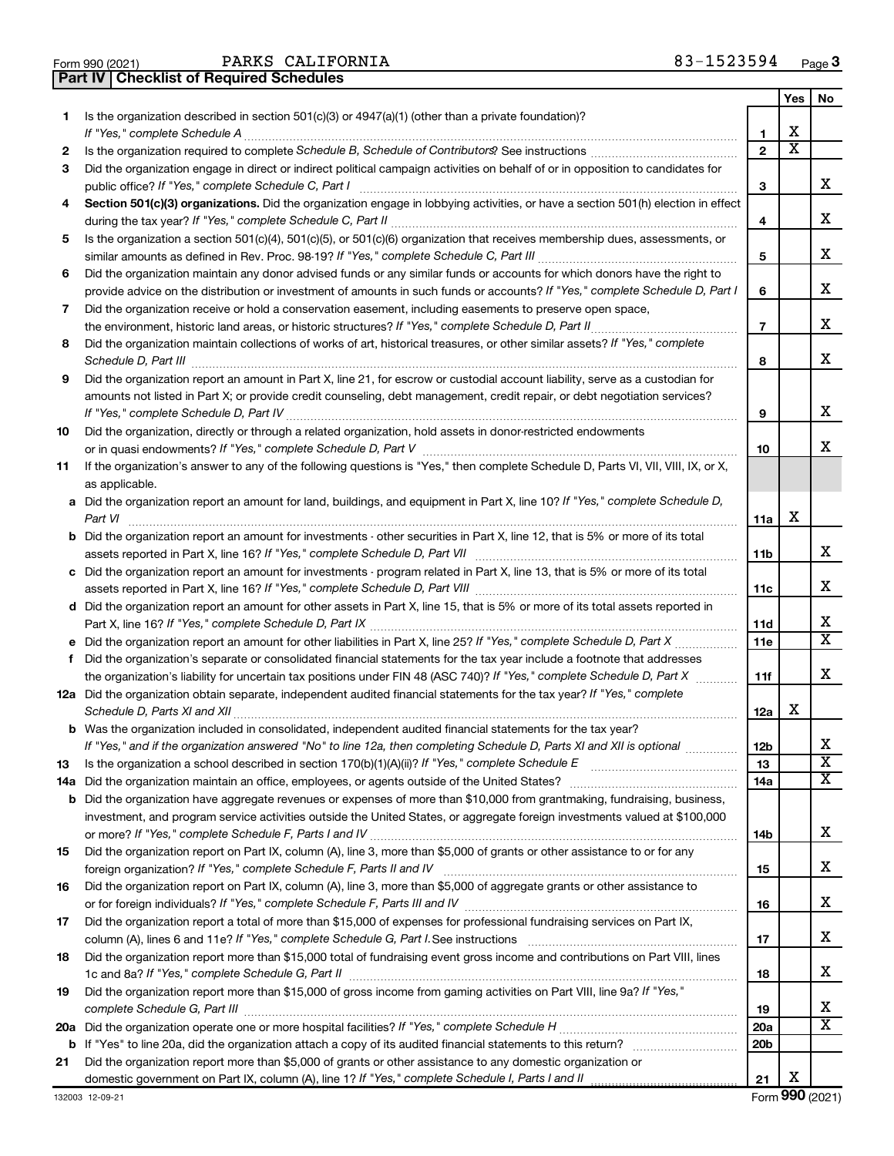|  | Form 990 (2021) |
|--|-----------------|

PARKS CALIFORNIA and the settlement of the settlement of  $83-1523594$ 

**Part IV Checklist of Required Schedules**

|    |                                                                                                                                                                                                                                             |                 | Yes | No                    |
|----|---------------------------------------------------------------------------------------------------------------------------------------------------------------------------------------------------------------------------------------------|-----------------|-----|-----------------------|
| 1. | Is the organization described in section $501(c)(3)$ or $4947(a)(1)$ (other than a private foundation)?                                                                                                                                     |                 |     |                       |
|    | If "Yes," complete Schedule A                                                                                                                                                                                                               | 1               | x   |                       |
| 2  |                                                                                                                                                                                                                                             | $\mathbf{2}$    | х   |                       |
| З  | Did the organization engage in direct or indirect political campaign activities on behalf of or in opposition to candidates for                                                                                                             |                 |     |                       |
|    | public office? If "Yes," complete Schedule C, Part I                                                                                                                                                                                        | З               |     | х                     |
| 4  | Section 501(c)(3) organizations. Did the organization engage in lobbying activities, or have a section 501(h) election in effect                                                                                                            |                 |     |                       |
|    |                                                                                                                                                                                                                                             | 4               |     | х                     |
| 5  | Is the organization a section 501(c)(4), 501(c)(5), or 501(c)(6) organization that receives membership dues, assessments, or                                                                                                                |                 |     |                       |
|    |                                                                                                                                                                                                                                             | 5               |     | х                     |
| 6  | Did the organization maintain any donor advised funds or any similar funds or accounts for which donors have the right to                                                                                                                   |                 |     |                       |
|    | provide advice on the distribution or investment of amounts in such funds or accounts? If "Yes," complete Schedule D, Part I                                                                                                                | 6               |     | х                     |
| 7  | Did the organization receive or hold a conservation easement, including easements to preserve open space,                                                                                                                                   |                 |     |                       |
|    |                                                                                                                                                                                                                                             | $\overline{7}$  |     | х                     |
| 8  | Did the organization maintain collections of works of art, historical treasures, or other similar assets? If "Yes," complete                                                                                                                |                 |     |                       |
|    |                                                                                                                                                                                                                                             | 8               |     | x                     |
| 9  | Did the organization report an amount in Part X, line 21, for escrow or custodial account liability, serve as a custodian for                                                                                                               |                 |     |                       |
|    | amounts not listed in Part X; or provide credit counseling, debt management, credit repair, or debt negotiation services?                                                                                                                   |                 |     |                       |
|    |                                                                                                                                                                                                                                             | 9               |     | х                     |
| 10 | Did the organization, directly or through a related organization, hold assets in donor-restricted endowments                                                                                                                                |                 |     |                       |
|    |                                                                                                                                                                                                                                             | 10              |     | x                     |
| 11 | If the organization's answer to any of the following questions is "Yes," then complete Schedule D, Parts VI, VII, VIII, IX, or X,                                                                                                           |                 |     |                       |
|    | as applicable.                                                                                                                                                                                                                              |                 |     |                       |
|    | a Did the organization report an amount for land, buildings, and equipment in Part X, line 10? If "Yes," complete Schedule D,                                                                                                               |                 |     |                       |
|    |                                                                                                                                                                                                                                             | 11a             | х   |                       |
|    | <b>b</b> Did the organization report an amount for investments - other securities in Part X, line 12, that is 5% or more of its total                                                                                                       |                 |     |                       |
|    |                                                                                                                                                                                                                                             | 11b             |     | х                     |
|    | c Did the organization report an amount for investments - program related in Part X, line 13, that is 5% or more of its total                                                                                                               |                 |     |                       |
|    |                                                                                                                                                                                                                                             | 11c             |     | х                     |
|    | d Did the organization report an amount for other assets in Part X, line 15, that is 5% or more of its total assets reported in                                                                                                             |                 |     |                       |
|    |                                                                                                                                                                                                                                             | 11d             |     | х<br>X                |
|    |                                                                                                                                                                                                                                             | 11e             |     |                       |
| f  | Did the organization's separate or consolidated financial statements for the tax year include a footnote that addresses                                                                                                                     |                 |     | x                     |
|    | the organization's liability for uncertain tax positions under FIN 48 (ASC 740)? If "Yes," complete Schedule D, Part X                                                                                                                      | 11f             |     |                       |
|    | 12a Did the organization obtain separate, independent audited financial statements for the tax year? If "Yes," complete                                                                                                                     |                 | х   |                       |
|    |                                                                                                                                                                                                                                             | 12a             |     |                       |
|    | <b>b</b> Was the organization included in consolidated, independent audited financial statements for the tax year?<br>If "Yes," and if the organization answered "No" to line 12a, then completing Schedule D, Parts XI and XII is optional | 12 <sub>b</sub> |     | х                     |
|    |                                                                                                                                                                                                                                             | 13              |     | $\overline{\text{x}}$ |
| 13 |                                                                                                                                                                                                                                             | 14a             |     | x                     |
|    | <b>b</b> Did the organization have aggregate revenues or expenses of more than \$10,000 from grantmaking, fundraising, business,                                                                                                            |                 |     |                       |
|    | investment, and program service activities outside the United States, or aggregate foreign investments valued at \$100,000                                                                                                                  |                 |     |                       |
|    |                                                                                                                                                                                                                                             | 14b             |     | х                     |
| 15 | Did the organization report on Part IX, column (A), line 3, more than \$5,000 of grants or other assistance to or for any                                                                                                                   |                 |     |                       |
|    |                                                                                                                                                                                                                                             | 15              |     | х                     |
| 16 | Did the organization report on Part IX, column (A), line 3, more than \$5,000 of aggregate grants or other assistance to                                                                                                                    |                 |     |                       |
|    |                                                                                                                                                                                                                                             | 16              |     | х                     |
| 17 | Did the organization report a total of more than \$15,000 of expenses for professional fundraising services on Part IX,                                                                                                                     |                 |     |                       |
|    |                                                                                                                                                                                                                                             | 17              |     | х                     |
| 18 | Did the organization report more than \$15,000 total of fundraising event gross income and contributions on Part VIII, lines                                                                                                                |                 |     |                       |
|    |                                                                                                                                                                                                                                             | 18              |     | х                     |
| 19 | Did the organization report more than \$15,000 of gross income from gaming activities on Part VIII, line 9a? If "Yes,"                                                                                                                      |                 |     |                       |
|    |                                                                                                                                                                                                                                             | 19              |     | х                     |
|    |                                                                                                                                                                                                                                             | 20a             |     | X                     |
|    |                                                                                                                                                                                                                                             | 20 <sub>b</sub> |     |                       |
| 21 | Did the organization report more than \$5,000 of grants or other assistance to any domestic organization or                                                                                                                                 |                 |     |                       |
|    |                                                                                                                                                                                                                                             | 21              | х   |                       |

Form (2021) **990**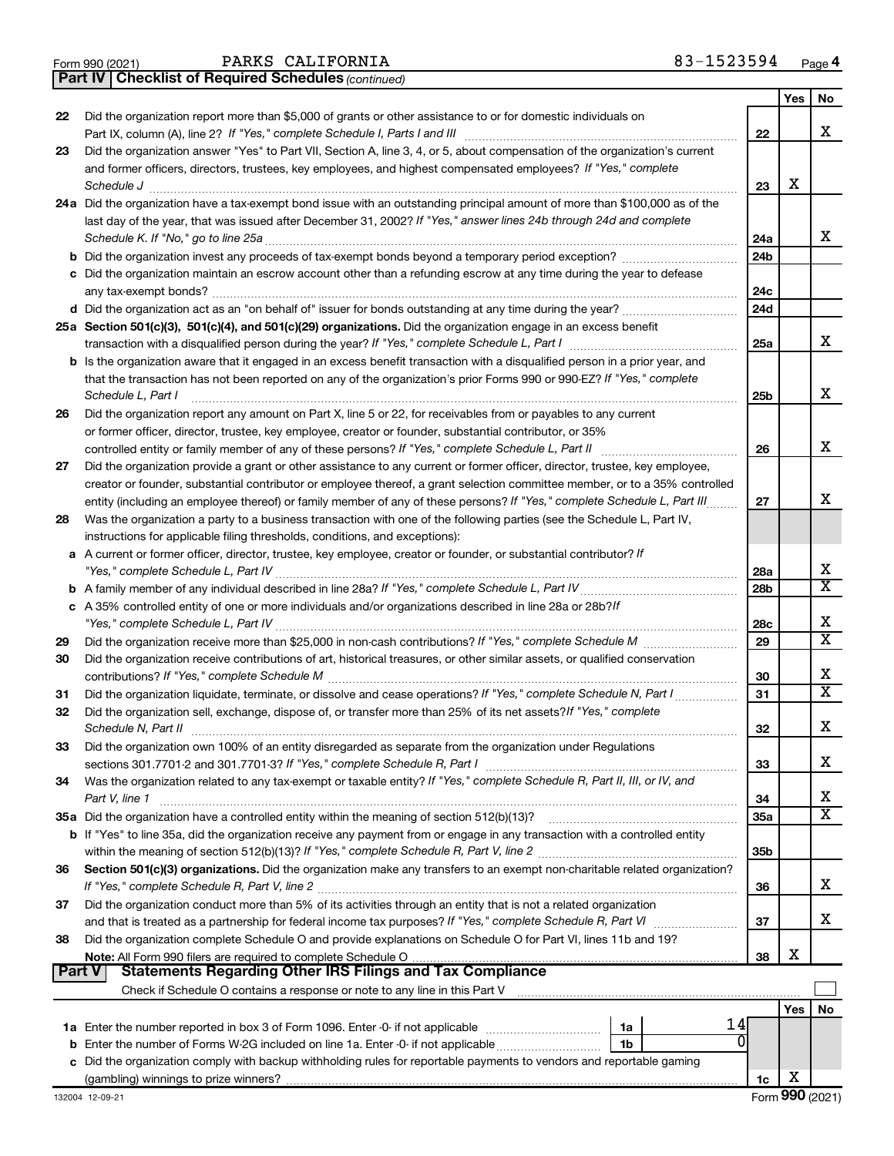|  | Form 990 (2021) |
|--|-----------------|
|  |                 |

*(continued)* **Part IV Checklist of Required Schedules**

|               |                                                                                                                              |                 | Yes | No                      |
|---------------|------------------------------------------------------------------------------------------------------------------------------|-----------------|-----|-------------------------|
| 22            | Did the organization report more than \$5,000 of grants or other assistance to or for domestic individuals on                |                 |     |                         |
|               | Part IX, column (A), line 2? If "Yes," complete Schedule I, Parts I and III                                                  | 22              |     | x                       |
| 23            | Did the organization answer "Yes" to Part VII, Section A, line 3, 4, or 5, about compensation of the organization's current  |                 |     |                         |
|               | and former officers, directors, trustees, key employees, and highest compensated employees? If "Yes," complete<br>Schedule J | 23              | X   |                         |
|               | 24a Did the organization have a tax-exempt bond issue with an outstanding principal amount of more than \$100,000 as of the  |                 |     |                         |
|               | last day of the year, that was issued after December 31, 2002? If "Yes," answer lines 24b through 24d and complete           |                 |     |                         |
|               | Schedule K. If "No," go to line 25a                                                                                          | 24a             |     | x                       |
|               |                                                                                                                              | 24 <sub>b</sub> |     |                         |
|               | c Did the organization maintain an escrow account other than a refunding escrow at any time during the year to defease       |                 |     |                         |
|               | any tax-exempt bonds?                                                                                                        | 24c             |     |                         |
|               |                                                                                                                              | 24d             |     |                         |
|               | 25a Section 501(c)(3), 501(c)(4), and 501(c)(29) organizations. Did the organization engage in an excess benefit             |                 |     |                         |
|               |                                                                                                                              | 25a             |     | х                       |
|               | b Is the organization aware that it engaged in an excess benefit transaction with a disqualified person in a prior year, and |                 |     |                         |
|               | that the transaction has not been reported on any of the organization's prior Forms 990 or 990-EZ? If "Yes," complete        |                 |     |                         |
|               | Schedule L, Part I                                                                                                           | 25b             |     | x                       |
| 26            | Did the organization report any amount on Part X, line 5 or 22, for receivables from or payables to any current              |                 |     |                         |
|               | or former officer, director, trustee, key employee, creator or founder, substantial contributor, or 35%                      |                 |     |                         |
|               | controlled entity or family member of any of these persons? If "Yes," complete Schedule L, Part II                           | 26              |     | x                       |
| 27            | Did the organization provide a grant or other assistance to any current or former officer, director, trustee, key employee,  |                 |     |                         |
|               | creator or founder, substantial contributor or employee thereof, a grant selection committee member, or to a 35% controlled  |                 |     |                         |
|               | entity (including an employee thereof) or family member of any of these persons? If "Yes," complete Schedule L, Part III     | 27              |     | х                       |
| 28            | Was the organization a party to a business transaction with one of the following parties (see the Schedule L, Part IV,       |                 |     |                         |
|               | instructions for applicable filing thresholds, conditions, and exceptions):                                                  |                 |     |                         |
|               | a A current or former officer, director, trustee, key employee, creator or founder, or substantial contributor? If           |                 |     |                         |
|               | "Yes," complete Schedule L, Part IV                                                                                          | 28a             |     | x                       |
|               |                                                                                                                              | 28 <sub>b</sub> |     | $\overline{\mathbf{X}}$ |
|               | c A 35% controlled entity of one or more individuals and/or organizations described in line 28a or 28b?/f                    |                 |     |                         |
|               |                                                                                                                              | 28c             |     | X                       |
| 29            | Did the organization receive more than \$25,000 in non-cash contributions? If "Yes," complete Schedule M                     | 29              |     | $\overline{\mathtt{x}}$ |
| 30            | Did the organization receive contributions of art, historical treasures, or other similar assets, or qualified conservation  |                 |     |                         |
|               |                                                                                                                              | 30              |     | X                       |
| 31            | Did the organization liquidate, terminate, or dissolve and cease operations? If "Yes," complete Schedule N, Part I           | 31              |     | $\overline{\mathtt{x}}$ |
| 32            | Did the organization sell, exchange, dispose of, or transfer more than 25% of its net assets? If "Yes," complete             |                 |     |                         |
|               | Schedule N, Part II                                                                                                          | 32              |     | X                       |
| 33            | Did the organization own 100% of an entity disregarded as separate from the organization under Regulations                   |                 |     |                         |
|               |                                                                                                                              | 33              |     | X                       |
| 34            | Was the organization related to any tax-exempt or taxable entity? If "Yes," complete Schedule R, Part II, III, or IV, and    |                 |     |                         |
|               | Part V, line 1                                                                                                               | 34              |     | x                       |
|               | 35a Did the organization have a controlled entity within the meaning of section 512(b)(13)?                                  | 35a             |     | $\overline{\mathtt{x}}$ |
|               | b If "Yes" to line 35a, did the organization receive any payment from or engage in any transaction with a controlled entity  |                 |     |                         |
|               |                                                                                                                              | 35b             |     |                         |
| 36            | Section 501(c)(3) organizations. Did the organization make any transfers to an exempt non-charitable related organization?   |                 |     |                         |
|               |                                                                                                                              | 36              |     | x                       |
| 37            | Did the organization conduct more than 5% of its activities through an entity that is not a related organization             |                 |     |                         |
|               | and that is treated as a partnership for federal income tax purposes? If "Yes," complete Schedule R, Part VI                 | 37              |     | x                       |
| 38            | Did the organization complete Schedule O and provide explanations on Schedule O for Part VI, lines 11b and 19?               |                 |     |                         |
|               |                                                                                                                              | 38              | X   |                         |
| <b>Part V</b> | <b>Statements Regarding Other IRS Filings and Tax Compliance</b>                                                             |                 |     |                         |
|               |                                                                                                                              |                 |     |                         |
|               |                                                                                                                              |                 | Yes | No                      |
|               | 14<br>1a                                                                                                                     |                 |     |                         |
|               | 0<br><b>b</b> Enter the number of Forms W-2G included on line 1a. Enter -0- if not applicable<br>1b                          |                 |     |                         |
|               | c Did the organization comply with backup withholding rules for reportable payments to vendors and reportable gaming         |                 |     |                         |
|               |                                                                                                                              | 1c              | X   |                         |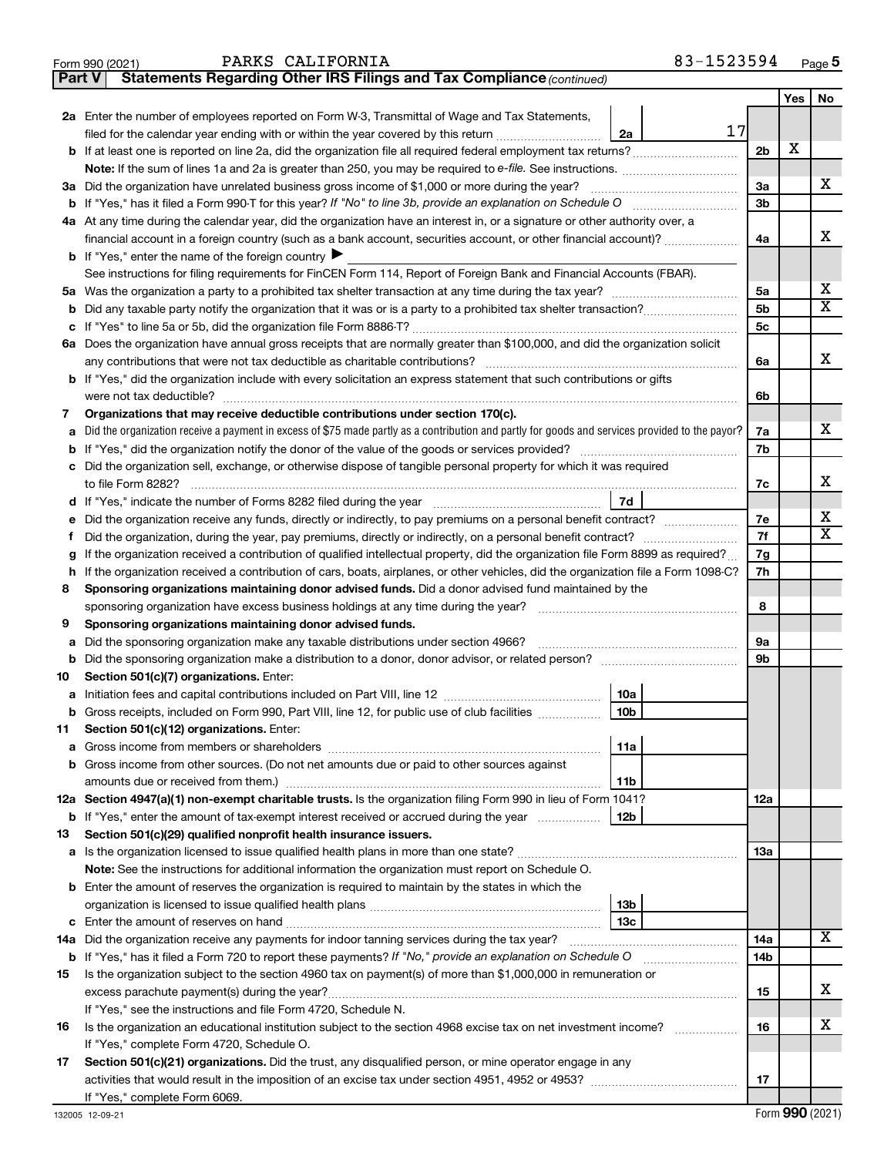| 83-1523594 | Page 5 |
|------------|--------|
|------------|--------|

| Form 990 (2021) | PARKS CALIFORNIA                                                                    | 83-1523594 | Page |
|-----------------|-------------------------------------------------------------------------------------|------------|------|
|                 | <b>Part V</b> Statements Regarding Other IRS Filings and Tax Compliance (continued) |            |      |

|    |                                                                                                                                                              |                |   | No                      |
|----|--------------------------------------------------------------------------------------------------------------------------------------------------------------|----------------|---|-------------------------|
|    | 2a Enter the number of employees reported on Form W-3, Transmittal of Wage and Tax Statements,                                                               |                |   |                         |
|    | 17<br>filed for the calendar year ending with or within the year covered by this return<br>2a                                                                |                |   |                         |
|    | <b>b</b> If at least one is reported on line 2a, did the organization file all required federal employment tax returns?                                      | 2 <sub>b</sub> | X |                         |
|    | Note: If the sum of lines 1a and 2a is greater than 250, you may be required to e-file. See instructions.                                                    |                |   |                         |
|    | 3a Did the organization have unrelated business gross income of \$1,000 or more during the year?                                                             | За             |   | x                       |
|    |                                                                                                                                                              | 3b             |   |                         |
|    | 4a At any time during the calendar year, did the organization have an interest in, or a signature or other authority over, a                                 |                |   |                         |
|    | financial account in a foreign country (such as a bank account, securities account, or other financial account)?                                             | 4a             |   | x                       |
|    | <b>b</b> If "Yes," enter the name of the foreign country                                                                                                     |                |   |                         |
|    | See instructions for filing requirements for FinCEN Form 114, Report of Foreign Bank and Financial Accounts (FBAR).                                          |                |   |                         |
|    |                                                                                                                                                              | 5a             |   | х                       |
| b  |                                                                                                                                                              | 5 <sub>b</sub> |   | $\overline{\mathtt{x}}$ |
| c  |                                                                                                                                                              | 5 <sub>c</sub> |   |                         |
|    | 6a Does the organization have annual gross receipts that are normally greater than \$100,000, and did the organization solicit                               |                |   |                         |
|    | any contributions that were not tax deductible as charitable contributions?                                                                                  | 6a             |   | x                       |
|    | <b>b</b> If "Yes," did the organization include with every solicitation an express statement that such contributions or gifts                                |                |   |                         |
|    | were not tax deductible?                                                                                                                                     | 6b             |   |                         |
| 7  | Organizations that may receive deductible contributions under section 170(c).                                                                                |                |   |                         |
| a  | Did the organization receive a payment in excess of \$75 made partly as a contribution and partly for goods and services provided to the payor?              | 7a             |   | x                       |
| b  |                                                                                                                                                              | 7b             |   |                         |
| с  | Did the organization sell, exchange, or otherwise dispose of tangible personal property for which it was required                                            |                |   |                         |
|    | to file Form 8282?                                                                                                                                           | 7c             |   | х                       |
| d  | 7d                                                                                                                                                           |                |   |                         |
|    | Did the organization receive any funds, directly or indirectly, to pay premiums on a personal benefit contract?                                              | 7е             |   | x                       |
|    |                                                                                                                                                              | 7f             |   | $\overline{\mathbf{x}}$ |
| g  | If the organization received a contribution of qualified intellectual property, did the organization file Form 8899 as required?                             | 7g             |   |                         |
| h  | If the organization received a contribution of cars, boats, airplanes, or other vehicles, did the organization file a Form 1098-C?                           |                |   |                         |
| 8  | Sponsoring organizations maintaining donor advised funds. Did a donor advised fund maintained by the                                                         |                |   |                         |
|    | sponsoring organization have excess business holdings at any time during the year?                                                                           |                |   |                         |
| 9  | Sponsoring organizations maintaining donor advised funds.                                                                                                    |                |   |                         |
| а  | Did the sponsoring organization make any taxable distributions under section 4966?                                                                           | 9а             |   |                         |
| b  |                                                                                                                                                              | 9b             |   |                         |
| 10 | Section 501(c)(7) organizations. Enter:                                                                                                                      |                |   |                         |
| а  | 10a                                                                                                                                                          |                |   |                         |
| b  | 10 <sub>b</sub><br>Gross receipts, included on Form 990, Part VIII, line 12, for public use of club facilities                                               |                |   |                         |
| 11 | Section 501(c)(12) organizations. Enter:                                                                                                                     |                |   |                         |
|    | 11a                                                                                                                                                          |                |   |                         |
| b  | Gross income from other sources. (Do not net amounts due or paid to other sources against                                                                    |                |   |                         |
|    | amounts due or received from them.)<br>11b                                                                                                                   |                |   |                         |
|    | 12a Section 4947(a)(1) non-exempt charitable trusts. Is the organization filing Form 990 in lieu of Form 1041?                                               | 12a            |   |                         |
|    | <b>b</b> If "Yes," enter the amount of tax-exempt interest received or accrued during the year<br>12b                                                        |                |   |                         |
| 13 | Section 501(c)(29) qualified nonprofit health insurance issuers.                                                                                             |                |   |                         |
|    | <b>a</b> Is the organization licensed to issue qualified health plans in more than one state?                                                                | 1За            |   |                         |
|    | Note: See the instructions for additional information the organization must report on Schedule O.                                                            |                |   |                         |
|    | <b>b</b> Enter the amount of reserves the organization is required to maintain by the states in which the                                                    |                |   |                         |
|    | 13b                                                                                                                                                          |                |   |                         |
| c  | 13с                                                                                                                                                          |                |   | $\overline{\mathbf{X}}$ |
|    | 14a Did the organization receive any payments for indoor tanning services during the tax year?                                                               | 14a            |   |                         |
|    | <b>b</b> If "Yes," has it filed a Form 720 to report these payments? If "No," provide an explanation on Schedule O                                           | 14b            |   |                         |
| 15 | Is the organization subject to the section 4960 tax on payment(s) of more than \$1,000,000 in remuneration or                                                |                |   | х                       |
|    | excess parachute payment(s) during the year?                                                                                                                 | 15             |   |                         |
|    | If "Yes," see the instructions and file Form 4720, Schedule N.                                                                                               | 16             |   | x                       |
| 16 | Is the organization an educational institution subject to the section 4968 excise tax on net investment income?<br>If "Yes," complete Form 4720, Schedule O. |                |   |                         |
| 17 | Section 501(c)(21) organizations. Did the trust, any disqualified person, or mine operator engage in any                                                     |                |   |                         |
|    |                                                                                                                                                              | 17             |   |                         |
|    | If "Yes," complete Form 6069.                                                                                                                                |                |   |                         |
|    |                                                                                                                                                              |                |   |                         |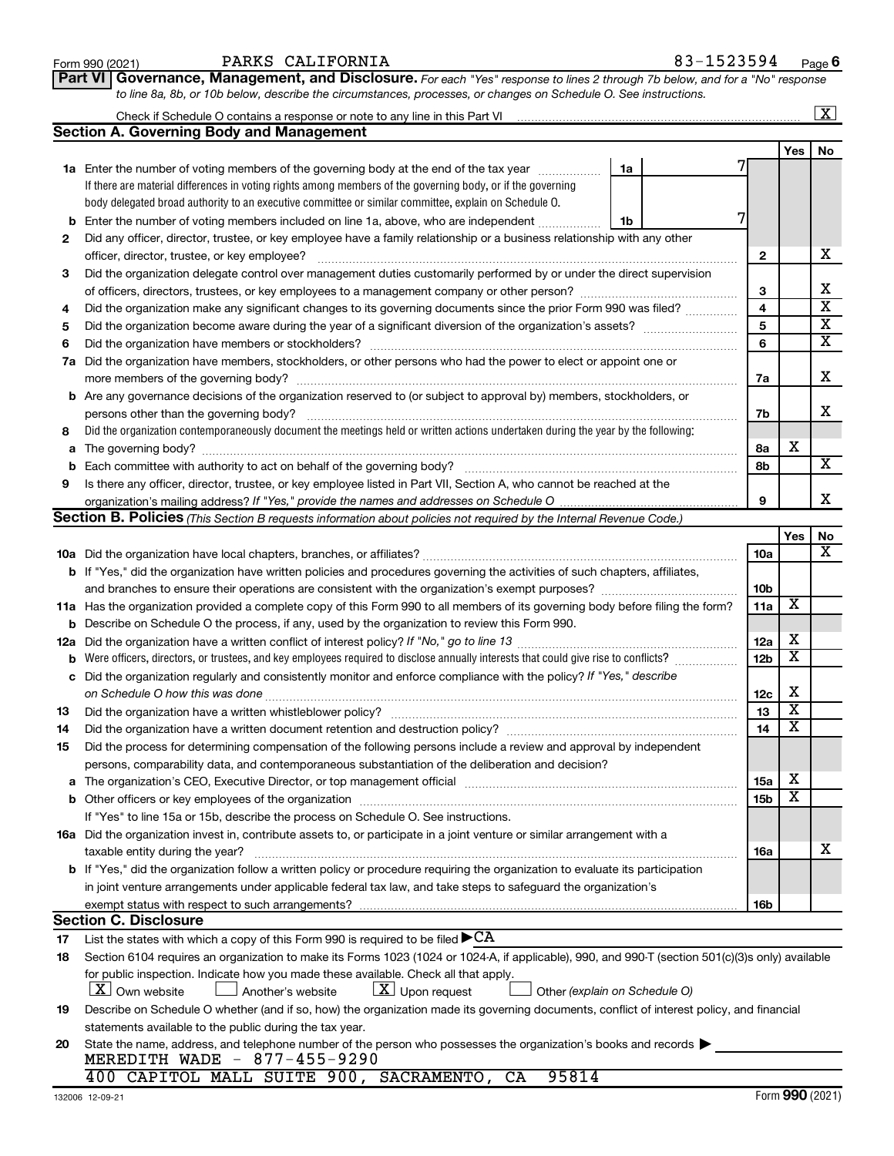| Form 990 (2021) |  |
|-----------------|--|
|-----------------|--|

**Part VI** Governance, Management, and Disclosure. For each "Yes" response to lines 2 through 7b below, and for a "No" response *to line 8a, 8b, or 10b below, describe the circumstances, processes, or changes on Schedule O. See instructions.*

|     |                                                                                                                                                  |                 |                         | $\overline{\text{X}}$   |
|-----|--------------------------------------------------------------------------------------------------------------------------------------------------|-----------------|-------------------------|-------------------------|
|     | <b>Section A. Governing Body and Management</b>                                                                                                  |                 |                         |                         |
|     |                                                                                                                                                  |                 | Yes                     | No                      |
|     | <b>1a</b> Enter the number of voting members of the governing body at the end of the tax year<br>1a                                              |                 |                         |                         |
|     | If there are material differences in voting rights among members of the governing body, or if the governing                                      |                 |                         |                         |
|     | body delegated broad authority to an executive committee or similar committee, explain on Schedule O.                                            |                 |                         |                         |
| b   | Enter the number of voting members included on line 1a, above, who are independent<br>1b                                                         |                 |                         |                         |
| 2   | Did any officer, director, trustee, or key employee have a family relationship or a business relationship with any other                         |                 |                         |                         |
|     | officer, director, trustee, or key employee?                                                                                                     | $\mathbf{2}$    |                         | х                       |
| 3   | Did the organization delegate control over management duties customarily performed by or under the direct supervision                            |                 |                         |                         |
|     |                                                                                                                                                  | 3               |                         | х                       |
| 4   | Did the organization make any significant changes to its governing documents since the prior Form 990 was filed?                                 | 4               |                         | $\overline{\mathbf{x}}$ |
| 5   |                                                                                                                                                  | 5               |                         | $\overline{\mathbf{x}}$ |
| 6   |                                                                                                                                                  | 6               |                         | $\overline{\mathbf{x}}$ |
| 7a  | Did the organization have members, stockholders, or other persons who had the power to elect or appoint one or                                   |                 |                         |                         |
|     | more members of the governing body?                                                                                                              | 7a              |                         | х                       |
|     | <b>b</b> Are any governance decisions of the organization reserved to (or subject to approval by) members, stockholders, or                      |                 |                         |                         |
|     | persons other than the governing body?                                                                                                           | 7b              |                         | x                       |
| 8   | Did the organization contemporaneously document the meetings held or written actions undertaken during the year by the following:                |                 |                         |                         |
| a   |                                                                                                                                                  | 8а              | х                       |                         |
| b   | Each committee with authority to act on behalf of the governing body?                                                                            | 8b              |                         | х                       |
| 9   | Is there any officer, director, trustee, or key employee listed in Part VII, Section A, who cannot be reached at the                             |                 |                         |                         |
|     |                                                                                                                                                  | 9               |                         | x                       |
|     | Section B. Policies (This Section B requests information about policies not required by the Internal Revenue Code.)                              |                 |                         |                         |
|     |                                                                                                                                                  |                 | Yes                     | No                      |
|     |                                                                                                                                                  | 10a             |                         | х                       |
|     | <b>b</b> If "Yes," did the organization have written policies and procedures governing the activities of such chapters, affiliates,              |                 |                         |                         |
|     |                                                                                                                                                  | 10 <sub>b</sub> |                         |                         |
|     | 11a Has the organization provided a complete copy of this Form 990 to all members of its governing body before filing the form?                  | 11a             | X                       |                         |
| b   | Describe on Schedule O the process, if any, used by the organization to review this Form 990.                                                    |                 |                         |                         |
| 12a | Did the organization have a written conflict of interest policy? If "No," go to line 13                                                          | 12a             | х                       |                         |
| b   | Were officers, directors, or trustees, and key employees required to disclose annually interests that could give rise to conflicts?              | 12 <sub>b</sub> | $\overline{\textbf{x}}$ |                         |
| с   | Did the organization regularly and consistently monitor and enforce compliance with the policy? If "Yes," describe                               |                 |                         |                         |
|     | on Schedule O how this was done                                                                                                                  | 12c             | х                       |                         |
| 13  | Did the organization have a written whistleblower policy?                                                                                        | 13              | $\overline{\textbf{x}}$ |                         |
| 14  | Did the organization have a written document retention and destruction policy? [[[[[[[[[[[[[[[[[[[[[[[[[[[[[[                                    | 14              | $\overline{\mathbf{X}}$ |                         |
| 15  | Did the process for determining compensation of the following persons include a review and approval by independent                               |                 |                         |                         |
|     | persons, comparability data, and contemporaneous substantiation of the deliberation and decision?                                                |                 |                         |                         |
| а   |                                                                                                                                                  | <b>15a</b>      | х                       |                         |
|     |                                                                                                                                                  | 15b             | X                       |                         |
|     | If "Yes" to line 15a or 15b, describe the process on Schedule O. See instructions.                                                               |                 |                         |                         |
|     | 16a Did the organization invest in, contribute assets to, or participate in a joint venture or similar arrangement with a                        |                 |                         |                         |
|     | taxable entity during the year?                                                                                                                  | 16a             |                         | x                       |
|     | b If "Yes," did the organization follow a written policy or procedure requiring the organization to evaluate its participation                   |                 |                         |                         |
|     | in joint venture arrangements under applicable federal tax law, and take steps to safequard the organization's                                   |                 |                         |                         |
|     | exempt status with respect to such arrangements?                                                                                                 | 16b             |                         |                         |
|     | <b>Section C. Disclosure</b>                                                                                                                     |                 |                         |                         |
| 17  | List the states with which a copy of this Form 990 is required to be filed $\blacktriangleright$ CA                                              |                 |                         |                         |
| 18  | Section 6104 requires an organization to make its Forms 1023 (1024 or 1024-A, if applicable), 990, and 990-T (section 501(c)(3)s only) available |                 |                         |                         |
|     | for public inspection. Indicate how you made these available. Check all that apply.                                                              |                 |                         |                         |
|     | $ \mathbf{X} $ Own website<br>$\lfloor x \rfloor$ Upon request<br>Another's website<br>Other (explain on Schedule O)                             |                 |                         |                         |
| 19  | Describe on Schedule O whether (and if so, how) the organization made its governing documents, conflict of interest policy, and financial        |                 |                         |                         |
|     | statements available to the public during the tax year.                                                                                          |                 |                         |                         |
| 20  | State the name, address, and telephone number of the person who possesses the organization's books and records<br>MEREDITH WADE - 877-455-9290   |                 |                         |                         |
|     | 400 CAPITOL MALL SUITE 900, SACRAMENTO, CA<br>95814                                                                                              |                 |                         |                         |
|     |                                                                                                                                                  |                 |                         |                         |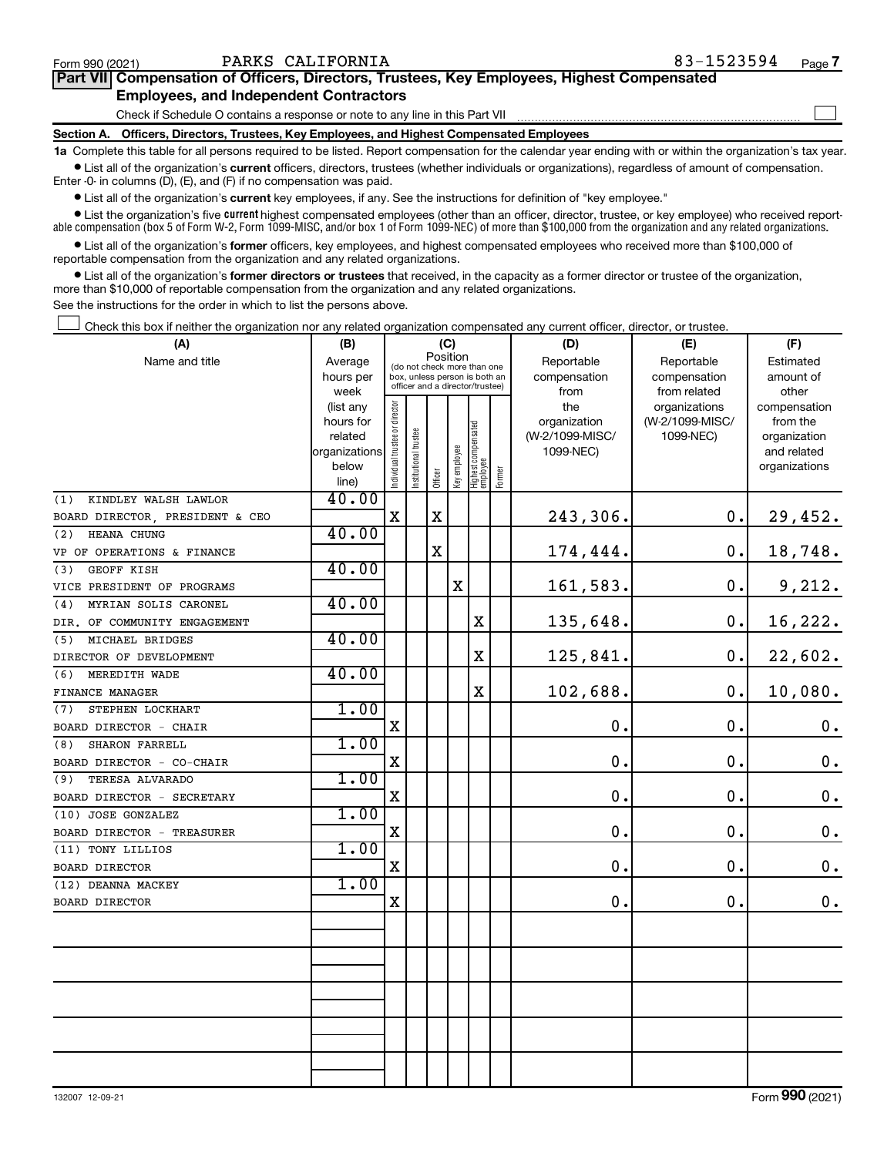$\Box$ 

| Part VII Compensation of Officers, Directors, Trustees, Key Employees, Highest Compensated |  |  |  |  |
|--------------------------------------------------------------------------------------------|--|--|--|--|
| <b>Employees, and Independent Contractors</b>                                              |  |  |  |  |

### Check if Schedule O contains a response or note to any line in this Part VII

**Section A. Officers, Directors, Trustees, Key Employees, and Highest Compensated Employees**

**1a**  Complete this table for all persons required to be listed. Report compensation for the calendar year ending with or within the organization's tax year.  $\bullet$  List all of the organization's current officers, directors, trustees (whether individuals or organizations), regardless of amount of compensation.

Enter -0- in columns (D), (E), and (F) if no compensation was paid.

**•** List all of the organization's **current** key employees, if any. See the instructions for definition of "key employee."

• List the organization's five *current* highest compensated employees (other than an officer, director, trustee, or key employee) who received reportable compensation (box 5 of Form W-2, Form 1099-MISC, and/or box 1 of Form 1099-NEC) of more than \$100,000 from the organization and any related organizations.

 $\bullet$  List all of the organization's former officers, key employees, and highest compensated employees who received more than \$100,000 of reportable compensation from the organization and any related organizations.

**•** List all of the organization's former directors or trustees that received, in the capacity as a former director or trustee of the organization, more than \$10,000 of reportable compensation from the organization and any related organizations.

See the instructions for the order in which to list the persons above.

Check this box if neither the organization nor any related organization compensated any current officer, director, or trustee.  $\Box$ 

| (A)                             | (B)                      | (C)                                     |                                                                  | (D)         | (E)          | (F)                             |           |                              |                 |                             |
|---------------------------------|--------------------------|-----------------------------------------|------------------------------------------------------------------|-------------|--------------|---------------------------------|-----------|------------------------------|-----------------|-----------------------------|
| Name and title                  | Average                  | Position<br>(do not check more than one |                                                                  | Reportable  | Reportable   | Estimated                       |           |                              |                 |                             |
|                                 | hours per                |                                         | box, unless person is both an<br>officer and a director/trustee) |             | compensation | compensation                    | amount of |                              |                 |                             |
|                                 | week                     |                                         |                                                                  |             |              |                                 |           | from                         | from related    | other                       |
|                                 | (list any                |                                         |                                                                  |             |              |                                 |           | the                          | organizations   | compensation                |
|                                 | hours for                |                                         |                                                                  |             |              |                                 |           | organization                 | (W-2/1099-MISC/ | from the                    |
|                                 | related<br>organizations |                                         |                                                                  |             |              |                                 |           | (W-2/1099-MISC/<br>1099-NEC) | 1099-NEC)       | organization<br>and related |
|                                 | below                    |                                         |                                                                  |             |              |                                 |           |                              |                 | organizations               |
|                                 | line)                    | Individual trustee or director          | Institutional trustee                                            | Officer     | Key employee | Highest compensated<br>employee | Former    |                              |                 |                             |
| KINDLEY WALSH LAWLOR<br>(1)     | 40.00                    |                                         |                                                                  |             |              |                                 |           |                              |                 |                             |
| BOARD DIRECTOR, PRESIDENT & CEO |                          | X                                       |                                                                  | $\mathbf X$ |              |                                 |           | 243,306.                     | 0.              | 29,452.                     |
| HEANA CHUNG<br>(2)              | 40.00                    |                                         |                                                                  |             |              |                                 |           |                              |                 |                             |
| VP OF OPERATIONS & FINANCE      |                          |                                         |                                                                  | $\mathbf X$ |              |                                 |           | 174,444.                     | $\mathbf 0$ .   | 18,748.                     |
| <b>GEOFF KISH</b><br>(3)        | 40.00                    |                                         |                                                                  |             |              |                                 |           |                              |                 |                             |
| VICE PRESIDENT OF PROGRAMS      |                          |                                         |                                                                  |             | X            |                                 |           | 161,583.                     | 0.              | 9,212.                      |
| MYRIAN SOLIS CARONEL<br>(4)     | 40.00                    |                                         |                                                                  |             |              |                                 |           |                              |                 |                             |
| DIR. OF COMMUNITY ENGAGEMENT    |                          |                                         |                                                                  |             |              | $\mathbf X$                     |           | 135,648.                     | $0$ .           | 16,222.                     |
| MICHAEL BRIDGES<br>(5)          | 40.00                    |                                         |                                                                  |             |              |                                 |           |                              |                 |                             |
| DIRECTOR OF DEVELOPMENT         |                          |                                         |                                                                  |             |              | $\mathbf X$                     |           | 125,841.                     | 0.              | 22,602.                     |
| (6)<br>MEREDITH WADE            | 40.00                    |                                         |                                                                  |             |              |                                 |           |                              |                 |                             |
| FINANCE MANAGER                 |                          |                                         |                                                                  |             |              | $\rm X$                         |           | 102,688.                     | 0.              | 10,080.                     |
| STEPHEN LOCKHART<br>(7)         | 1.00                     |                                         |                                                                  |             |              |                                 |           |                              |                 |                             |
| BOARD DIRECTOR - CHAIR          |                          | $\mathbf X$                             |                                                                  |             |              |                                 |           | 0.                           | 0.              | $\mathbf 0$ .               |
| SHARON FARRELL<br>(8)           | 1.00                     |                                         |                                                                  |             |              |                                 |           |                              |                 |                             |
| BOARD DIRECTOR - CO-CHAIR       |                          | Χ                                       |                                                                  |             |              |                                 |           | 0.                           | 0.              | $\mathbf 0$ .               |
| TERESA ALVARADO<br>(9)          | 1.00                     |                                         |                                                                  |             |              |                                 |           |                              |                 |                             |
| BOARD DIRECTOR - SECRETARY      |                          | $\mathbf X$                             |                                                                  |             |              |                                 |           | 0.                           | 0.              | $\mathbf 0$ .               |
| (10) JOSE GONZALEZ              | 1.00                     |                                         |                                                                  |             |              |                                 |           |                              |                 |                             |
| BOARD DIRECTOR - TREASURER      |                          | X                                       |                                                                  |             |              |                                 |           | $\mathbf 0$ .                | 0.              | $\boldsymbol{0}$ .          |
| (11) TONY LILLIOS               | 1.00                     |                                         |                                                                  |             |              |                                 |           |                              |                 |                             |
| <b>BOARD DIRECTOR</b>           |                          | $\mathbf X$                             |                                                                  |             |              |                                 |           | 0.                           | 0.              | $\mathbf 0$ .               |
| (12) DEANNA MACKEY              | 1.00                     |                                         |                                                                  |             |              |                                 |           |                              |                 |                             |
| <b>BOARD DIRECTOR</b>           |                          | $\mathbf X$                             |                                                                  |             |              |                                 |           | 0.                           | $\mathbf 0$ .   | 0.                          |
|                                 |                          |                                         |                                                                  |             |              |                                 |           |                              |                 |                             |
|                                 |                          |                                         |                                                                  |             |              |                                 |           |                              |                 |                             |
|                                 |                          |                                         |                                                                  |             |              |                                 |           |                              |                 |                             |
|                                 |                          |                                         |                                                                  |             |              |                                 |           |                              |                 |                             |
|                                 |                          |                                         |                                                                  |             |              |                                 |           |                              |                 |                             |
|                                 |                          |                                         |                                                                  |             |              |                                 |           |                              |                 |                             |
|                                 |                          |                                         |                                                                  |             |              |                                 |           |                              |                 |                             |
|                                 |                          |                                         |                                                                  |             |              |                                 |           |                              |                 |                             |
|                                 |                          |                                         |                                                                  |             |              |                                 |           |                              |                 |                             |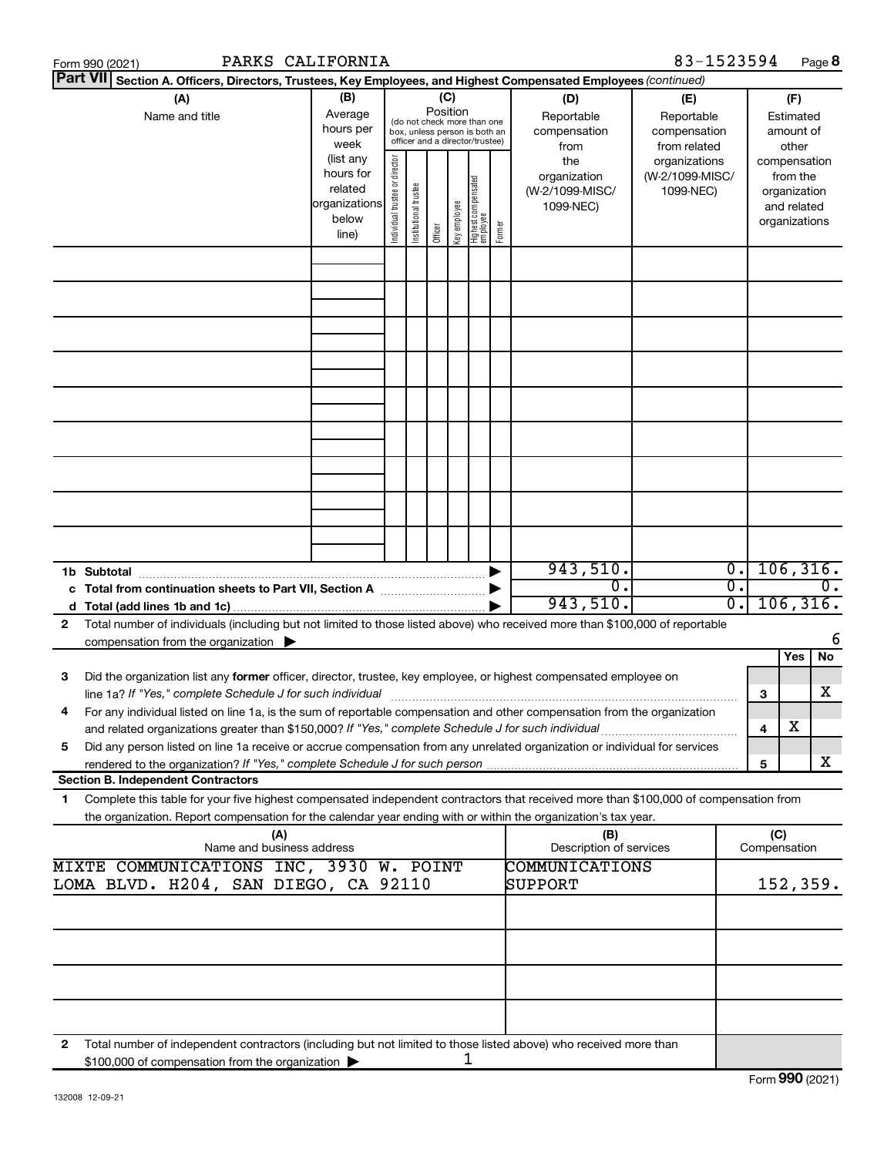| PARKS CALIFORNIA<br>Form 990 (2021)                                                                                                                                                                                                                                                                       |                                                                      |                                                                                                                    |                                                                                                                                                      |  |  |                                                                                                |                                | 83-1523594                             |                                                                          |                     |     | Page 8          |
|-----------------------------------------------------------------------------------------------------------------------------------------------------------------------------------------------------------------------------------------------------------------------------------------------------------|----------------------------------------------------------------------|--------------------------------------------------------------------------------------------------------------------|------------------------------------------------------------------------------------------------------------------------------------------------------|--|--|------------------------------------------------------------------------------------------------|--------------------------------|----------------------------------------|--------------------------------------------------------------------------|---------------------|-----|-----------------|
| <b>Part VII</b><br>Section A. Officers, Directors, Trustees, Key Employees, and Highest Compensated Employees (continued)                                                                                                                                                                                 |                                                                      |                                                                                                                    |                                                                                                                                                      |  |  |                                                                                                |                                |                                        |                                                                          |                     |     |                 |
| (A)<br>Name and title                                                                                                                                                                                                                                                                                     | (B)<br>Average<br>hours per<br>week                                  | (C)<br>Position<br>(do not check more than one<br>box, unless person is both an<br>officer and a director/trustee) |                                                                                                                                                      |  |  | (D)<br>(E)<br>Reportable<br>Reportable<br>compensation<br>compensation<br>from related<br>from |                                | (F)<br>Estimated<br>amount of<br>other |                                                                          |                     |     |                 |
|                                                                                                                                                                                                                                                                                                           | (list any<br>hours for<br>related<br>organizations<br>below<br>line) | Individual trustee or director                                                                                     | the<br>organization<br>Highest compensated<br>employee<br>Institutional trustee<br>(W-2/1099-MISC/<br>Key employee<br>1099-NEC)<br>Former<br>Officer |  |  | organizations<br>(W-2/1099-MISC/<br>1099-NEC)                                                  |                                |                                        | compensation<br>from the<br>organization<br>and related<br>organizations |                     |     |                 |
|                                                                                                                                                                                                                                                                                                           |                                                                      |                                                                                                                    |                                                                                                                                                      |  |  |                                                                                                |                                |                                        |                                                                          |                     |     |                 |
|                                                                                                                                                                                                                                                                                                           |                                                                      |                                                                                                                    |                                                                                                                                                      |  |  |                                                                                                |                                |                                        |                                                                          |                     |     |                 |
|                                                                                                                                                                                                                                                                                                           |                                                                      |                                                                                                                    |                                                                                                                                                      |  |  |                                                                                                |                                |                                        |                                                                          |                     |     |                 |
|                                                                                                                                                                                                                                                                                                           |                                                                      |                                                                                                                    |                                                                                                                                                      |  |  |                                                                                                |                                |                                        |                                                                          |                     |     |                 |
|                                                                                                                                                                                                                                                                                                           |                                                                      |                                                                                                                    |                                                                                                                                                      |  |  |                                                                                                |                                |                                        |                                                                          |                     |     |                 |
|                                                                                                                                                                                                                                                                                                           |                                                                      |                                                                                                                    |                                                                                                                                                      |  |  |                                                                                                |                                |                                        |                                                                          |                     |     |                 |
|                                                                                                                                                                                                                                                                                                           |                                                                      |                                                                                                                    |                                                                                                                                                      |  |  |                                                                                                | 943,510.                       |                                        | $\overline{\phantom{0}}$                                                 |                     |     | 106, 316.       |
|                                                                                                                                                                                                                                                                                                           |                                                                      |                                                                                                                    |                                                                                                                                                      |  |  |                                                                                                | 0.<br>943,510.                 |                                        | $\overline{0}$ .<br>$\overline{0}$ .                                     |                     |     | 0.<br>106, 316. |
| Total number of individuals (including but not limited to those listed above) who received more than \$100,000 of reportable<br>$\mathbf{2}$<br>compensation from the organization $\blacktriangleright$                                                                                                  |                                                                      |                                                                                                                    |                                                                                                                                                      |  |  |                                                                                                |                                |                                        |                                                                          |                     |     | 6               |
| Did the organization list any former officer, director, trustee, key employee, or highest compensated employee on<br>3<br>line 1a? If "Yes," complete Schedule J for such individual                                                                                                                      |                                                                      |                                                                                                                    |                                                                                                                                                      |  |  |                                                                                                |                                |                                        |                                                                          | 3                   | Yes | No<br>х         |
| For any individual listed on line 1a, is the sum of reportable compensation and other compensation from the organization<br>4<br>and related organizations greater than \$150,000? If "Yes," complete Schedule J for such individual                                                                      |                                                                      |                                                                                                                    |                                                                                                                                                      |  |  |                                                                                                |                                |                                        |                                                                          | 4                   | х   |                 |
| Did any person listed on line 1a receive or accrue compensation from any unrelated organization or individual for services<br>5                                                                                                                                                                           |                                                                      |                                                                                                                    |                                                                                                                                                      |  |  |                                                                                                |                                |                                        |                                                                          | 5                   |     | x               |
| <b>Section B. Independent Contractors</b><br>Complete this table for your five highest compensated independent contractors that received more than \$100,000 of compensation from<br>1.<br>the organization. Report compensation for the calendar year ending with or within the organization's tax year. |                                                                      |                                                                                                                    |                                                                                                                                                      |  |  |                                                                                                |                                |                                        |                                                                          |                     |     |                 |
| (A)<br>Name and business address                                                                                                                                                                                                                                                                          |                                                                      |                                                                                                                    |                                                                                                                                                      |  |  |                                                                                                | (B)<br>Description of services |                                        |                                                                          | (C)<br>Compensation |     |                 |
| MIXTE COMMUNICATIONS INC, 3930 W. POINT<br>LOMA BLVD. H204, SAN DIEGO, CA 92110                                                                                                                                                                                                                           |                                                                      |                                                                                                                    |                                                                                                                                                      |  |  |                                                                                                | COMMUNICATIONS<br>SUPPORT      |                                        |                                                                          |                     |     | 152, 359.       |
|                                                                                                                                                                                                                                                                                                           |                                                                      |                                                                                                                    |                                                                                                                                                      |  |  |                                                                                                |                                |                                        |                                                                          |                     |     |                 |
|                                                                                                                                                                                                                                                                                                           |                                                                      |                                                                                                                    |                                                                                                                                                      |  |  |                                                                                                |                                |                                        |                                                                          |                     |     |                 |
| Total number of independent contractors (including but not limited to those listed above) who received more than<br>2                                                                                                                                                                                     |                                                                      |                                                                                                                    |                                                                                                                                                      |  |  |                                                                                                |                                |                                        |                                                                          |                     |     |                 |
| \$100,000 of compensation from the organization >                                                                                                                                                                                                                                                         |                                                                      |                                                                                                                    |                                                                                                                                                      |  |  | 1                                                                                              |                                |                                        |                                                                          |                     |     |                 |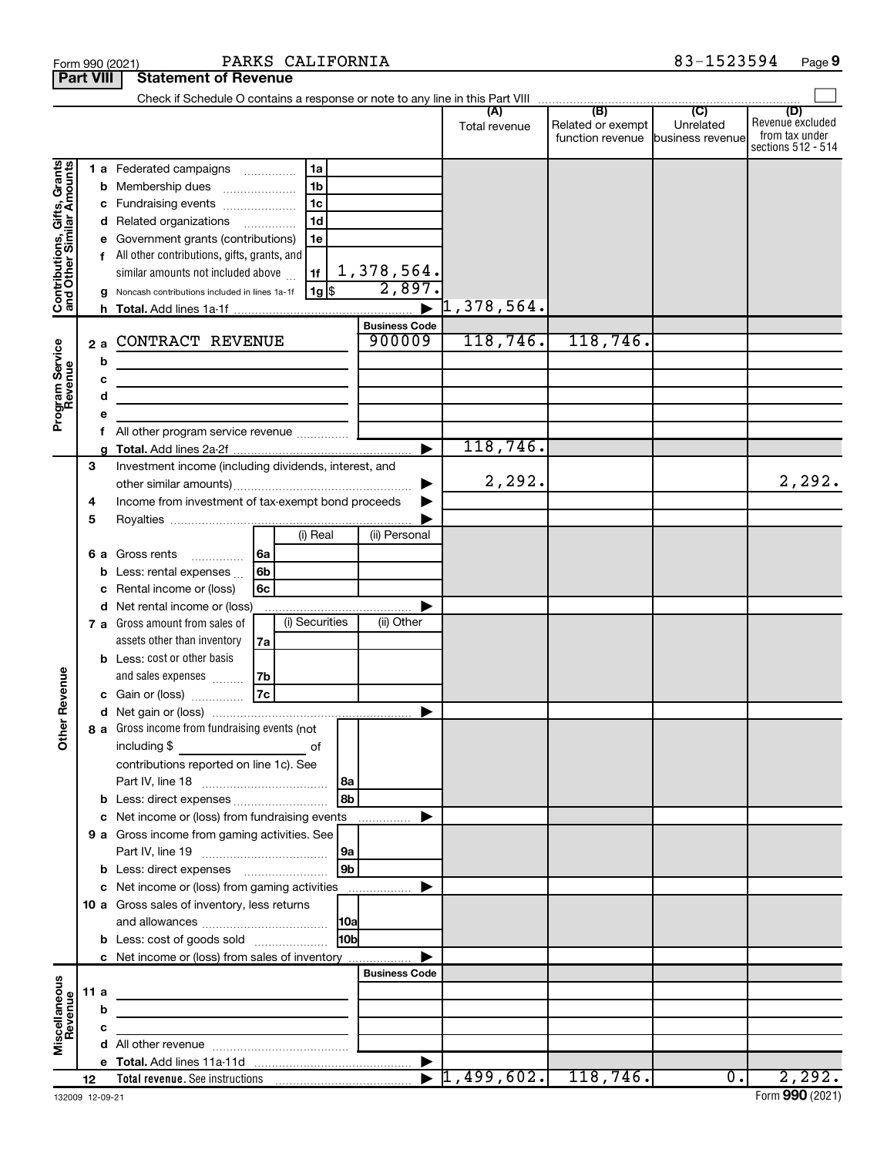|                                                           |                  | PARKS CALIFORNIA<br>Form 990 (2021)                                                                                        |                      |                         |                                       | 83-1523594                    | Page 9                                    |
|-----------------------------------------------------------|------------------|----------------------------------------------------------------------------------------------------------------------------|----------------------|-------------------------|---------------------------------------|-------------------------------|-------------------------------------------|
|                                                           | <b>Part VIII</b> | <b>Statement of Revenue</b>                                                                                                |                      |                         |                                       |                               |                                           |
|                                                           |                  |                                                                                                                            |                      |                         | (B)                                   | (C)                           |                                           |
|                                                           |                  |                                                                                                                            |                      | (A)<br>Total revenue    | Related or exempt<br>function revenue | Unrelated<br>business revenue | (D)<br>Revenue excluded<br>from tax under |
|                                                           |                  |                                                                                                                            |                      |                         |                                       |                               | sections 512 - 514                        |
|                                                           |                  | 1a<br>1 a Federated campaigns                                                                                              |                      |                         |                                       |                               |                                           |
| Contributions, Gifts, Grants<br>and Other Similar Amounts |                  | 1 <sub>b</sub><br><b>b</b> Membership dues<br>$\overline{\phantom{a}}$                                                     |                      |                         |                                       |                               |                                           |
|                                                           |                  | 1 <sub>c</sub><br>c Fundraising events                                                                                     |                      |                         |                                       |                               |                                           |
|                                                           |                  | 1 <sub>d</sub><br>d Related organizations                                                                                  |                      |                         |                                       |                               |                                           |
|                                                           |                  | e Government grants (contributions)<br>1e                                                                                  |                      |                         |                                       |                               |                                           |
|                                                           |                  | f All other contributions, gifts, grants, and                                                                              |                      |                         |                                       |                               |                                           |
|                                                           |                  | similar amounts not included above<br>1f<br>  1g  \$                                                                       | 1,378,564.<br>2,897. |                         |                                       |                               |                                           |
|                                                           |                  | g Noncash contributions included in lines 1a-1f                                                                            |                      | $\mathcal{1}$ ,378,564. |                                       |                               |                                           |
|                                                           |                  |                                                                                                                            | <b>Business Code</b> |                         |                                       |                               |                                           |
|                                                           | 2a               | CONTRACT REVENUE                                                                                                           | 900009               | 118,746.                | 118,746.                              |                               |                                           |
|                                                           |                  | b                                                                                                                          |                      |                         |                                       |                               |                                           |
|                                                           |                  | с<br><u> 1989 - Johann John Stone, markin film yn y brening yn y brening yn y brening yn y brening yn y brening yn y b</u> |                      |                         |                                       |                               |                                           |
|                                                           |                  | d<br>the control of the control of the control of the control of the control of                                            |                      |                         |                                       |                               |                                           |
| Program Service<br>Revenue                                |                  |                                                                                                                            |                      |                         |                                       |                               |                                           |
|                                                           |                  |                                                                                                                            |                      |                         |                                       |                               |                                           |
|                                                           |                  | a                                                                                                                          |                      | 118,746.                |                                       |                               |                                           |
|                                                           | 3                | Investment income (including dividends, interest, and                                                                      |                      |                         |                                       |                               |                                           |
|                                                           |                  |                                                                                                                            |                      | 2,292.                  |                                       |                               | 2,292.                                    |
|                                                           | 4                | Income from investment of tax-exempt bond proceeds                                                                         |                      |                         |                                       |                               |                                           |
|                                                           | 5                |                                                                                                                            |                      |                         |                                       |                               |                                           |
|                                                           |                  | (i) Real                                                                                                                   | (ii) Personal        |                         |                                       |                               |                                           |
|                                                           |                  | l 6a<br>6 a Gross rents<br>.                                                                                               |                      |                         |                                       |                               |                                           |
|                                                           |                  | Less: rental expenses<br>6b<br>b                                                                                           |                      |                         |                                       |                               |                                           |
|                                                           |                  | Rental income or (loss)<br>6c<br>c                                                                                         |                      |                         |                                       |                               |                                           |
|                                                           |                  | d Net rental income or (loss)<br>(i) Securities<br>7 a Gross amount from sales of                                          | (ii) Other           |                         |                                       |                               |                                           |
|                                                           |                  | assets other than inventory<br>7a                                                                                          |                      |                         |                                       |                               |                                           |
|                                                           |                  | <b>b</b> Less: cost or other basis                                                                                         |                      |                         |                                       |                               |                                           |
|                                                           |                  | and sales expenses<br>7b                                                                                                   |                      |                         |                                       |                               |                                           |
| venue                                                     |                  | 7c<br>c Gain or (loss)                                                                                                     |                      |                         |                                       |                               |                                           |
| č                                                         |                  |                                                                                                                            |                      |                         |                                       |                               |                                           |
| Other                                                     |                  | 8 a Gross income from fundraising events (not                                                                              |                      |                         |                                       |                               |                                           |
|                                                           |                  |                                                                                                                            |                      |                         |                                       |                               |                                           |
|                                                           |                  | contributions reported on line 1c). See                                                                                    |                      |                         |                                       |                               |                                           |
|                                                           |                  | 8a                                                                                                                         |                      |                         |                                       |                               |                                           |
|                                                           |                  | 8b<br>c Net income or (loss) from fundraising events                                                                       |                      |                         |                                       |                               |                                           |
|                                                           |                  | 9 a Gross income from gaming activities. See                                                                               |                      |                         |                                       |                               |                                           |
|                                                           |                  | 9a                                                                                                                         |                      |                         |                                       |                               |                                           |
|                                                           |                  | 9 <sub>b</sub>                                                                                                             |                      |                         |                                       |                               |                                           |
|                                                           |                  | c Net income or (loss) from gaming activities                                                                              |                      |                         |                                       |                               |                                           |
|                                                           |                  | 10 a Gross sales of inventory, less returns                                                                                |                      |                         |                                       |                               |                                           |
|                                                           |                  | <b>10a</b>                                                                                                                 |                      |                         |                                       |                               |                                           |
|                                                           |                  | 10bl<br><b>b</b> Less: cost of goods sold                                                                                  |                      |                         |                                       |                               |                                           |
|                                                           |                  | c Net income or (loss) from sales of inventory                                                                             |                      |                         |                                       |                               |                                           |
|                                                           |                  |                                                                                                                            | <b>Business Code</b> |                         |                                       |                               |                                           |
|                                                           | 11 a             |                                                                                                                            |                      |                         |                                       |                               |                                           |
|                                                           |                  | b                                                                                                                          |                      |                         |                                       |                               |                                           |
| Miscellaneous<br>Revenue                                  |                  | с                                                                                                                          |                      |                         |                                       |                               |                                           |
|                                                           |                  |                                                                                                                            |                      |                         |                                       |                               |                                           |
|                                                           | 12               |                                                                                                                            |                      |                         |                                       | $\overline{0}$ .              | 2,292.                                    |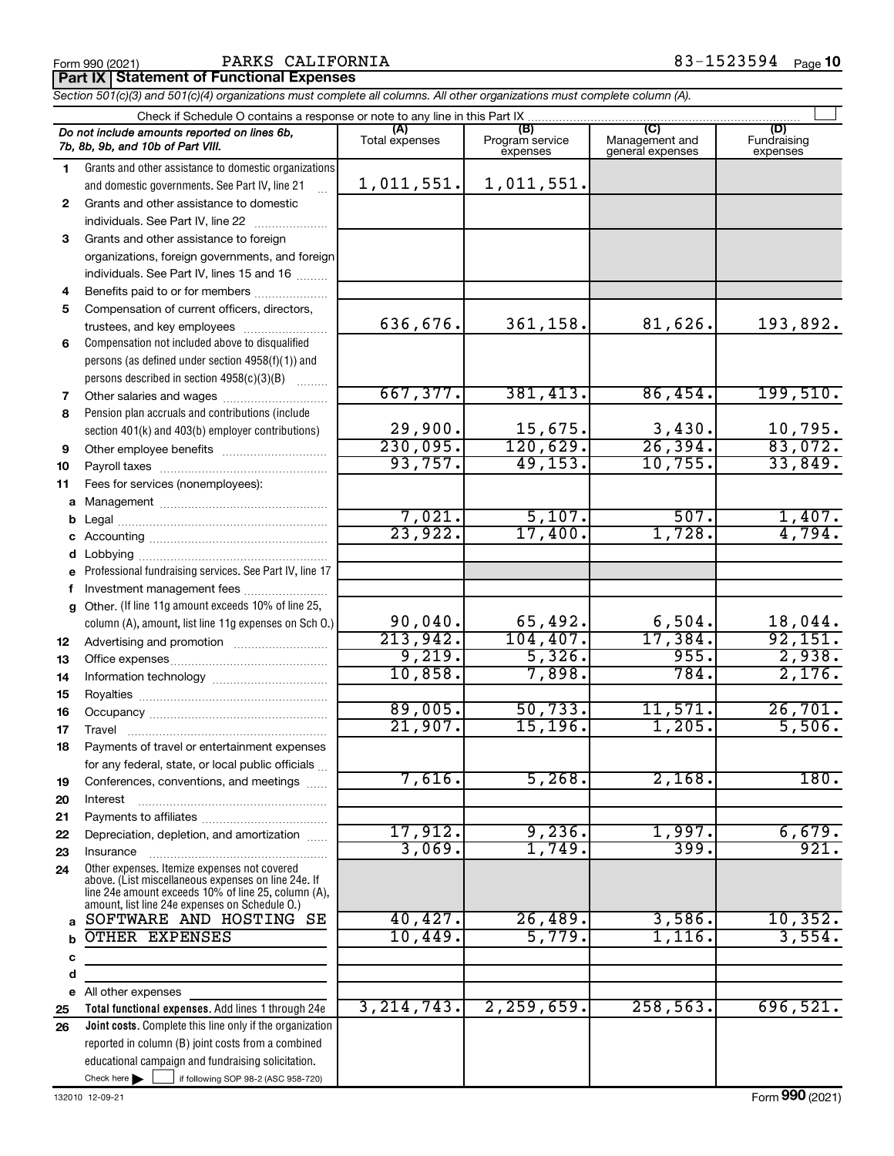## Form 990 (2021) **PARKS CALIFORNIA**  $83-1523594$  Page

**Part IX Statement of Functional Expenses**

*Section 501(c)(3) and 501(c)(4) organizations must complete all columns. All other organizations must complete column (A).*

|              | Check if Schedule O contains a response or note to any line in this Part IX                                                                                                                                  |                       |                                    |                                           |                                |
|--------------|--------------------------------------------------------------------------------------------------------------------------------------------------------------------------------------------------------------|-----------------------|------------------------------------|-------------------------------------------|--------------------------------|
|              | Do not include amounts reported on lines 6b,<br>7b, 8b, 9b, and 10b of Part VIII.                                                                                                                            | (A)<br>Total expenses | (B)<br>Program service<br>expenses | (C)<br>Management and<br>general expenses | (D)<br>Fundraising<br>expenses |
| 1.           | Grants and other assistance to domestic organizations                                                                                                                                                        |                       |                                    |                                           |                                |
|              | and domestic governments. See Part IV, line 21                                                                                                                                                               | 1,011,551.            | 1,011,551.                         |                                           |                                |
| $\mathbf{2}$ | Grants and other assistance to domestic                                                                                                                                                                      |                       |                                    |                                           |                                |
|              | individuals. See Part IV, line 22                                                                                                                                                                            |                       |                                    |                                           |                                |
| 3.           | Grants and other assistance to foreign                                                                                                                                                                       |                       |                                    |                                           |                                |
|              | organizations, foreign governments, and foreign                                                                                                                                                              |                       |                                    |                                           |                                |
|              | individuals. See Part IV, lines 15 and 16                                                                                                                                                                    |                       |                                    |                                           |                                |
| 4            | Benefits paid to or for members                                                                                                                                                                              |                       |                                    |                                           |                                |
| 5            | Compensation of current officers, directors,                                                                                                                                                                 |                       |                                    |                                           |                                |
|              | trustees, and key employees                                                                                                                                                                                  | 636,676.              | 361,158.                           | 81,626.                                   | 193,892.                       |
| 6            | Compensation not included above to disqualified                                                                                                                                                              |                       |                                    |                                           |                                |
|              | persons (as defined under section 4958(f)(1)) and                                                                                                                                                            |                       |                                    |                                           |                                |
|              | persons described in section 4958(c)(3)(B)                                                                                                                                                                   |                       |                                    |                                           |                                |
| 7            |                                                                                                                                                                                                              | 667,377.              | 381,413.                           | 86,454.                                   | 199,510.                       |
| 8            | Pension plan accruals and contributions (include                                                                                                                                                             |                       |                                    |                                           |                                |
|              | section 401(k) and 403(b) employer contributions)                                                                                                                                                            | 29,900.<br>230,095.   | 15,675.<br>120,629.                | 3,430.<br>26, 394.                        | 10,795.<br>83,072.             |
| 9            | Other employee benefits                                                                                                                                                                                      | 93,757.               | 49, 153.                           | 10,755.                                   | 33,849.                        |
| 10           |                                                                                                                                                                                                              |                       |                                    |                                           |                                |
| 11           | Fees for services (nonemployees):                                                                                                                                                                            |                       |                                    |                                           |                                |
| а            |                                                                                                                                                                                                              | 7,021.                | 5,107.                             | 507.                                      |                                |
| b            |                                                                                                                                                                                                              | 23,922.               | 17,400.                            | 1,728.                                    | $\frac{1,407.}{4,794.}$        |
| c            |                                                                                                                                                                                                              |                       |                                    |                                           |                                |
| d<br>е       | Professional fundraising services. See Part IV, line 17                                                                                                                                                      |                       |                                    |                                           |                                |
| f            | Investment management fees                                                                                                                                                                                   |                       |                                    |                                           |                                |
| g            | Other. (If line 11g amount exceeds 10% of line 25,                                                                                                                                                           |                       |                                    |                                           |                                |
|              | column (A), amount, list line 11g expenses on Sch O.)                                                                                                                                                        | 90,040.               | 65,492.                            | 6,504.                                    | 18,044.                        |
| 12           |                                                                                                                                                                                                              | 213,942.              | 104, 407.                          | 17,384.                                   | 92,151.                        |
| 13           |                                                                                                                                                                                                              | 9,219.                | 5,326.                             | 955.                                      | 2,938.                         |
| 14           |                                                                                                                                                                                                              | 10,858.               | 7,898.                             | 784.                                      | 2,176.                         |
| 15           |                                                                                                                                                                                                              |                       |                                    |                                           |                                |
| 16           |                                                                                                                                                                                                              | 89,005.               | 50, 733.                           | 11,571.                                   | 26,701.                        |
| 17           | Travel                                                                                                                                                                                                       | 21,907.               | 15, 196.                           | 1,205.                                    | 5,506.                         |
| 18           | Payments of travel or entertainment expenses                                                                                                                                                                 |                       |                                    |                                           |                                |
|              | for any federal, state, or local public officials                                                                                                                                                            |                       |                                    |                                           |                                |
| 19           | Conferences, conventions, and meetings                                                                                                                                                                       | 7,616.                | 5,268.                             | 2,168.                                    | 180.                           |
| 20           | Interest                                                                                                                                                                                                     |                       |                                    |                                           |                                |
| 21           |                                                                                                                                                                                                              |                       |                                    |                                           |                                |
| 22           | Depreciation, depletion, and amortization                                                                                                                                                                    | 17,912.               | 9,236.                             | 1,997.                                    | 6,679.                         |
| 23           | Insurance                                                                                                                                                                                                    | 3,069.                | 1,749.                             | 399.                                      | 921.                           |
| 24           | Other expenses. Itemize expenses not covered<br>above. (List miscellaneous expenses on line 24e. If<br>line 24e amount exceeds 10% of line 25, column (A).<br>amount, list line 24e expenses on Schedule O.) |                       |                                    |                                           |                                |
| a            | SOFTWARE AND HOSTING SE                                                                                                                                                                                      | 40, 427.              | 26,489.                            | 3,586.                                    | 10,352.                        |
|              | OTHER EXPENSES                                                                                                                                                                                               | 10,449.               | 5,779.                             | $1,116$ .                                 | 3,554.                         |
| c            |                                                                                                                                                                                                              |                       |                                    |                                           |                                |
| d            |                                                                                                                                                                                                              |                       |                                    |                                           |                                |
|              | e All other expenses                                                                                                                                                                                         |                       |                                    |                                           |                                |
| 25           | Total functional expenses. Add lines 1 through 24e                                                                                                                                                           | 3, 214, 743.          | 2, 259, 659.                       | 258, 563.                                 | 696,521.                       |
| 26           | <b>Joint costs.</b> Complete this line only if the organization                                                                                                                                              |                       |                                    |                                           |                                |
|              | reported in column (B) joint costs from a combined                                                                                                                                                           |                       |                                    |                                           |                                |
|              | educational campaign and fundraising solicitation.                                                                                                                                                           |                       |                                    |                                           |                                |
|              | Check here $\blacktriangleright$<br>if following SOP 98-2 (ASC 958-720)                                                                                                                                      |                       |                                    |                                           |                                |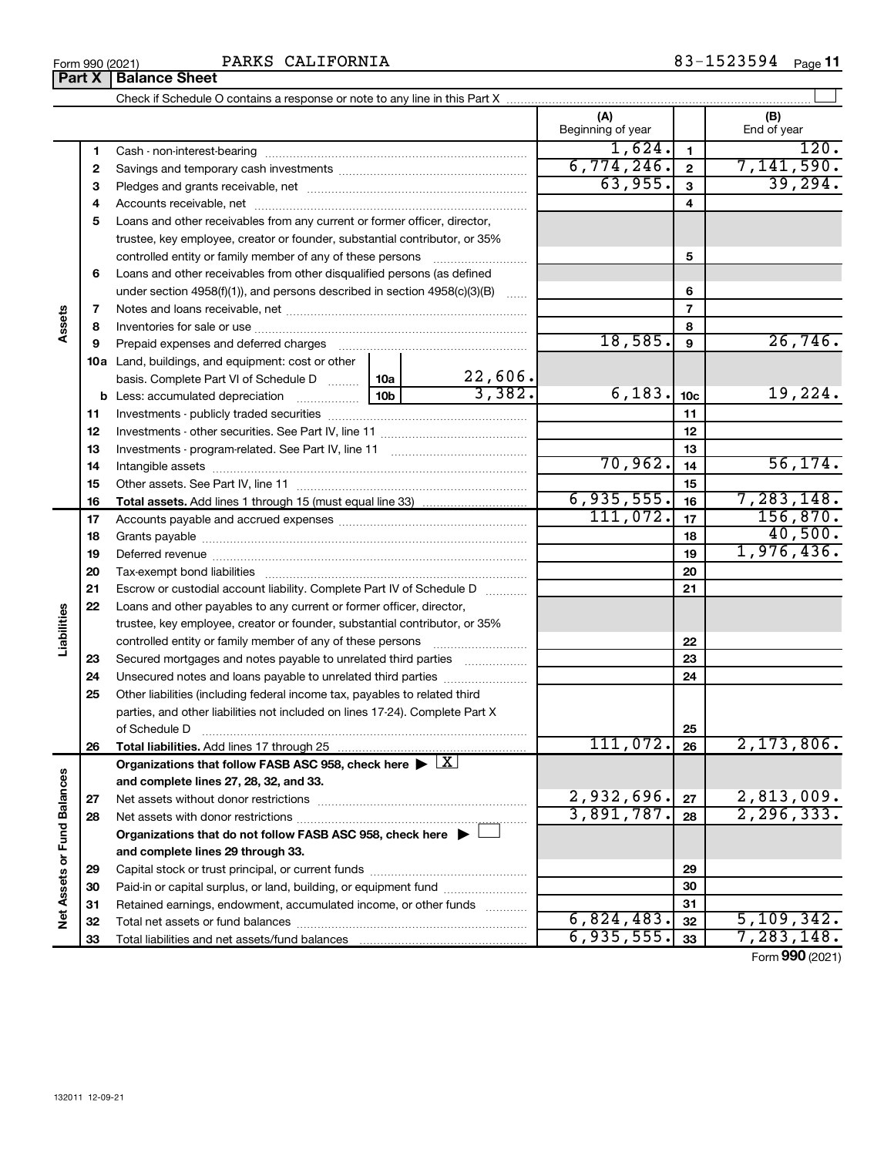|                             |    |                                                                                                                                          |                 |              | (A)<br>Beginning of year |                          | (B)<br>End of year     |
|-----------------------------|----|------------------------------------------------------------------------------------------------------------------------------------------|-----------------|--------------|--------------------------|--------------------------|------------------------|
|                             | 1  |                                                                                                                                          |                 |              | 1,624.                   | $\mathbf{1}$             | 120.                   |
|                             | 2  |                                                                                                                                          | 6,774,246.      | $\mathbf{2}$ | 7,141,590.               |                          |                        |
|                             | 3  |                                                                                                                                          |                 |              | 63,955.                  | 3                        | 39,294.                |
|                             | 4  |                                                                                                                                          |                 |              |                          | 4                        |                        |
|                             | 5  | Loans and other receivables from any current or former officer, director,                                                                |                 |              |                          |                          |                        |
|                             |    | trustee, key employee, creator or founder, substantial contributor, or 35%                                                               |                 |              |                          |                          |                        |
|                             |    | controlled entity or family member of any of these persons                                                                               |                 |              |                          | 5                        |                        |
|                             | 6  | Loans and other receivables from other disqualified persons (as defined                                                                  |                 |              |                          |                          |                        |
|                             |    | under section $4958(f)(1)$ , and persons described in section $4958(c)(3)(B)$                                                            |                 |              |                          | 6                        |                        |
|                             | 7  |                                                                                                                                          |                 |              |                          | $\overline{\phantom{a}}$ |                        |
| Assets                      | 8  |                                                                                                                                          |                 |              |                          | 8                        |                        |
|                             | 9  | Prepaid expenses and deferred charges                                                                                                    |                 |              | 18,585.                  | 9                        | 26,746.                |
|                             |    | 10a Land, buildings, and equipment: cost or other                                                                                        |                 |              |                          |                          |                        |
|                             |    | basis. Complete Part VI of Schedule D                                                                                                    | 10a             | 22,606.      |                          |                          |                        |
|                             |    | <b>b</b> Less: accumulated depreciation <i></i>                                                                                          | 10 <sub>b</sub> | 3,382.       | 6, 183.                  | 10 <sub>c</sub>          | 19,224.                |
|                             | 11 |                                                                                                                                          |                 |              |                          | 11                       |                        |
|                             | 12 |                                                                                                                                          |                 |              |                          | 12                       |                        |
|                             | 13 |                                                                                                                                          |                 |              |                          | 13                       |                        |
|                             | 14 |                                                                                                                                          |                 | 70,962.      | 14                       | 56, 174.                 |                        |
|                             | 15 |                                                                                                                                          |                 |              |                          | 15                       |                        |
|                             | 16 |                                                                                                                                          |                 |              | 6,935,555.<br>111,072.   | 16                       | 7,283,148.<br>156,870. |
|                             | 17 |                                                                                                                                          |                 |              | 17                       | 40,500.                  |                        |
|                             | 18 |                                                                                                                                          |                 |              | 18                       | 1,976,436.               |                        |
|                             | 19 |                                                                                                                                          |                 |              | 19                       |                          |                        |
|                             | 20 |                                                                                                                                          |                 |              | 20                       |                          |                        |
|                             | 21 | Escrow or custodial account liability. Complete Part IV of Schedule D                                                                    |                 |              |                          | 21                       |                        |
| Liabilities                 | 22 | Loans and other payables to any current or former officer, director,                                                                     |                 |              |                          |                          |                        |
|                             |    | trustee, key employee, creator or founder, substantial contributor, or 35%<br>controlled entity or family member of any of these persons |                 |              |                          | 22                       |                        |
|                             | 23 |                                                                                                                                          |                 |              |                          | 23                       |                        |
|                             | 24 | Secured mortgages and notes payable to unrelated third parties                                                                           |                 |              |                          | 24                       |                        |
|                             | 25 | Other liabilities (including federal income tax, payables to related third                                                               |                 |              |                          |                          |                        |
|                             |    | parties, and other liabilities not included on lines 17-24). Complete Part X                                                             |                 |              |                          |                          |                        |
|                             |    | of Schedule D                                                                                                                            |                 |              |                          | 25                       |                        |
|                             | 26 |                                                                                                                                          |                 | 111,072.     | 26                       | $2,173,806$ .            |                        |
|                             |    | Organizations that follow FASB ASC 958, check here $\blacktriangleright \lfloor \underline{X} \rfloor$                                   |                 |              |                          |                          |                        |
|                             |    | and complete lines 27, 28, 32, and 33.                                                                                                   |                 |              |                          |                          |                        |
|                             | 27 |                                                                                                                                          |                 |              | 2,932,696.               | 27                       | 2,813,009.             |
|                             | 28 |                                                                                                                                          |                 |              | 3,891,787.               | 28                       | 2, 296, 333.           |
|                             |    | Organizations that do not follow FASB ASC 958, check here $\blacktriangleright \bot$                                                     |                 |              |                          |                          |                        |
|                             |    | and complete lines 29 through 33.                                                                                                        |                 |              |                          |                          |                        |
| Net Assets or Fund Balances | 29 |                                                                                                                                          |                 |              |                          | 29                       |                        |
|                             | 30 | Paid-in or capital surplus, or land, building, or equipment fund                                                                         |                 |              |                          | 30                       |                        |
|                             | 31 | Retained earnings, endowment, accumulated income, or other funds                                                                         |                 |              |                          | 31                       |                        |
|                             | 32 |                                                                                                                                          |                 |              | 6,824,483.               | 32                       | 5,109,342.             |
|                             | 33 |                                                                                                                                          |                 |              | 6,935,555.               | 33                       | 7,283,148.             |
|                             |    |                                                                                                                                          |                 |              |                          |                          | Form 990 (2021)        |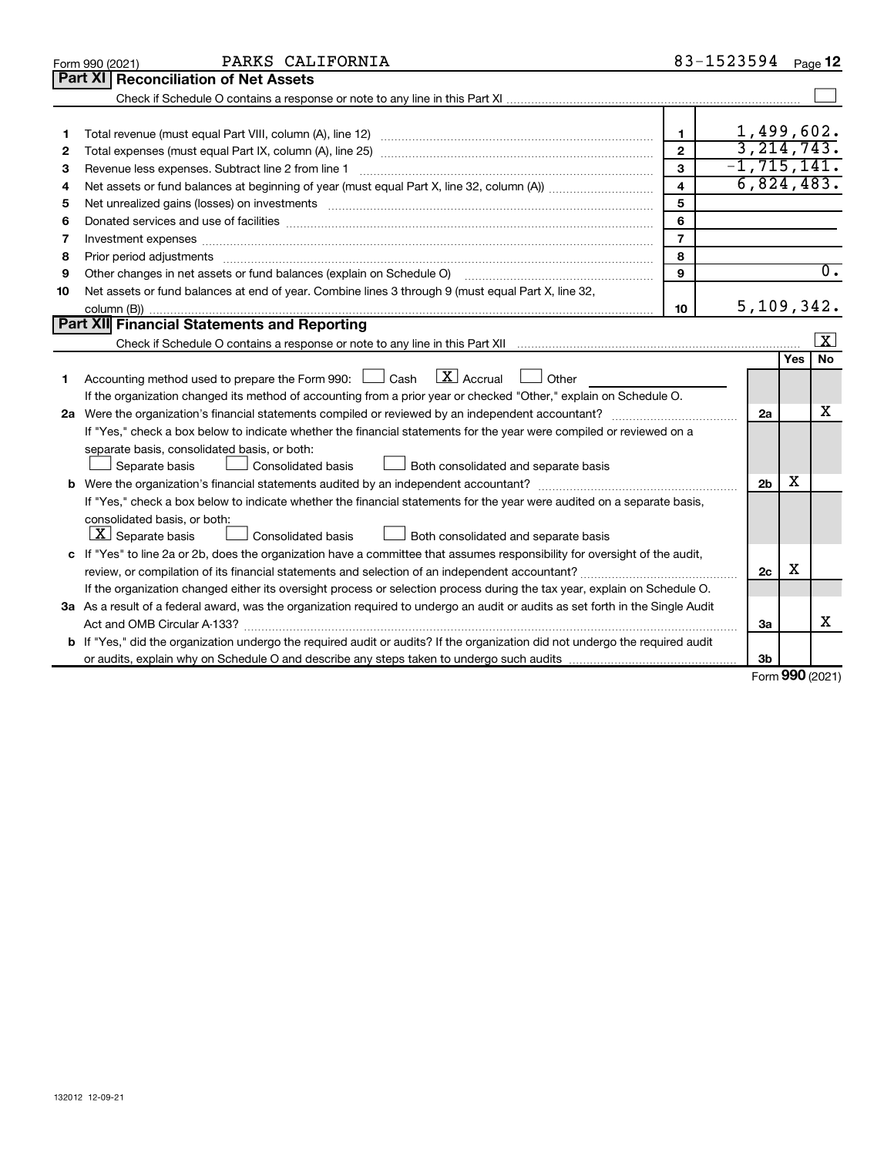| <b>Part XI</b><br><b>Reconciliation of Net Assets</b>                                                                                                                                                                                    | 1,499,602.<br>3, 214, 743. |        |                  |
|------------------------------------------------------------------------------------------------------------------------------------------------------------------------------------------------------------------------------------------|----------------------------|--------|------------------|
|                                                                                                                                                                                                                                          |                            |        |                  |
|                                                                                                                                                                                                                                          |                            |        |                  |
|                                                                                                                                                                                                                                          |                            |        |                  |
| $\mathbf{1}$<br>1                                                                                                                                                                                                                        |                            |        |                  |
| $\mathbf{2}$<br>2                                                                                                                                                                                                                        |                            |        |                  |
| 3<br>Revenue less expenses. Subtract line 2 from line 1<br>3                                                                                                                                                                             | $-1, 715, 141.$            |        |                  |
| $\overline{\mathbf{4}}$<br>4                                                                                                                                                                                                             | 6,824,483.                 |        |                  |
| 5<br>5                                                                                                                                                                                                                                   |                            |        |                  |
| 6<br>6                                                                                                                                                                                                                                   |                            |        |                  |
| $\overline{7}$<br>7                                                                                                                                                                                                                      |                            |        |                  |
| 8<br>8<br>Prior period adjustments material contents and content and content and content and content and content and content and content and content and content and content and content and content and content and content and content |                            |        |                  |
| $\mathbf{Q}$<br>Other changes in net assets or fund balances (explain on Schedule O)<br>9                                                                                                                                                |                            |        | $\overline{0}$ . |
| Net assets or fund balances at end of year. Combine lines 3 through 9 (must equal Part X, line 32,<br>10                                                                                                                                 |                            |        |                  |
| 10                                                                                                                                                                                                                                       | 5, 109, 342.               |        |                  |
| <b>Part XII Financial Statements and Reporting</b>                                                                                                                                                                                       |                            |        |                  |
|                                                                                                                                                                                                                                          |                            |        | x                |
|                                                                                                                                                                                                                                          |                            | Yes    | <b>No</b>        |
| $\lfloor \mathbf{X} \rfloor$ Accrual<br>Accounting method used to prepare the Form 990: [130] Cash<br>Other<br>1                                                                                                                         |                            |        |                  |
| If the organization changed its method of accounting from a prior year or checked "Other," explain on Schedule O.                                                                                                                        |                            |        |                  |
|                                                                                                                                                                                                                                          | 2a                         |        | x                |
| If "Yes," check a box below to indicate whether the financial statements for the year were compiled or reviewed on a                                                                                                                     |                            |        |                  |
| separate basis, consolidated basis, or both:                                                                                                                                                                                             |                            |        |                  |
| Both consolidated and separate basis<br>Separate basis<br>Consolidated basis                                                                                                                                                             |                            |        |                  |
|                                                                                                                                                                                                                                          | 2 <sub>b</sub>             | х      |                  |
| If "Yes," check a box below to indicate whether the financial statements for the year were audited on a separate basis,                                                                                                                  |                            |        |                  |
| consolidated basis, or both:                                                                                                                                                                                                             |                            |        |                  |
| $ \mathbf{X} $ Separate basis<br>Consolidated basis<br>Both consolidated and separate basis                                                                                                                                              |                            |        |                  |
| c If "Yes" to line 2a or 2b, does the organization have a committee that assumes responsibility for oversight of the audit,                                                                                                              |                            |        |                  |
|                                                                                                                                                                                                                                          | 2c                         | X      |                  |
| If the organization changed either its oversight process or selection process during the tax year, explain on Schedule O.                                                                                                                |                            |        |                  |
| 3a As a result of a federal award, was the organization required to undergo an audit or audits as set forth in the Single Audit                                                                                                          |                            |        |                  |
| Act and OMB Circular A-133?                                                                                                                                                                                                              | 3a                         |        | х                |
| b If "Yes," did the organization undergo the required audit or audits? If the organization did not undergo the required audit                                                                                                            |                            |        |                  |
|                                                                                                                                                                                                                                          | Зb                         | $\sim$ |                  |

Form (2021) **990**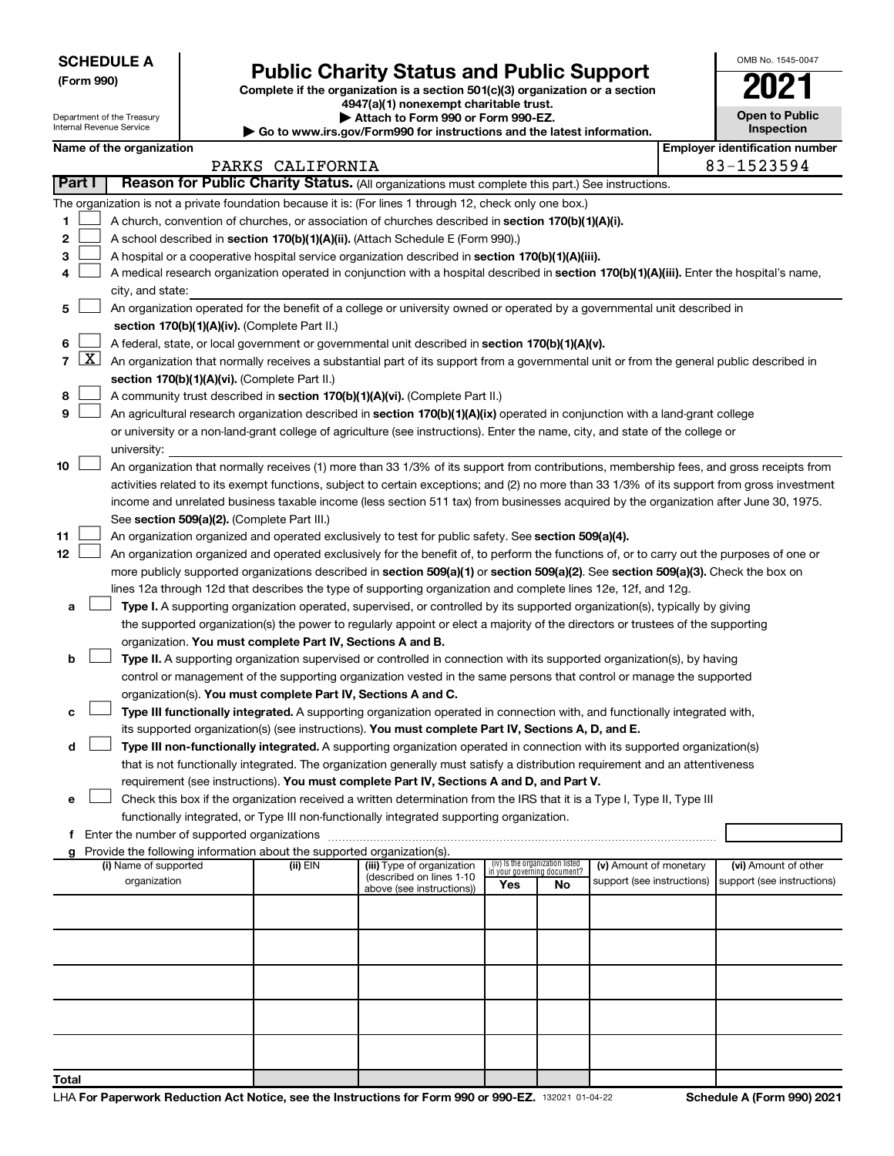| <b>SCHEDULE A</b> |
|-------------------|
|-------------------|

Department of the Treasury

# Form 990)<br>
Complete if the organization is a section 501(c)(3) organization or a section<br> **Public Charity Status and Public Support**

**4947(a)(1) nonexempt charitable trust. | Attach to Form 990 or Form 990-EZ.** 

| <b>P</b> Allach to Form you of Form you LE.                              |
|--------------------------------------------------------------------------|
| ▶ Go to www.irs.gov/Form990 for instructions and the latest information. |

| <b>Open to Public</b><br>Inspection |
|-------------------------------------|
|                                     |

OMB No. 1545-0047

Internal Revenue Service

| Name of the organization                                                                                                                                                         |                  |                                                       |                                    |    |                            | <b>Employer identification number</b> |
|----------------------------------------------------------------------------------------------------------------------------------------------------------------------------------|------------------|-------------------------------------------------------|------------------------------------|----|----------------------------|---------------------------------------|
|                                                                                                                                                                                  | PARKS CALIFORNIA |                                                       |                                    |    |                            | 83-1523594                            |
| Part I<br>Reason for Public Charity Status. (All organizations must complete this part.) See instructions.                                                                       |                  |                                                       |                                    |    |                            |                                       |
| The organization is not a private foundation because it is: (For lines 1 through 12, check only one box.)                                                                        |                  |                                                       |                                    |    |                            |                                       |
| 1.<br>A church, convention of churches, or association of churches described in section 170(b)(1)(A)(i).                                                                         |                  |                                                       |                                    |    |                            |                                       |
| 2<br>A school described in section 170(b)(1)(A)(ii). (Attach Schedule E (Form 990).)                                                                                             |                  |                                                       |                                    |    |                            |                                       |
| A hospital or a cooperative hospital service organization described in section 170(b)(1)(A)(iii).<br>з                                                                           |                  |                                                       |                                    |    |                            |                                       |
| A medical research organization operated in conjunction with a hospital described in section 170(b)(1)(A)(iii). Enter the hospital's name,<br>4                                  |                  |                                                       |                                    |    |                            |                                       |
| city, and state:                                                                                                                                                                 |                  |                                                       |                                    |    |                            |                                       |
| An organization operated for the benefit of a college or university owned or operated by a governmental unit described in<br>5.<br>section 170(b)(1)(A)(iv). (Complete Part II.) |                  |                                                       |                                    |    |                            |                                       |
| A federal, state, or local government or governmental unit described in section 170(b)(1)(A)(v).<br>6.                                                                           |                  |                                                       |                                    |    |                            |                                       |
| 7 $ X $ An organization that normally receives a substantial part of its support from a governmental unit or from the general public described in                                |                  |                                                       |                                    |    |                            |                                       |
| section 170(b)(1)(A)(vi). (Complete Part II.)                                                                                                                                    |                  |                                                       |                                    |    |                            |                                       |
| A community trust described in section 170(b)(1)(A)(vi). (Complete Part II.)<br>8                                                                                                |                  |                                                       |                                    |    |                            |                                       |
| An agricultural research organization described in section 170(b)(1)(A)(ix) operated in conjunction with a land-grant college<br>9                                               |                  |                                                       |                                    |    |                            |                                       |
| or university or a non-land-grant college of agriculture (see instructions). Enter the name, city, and state of the college or                                                   |                  |                                                       |                                    |    |                            |                                       |
| university:                                                                                                                                                                      |                  |                                                       |                                    |    |                            |                                       |
| 10<br>An organization that normally receives (1) more than 33 1/3% of its support from contributions, membership fees, and gross receipts from                                   |                  |                                                       |                                    |    |                            |                                       |
| activities related to its exempt functions, subject to certain exceptions; and (2) no more than 33 1/3% of its support from gross investment                                     |                  |                                                       |                                    |    |                            |                                       |
| income and unrelated business taxable income (less section 511 tax) from businesses acquired by the organization after June 30, 1975.                                            |                  |                                                       |                                    |    |                            |                                       |
| See section 509(a)(2). (Complete Part III.)                                                                                                                                      |                  |                                                       |                                    |    |                            |                                       |
| 11<br>An organization organized and operated exclusively to test for public safety. See section 509(a)(4).                                                                       |                  |                                                       |                                    |    |                            |                                       |
| 12<br>An organization organized and operated exclusively for the benefit of, to perform the functions of, or to carry out the purposes of one or                                 |                  |                                                       |                                    |    |                            |                                       |
| more publicly supported organizations described in section 509(a)(1) or section 509(a)(2). See section 509(a)(3). Check the box on                                               |                  |                                                       |                                    |    |                            |                                       |
| lines 12a through 12d that describes the type of supporting organization and complete lines 12e, 12f, and 12g.                                                                   |                  |                                                       |                                    |    |                            |                                       |
| Type I. A supporting organization operated, supervised, or controlled by its supported organization(s), typically by giving<br>а                                                 |                  |                                                       |                                    |    |                            |                                       |
| the supported organization(s) the power to regularly appoint or elect a majority of the directors or trustees of the supporting                                                  |                  |                                                       |                                    |    |                            |                                       |
| organization. You must complete Part IV, Sections A and B.                                                                                                                       |                  |                                                       |                                    |    |                            |                                       |
| Type II. A supporting organization supervised or controlled in connection with its supported organization(s), by having<br>b                                                     |                  |                                                       |                                    |    |                            |                                       |
| control or management of the supporting organization vested in the same persons that control or manage the supported                                                             |                  |                                                       |                                    |    |                            |                                       |
| organization(s). You must complete Part IV, Sections A and C.                                                                                                                    |                  |                                                       |                                    |    |                            |                                       |
| Type III functionally integrated. A supporting organization operated in connection with, and functionally integrated with,<br>с                                                  |                  |                                                       |                                    |    |                            |                                       |
| its supported organization(s) (see instructions). You must complete Part IV, Sections A, D, and E.                                                                               |                  |                                                       |                                    |    |                            |                                       |
| Type III non-functionally integrated. A supporting organization operated in connection with its supported organization(s)<br>d                                                   |                  |                                                       |                                    |    |                            |                                       |
| that is not functionally integrated. The organization generally must satisfy a distribution requirement and an attentiveness                                                     |                  |                                                       |                                    |    |                            |                                       |
| requirement (see instructions). You must complete Part IV, Sections A and D, and Part V.                                                                                         |                  |                                                       |                                    |    |                            |                                       |
| Check this box if the organization received a written determination from the IRS that it is a Type I, Type II, Type III                                                          |                  |                                                       |                                    |    |                            |                                       |
| functionally integrated, or Type III non-functionally integrated supporting organization.                                                                                        |                  |                                                       |                                    |    |                            |                                       |
| f Enter the number of supported organizations                                                                                                                                    |                  |                                                       |                                    |    |                            |                                       |
| g Provide the following information about the supported organization(s).                                                                                                         |                  |                                                       |                                    |    |                            |                                       |
| (i) Name of supported                                                                                                                                                            | (ii) EIN         | (iii) Type of organization                            | (iv) Is the organization listed    |    | (v) Amount of monetary     | (vi) Amount of other                  |
| organization                                                                                                                                                                     |                  | (described on lines 1-10<br>above (see instructions)) | in your governing document?<br>Yes | No | support (see instructions) | support (see instructions)            |
|                                                                                                                                                                                  |                  |                                                       |                                    |    |                            |                                       |
|                                                                                                                                                                                  |                  |                                                       |                                    |    |                            |                                       |
|                                                                                                                                                                                  |                  |                                                       |                                    |    |                            |                                       |
|                                                                                                                                                                                  |                  |                                                       |                                    |    |                            |                                       |
|                                                                                                                                                                                  |                  |                                                       |                                    |    |                            |                                       |
|                                                                                                                                                                                  |                  |                                                       |                                    |    |                            |                                       |
|                                                                                                                                                                                  |                  |                                                       |                                    |    |                            |                                       |
|                                                                                                                                                                                  |                  |                                                       |                                    |    |                            |                                       |
|                                                                                                                                                                                  |                  |                                                       |                                    |    |                            |                                       |
| <b>Total</b>                                                                                                                                                                     |                  |                                                       |                                    |    |                            |                                       |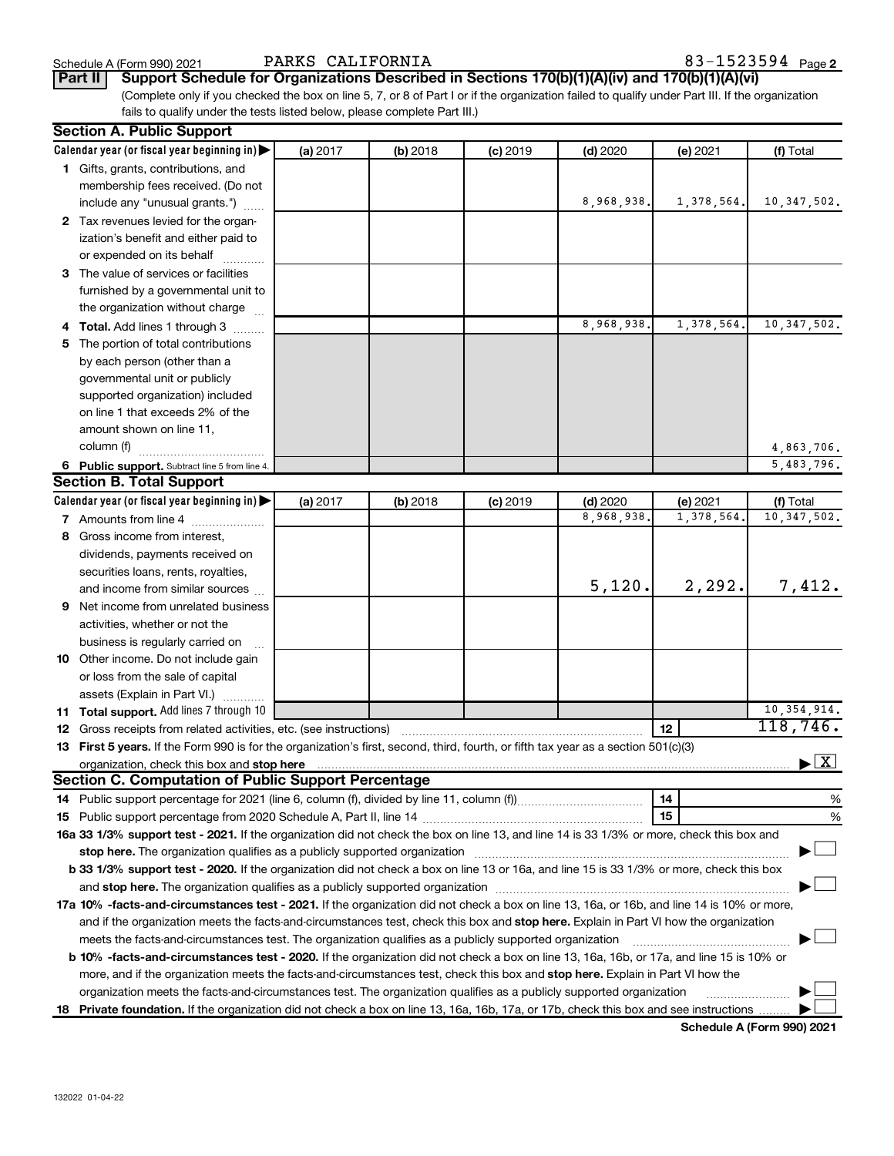Schedule A (Form 990) 2021 **PARKS CALIFORNIA**  $83-1523594$   $_{\text{Page}}$ 

**Part II Support Schedule for Organizations Described in Sections 170(b)(1)(A)(iv) and 170(b)(1)(A)(vi)**

(Complete only if you checked the box on line 5, 7, or 8 of Part I or if the organization failed to qualify under Part III. If the organization fails to qualify under the tests listed below, please complete Part III.)

| <b>Section A. Public Support</b>                                                                                                                                                                                                                 |          |          |            |            |            |                                          |
|--------------------------------------------------------------------------------------------------------------------------------------------------------------------------------------------------------------------------------------------------|----------|----------|------------|------------|------------|------------------------------------------|
| Calendar year (or fiscal year beginning in)                                                                                                                                                                                                      | (a) 2017 | (b) 2018 | $(c)$ 2019 | $(d)$ 2020 | (e) 2021   | (f) Total                                |
| 1 Gifts, grants, contributions, and                                                                                                                                                                                                              |          |          |            |            |            |                                          |
| membership fees received. (Do not                                                                                                                                                                                                                |          |          |            |            |            |                                          |
| include any "unusual grants.")                                                                                                                                                                                                                   |          |          |            | 8,968,938. | 1,378,564. | 10, 347, 502.                            |
| 2 Tax revenues levied for the organ-                                                                                                                                                                                                             |          |          |            |            |            |                                          |
| ization's benefit and either paid to                                                                                                                                                                                                             |          |          |            |            |            |                                          |
| or expended on its behalf                                                                                                                                                                                                                        |          |          |            |            |            |                                          |
| 3 The value of services or facilities                                                                                                                                                                                                            |          |          |            |            |            |                                          |
| furnished by a governmental unit to                                                                                                                                                                                                              |          |          |            |            |            |                                          |
| the organization without charge                                                                                                                                                                                                                  |          |          |            |            |            |                                          |
| 4 Total. Add lines 1 through 3                                                                                                                                                                                                                   |          |          |            | 8,968,938  | 1,378,564. | 10, 347, 502.                            |
| 5 The portion of total contributions                                                                                                                                                                                                             |          |          |            |            |            |                                          |
| by each person (other than a                                                                                                                                                                                                                     |          |          |            |            |            |                                          |
| governmental unit or publicly                                                                                                                                                                                                                    |          |          |            |            |            |                                          |
| supported organization) included                                                                                                                                                                                                                 |          |          |            |            |            |                                          |
| on line 1 that exceeds 2% of the                                                                                                                                                                                                                 |          |          |            |            |            |                                          |
| amount shown on line 11,                                                                                                                                                                                                                         |          |          |            |            |            |                                          |
| column (f)                                                                                                                                                                                                                                       |          |          |            |            |            | 4,863,706.                               |
| 6 Public support. Subtract line 5 from line 4.                                                                                                                                                                                                   |          |          |            |            |            | 5,483,796.                               |
| <b>Section B. Total Support</b>                                                                                                                                                                                                                  |          |          |            |            |            |                                          |
| Calendar year (or fiscal year beginning in)                                                                                                                                                                                                      | (a) 2017 | (b) 2018 | $(c)$ 2019 | $(d)$ 2020 | (e) 2021   | (f) Total                                |
| 7 Amounts from line 4                                                                                                                                                                                                                            |          |          |            | 8,968,938  | 1,378,564  | 10, 347, 502.                            |
| 8 Gross income from interest,                                                                                                                                                                                                                    |          |          |            |            |            |                                          |
| dividends, payments received on                                                                                                                                                                                                                  |          |          |            |            |            |                                          |
| securities loans, rents, royalties,                                                                                                                                                                                                              |          |          |            |            |            |                                          |
| and income from similar sources                                                                                                                                                                                                                  |          |          |            | 5,120.     | 2,292.     | 7,412.                                   |
| 9 Net income from unrelated business                                                                                                                                                                                                             |          |          |            |            |            |                                          |
| activities, whether or not the                                                                                                                                                                                                                   |          |          |            |            |            |                                          |
| business is regularly carried on                                                                                                                                                                                                                 |          |          |            |            |            |                                          |
| 10 Other income. Do not include gain                                                                                                                                                                                                             |          |          |            |            |            |                                          |
|                                                                                                                                                                                                                                                  |          |          |            |            |            |                                          |
| or loss from the sale of capital<br>assets (Explain in Part VI.)                                                                                                                                                                                 |          |          |            |            |            |                                          |
| 11 Total support. Add lines 7 through 10                                                                                                                                                                                                         |          |          |            |            |            | 10, 354, 914.                            |
| <b>12</b> Gross receipts from related activities, etc. (see instructions)                                                                                                                                                                        |          |          |            |            | 12         | 118,746.                                 |
| 13 First 5 years. If the Form 990 is for the organization's first, second, third, fourth, or fifth tax year as a section 501(c)(3)                                                                                                               |          |          |            |            |            |                                          |
| organization, check this box and stop here <b>conservation and conservation</b> construction of the conservation of the conservation of the conservation of the conservation of the conservation of the conservation of the conserv              |          |          |            |            |            | $\blacktriangleright$ $\boxed{\text{X}}$ |
| <b>Section C. Computation of Public Support Percentage</b>                                                                                                                                                                                       |          |          |            |            |            |                                          |
|                                                                                                                                                                                                                                                  |          |          |            |            | 14         | %                                        |
|                                                                                                                                                                                                                                                  |          |          |            |            | 15         | %                                        |
| 16a 33 1/3% support test - 2021. If the organization did not check the box on line 13, and line 14 is 33 1/3% or more, check this box and                                                                                                        |          |          |            |            |            |                                          |
| stop here. The organization qualifies as a publicly supported organization manufactured content and the support of the state of the state of the state of the state of the state of the state of the state of the state of the                   |          |          |            |            |            |                                          |
| b 33 1/3% support test - 2020. If the organization did not check a box on line 13 or 16a, and line 15 is 33 1/3% or more, check this box                                                                                                         |          |          |            |            |            |                                          |
| and stop here. The organization qualifies as a publicly supported organization                                                                                                                                                                   |          |          |            |            |            |                                          |
| 17a 10% -facts-and-circumstances test - 2021. If the organization did not check a box on line 13, 16a, or 16b, and line 14 is 10% or more,                                                                                                       |          |          |            |            |            |                                          |
|                                                                                                                                                                                                                                                  |          |          |            |            |            |                                          |
| and if the organization meets the facts-and-circumstances test, check this box and stop here. Explain in Part VI how the organization<br>meets the facts-and-circumstances test. The organization qualifies as a publicly supported organization |          |          |            |            |            |                                          |
| b 10% -facts-and-circumstances test - 2020. If the organization did not check a box on line 13, 16a, 16b, or 17a, and line 15 is 10% or                                                                                                          |          |          |            |            |            |                                          |
|                                                                                                                                                                                                                                                  |          |          |            |            |            |                                          |
| more, and if the organization meets the facts-and-circumstances test, check this box and stop here. Explain in Part VI how the                                                                                                                   |          |          |            |            |            |                                          |
| organization meets the facts-and-circumstances test. The organization qualifies as a publicly supported organization                                                                                                                             |          |          |            |            |            |                                          |
| 18 Private foundation. If the organization did not check a box on line 13, 16a, 16b, 17a, or 17b, check this box and see instructions                                                                                                            |          |          |            |            |            |                                          |

**Schedule A (Form 990) 2021**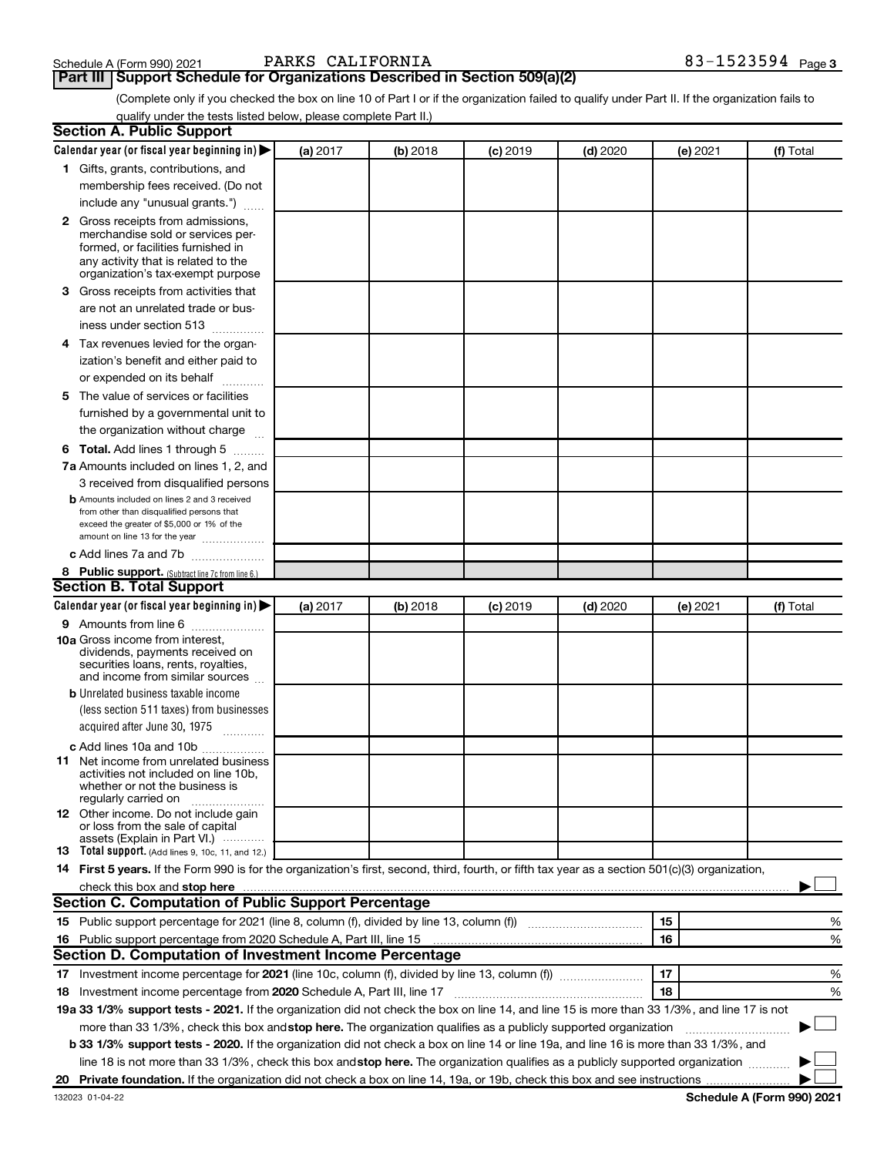**Schedule A (Form 990) 2021** PARKS CALIFORNIA<br>**Part III** | Support Schedule for Organizations Described in Section 509(a)(2)

(Complete only if you checked the box on line 10 of Part I or if the organization failed to qualify under Part II. If the organization fails to qualify under the tests listed below, please complete Part II.)

| <b>Section A. Public Support</b>                                                                                                                                                                                                     |          |            |            |            |          |           |
|--------------------------------------------------------------------------------------------------------------------------------------------------------------------------------------------------------------------------------------|----------|------------|------------|------------|----------|-----------|
| Calendar year (or fiscal year beginning in)                                                                                                                                                                                          | (a) 2017 | (b) 2018   | $(c)$ 2019 | $(d)$ 2020 | (e) 2021 | (f) Total |
| 1 Gifts, grants, contributions, and                                                                                                                                                                                                  |          |            |            |            |          |           |
| membership fees received. (Do not                                                                                                                                                                                                    |          |            |            |            |          |           |
| include any "unusual grants.")                                                                                                                                                                                                       |          |            |            |            |          |           |
| <b>2</b> Gross receipts from admissions,                                                                                                                                                                                             |          |            |            |            |          |           |
| merchandise sold or services per-                                                                                                                                                                                                    |          |            |            |            |          |           |
| formed, or facilities furnished in                                                                                                                                                                                                   |          |            |            |            |          |           |
| any activity that is related to the<br>organization's tax-exempt purpose                                                                                                                                                             |          |            |            |            |          |           |
| 3 Gross receipts from activities that                                                                                                                                                                                                |          |            |            |            |          |           |
| are not an unrelated trade or bus-                                                                                                                                                                                                   |          |            |            |            |          |           |
| iness under section 513                                                                                                                                                                                                              |          |            |            |            |          |           |
| 4 Tax revenues levied for the organ-                                                                                                                                                                                                 |          |            |            |            |          |           |
| ization's benefit and either paid to                                                                                                                                                                                                 |          |            |            |            |          |           |
| or expended on its behalf                                                                                                                                                                                                            |          |            |            |            |          |           |
|                                                                                                                                                                                                                                      |          |            |            |            |          |           |
| 5 The value of services or facilities                                                                                                                                                                                                |          |            |            |            |          |           |
| furnished by a governmental unit to                                                                                                                                                                                                  |          |            |            |            |          |           |
| the organization without charge                                                                                                                                                                                                      |          |            |            |            |          |           |
| 6 Total. Add lines 1 through 5                                                                                                                                                                                                       |          |            |            |            |          |           |
| 7a Amounts included on lines 1, 2, and                                                                                                                                                                                               |          |            |            |            |          |           |
| 3 received from disqualified persons                                                                                                                                                                                                 |          |            |            |            |          |           |
| <b>b</b> Amounts included on lines 2 and 3 received<br>from other than disqualified persons that                                                                                                                                     |          |            |            |            |          |           |
| exceed the greater of \$5,000 or 1% of the                                                                                                                                                                                           |          |            |            |            |          |           |
| amount on line 13 for the year                                                                                                                                                                                                       |          |            |            |            |          |           |
| c Add lines 7a and 7b                                                                                                                                                                                                                |          |            |            |            |          |           |
| 8 Public support. (Subtract line 7c from line 6.)                                                                                                                                                                                    |          |            |            |            |          |           |
| <b>Section B. Total Support</b>                                                                                                                                                                                                      |          |            |            |            |          |           |
| Calendar year (or fiscal year beginning in)                                                                                                                                                                                          | (a) 2017 | $(b)$ 2018 | $(c)$ 2019 | $(d)$ 2020 | (e) 2021 | (f) Total |
| 9 Amounts from line 6                                                                                                                                                                                                                |          |            |            |            |          |           |
| <b>10a</b> Gross income from interest,<br>dividends, payments received on                                                                                                                                                            |          |            |            |            |          |           |
| securities loans, rents, royalties,                                                                                                                                                                                                  |          |            |            |            |          |           |
| and income from similar sources                                                                                                                                                                                                      |          |            |            |            |          |           |
| <b>b</b> Unrelated business taxable income                                                                                                                                                                                           |          |            |            |            |          |           |
| (less section 511 taxes) from businesses                                                                                                                                                                                             |          |            |            |            |          |           |
| acquired after June 30, 1975                                                                                                                                                                                                         |          |            |            |            |          |           |
| c Add lines 10a and 10b                                                                                                                                                                                                              |          |            |            |            |          |           |
| <b>11</b> Net income from unrelated business                                                                                                                                                                                         |          |            |            |            |          |           |
| activities not included on line 10b.<br>whether or not the business is                                                                                                                                                               |          |            |            |            |          |           |
| regularly carried on                                                                                                                                                                                                                 |          |            |            |            |          |           |
| 12 Other income. Do not include gain                                                                                                                                                                                                 |          |            |            |            |          |           |
| or loss from the sale of capital                                                                                                                                                                                                     |          |            |            |            |          |           |
| assets (Explain in Part VI.)<br><b>13</b> Total support. (Add lines 9, 10c, 11, and 12.)                                                                                                                                             |          |            |            |            |          |           |
| 14 First 5 years. If the Form 990 is for the organization's first, second, third, fourth, or fifth tax year as a section 501(c)(3) organization,                                                                                     |          |            |            |            |          |           |
| check this box and stop here <b>contained and according to the set of the set of the set of the set of the set of the set of the set of the set of the set of the set of the set of the set of the set of the set of the set of </b> |          |            |            |            |          |           |
| Section C. Computation of Public Support Percentage                                                                                                                                                                                  |          |            |            |            |          |           |
|                                                                                                                                                                                                                                      |          |            |            |            | 15       | ℅         |
| 16 Public support percentage from 2020 Schedule A, Part III, line 15                                                                                                                                                                 |          |            |            |            | 16       | %         |
| Section D. Computation of Investment Income Percentage                                                                                                                                                                               |          |            |            |            |          |           |
|                                                                                                                                                                                                                                      |          |            |            |            | 17       | %         |
| 18 Investment income percentage from 2020 Schedule A, Part III, line 17                                                                                                                                                              |          |            |            |            | 18       | %         |
| 19a 33 1/3% support tests - 2021. If the organization did not check the box on line 14, and line 15 is more than 33 1/3%, and line 17 is not                                                                                         |          |            |            |            |          |           |
| more than 33 1/3%, check this box and stop here. The organization qualifies as a publicly supported organization                                                                                                                     |          |            |            |            |          |           |
| b 33 1/3% support tests - 2020. If the organization did not check a box on line 14 or line 19a, and line 16 is more than 33 1/3%, and                                                                                                |          |            |            |            |          |           |
| line 18 is not more than 33 1/3%, check this box and stop here. The organization qualifies as a publicly supported organization                                                                                                      |          |            |            |            |          |           |
|                                                                                                                                                                                                                                      |          |            |            |            |          |           |
|                                                                                                                                                                                                                                      |          |            |            |            |          |           |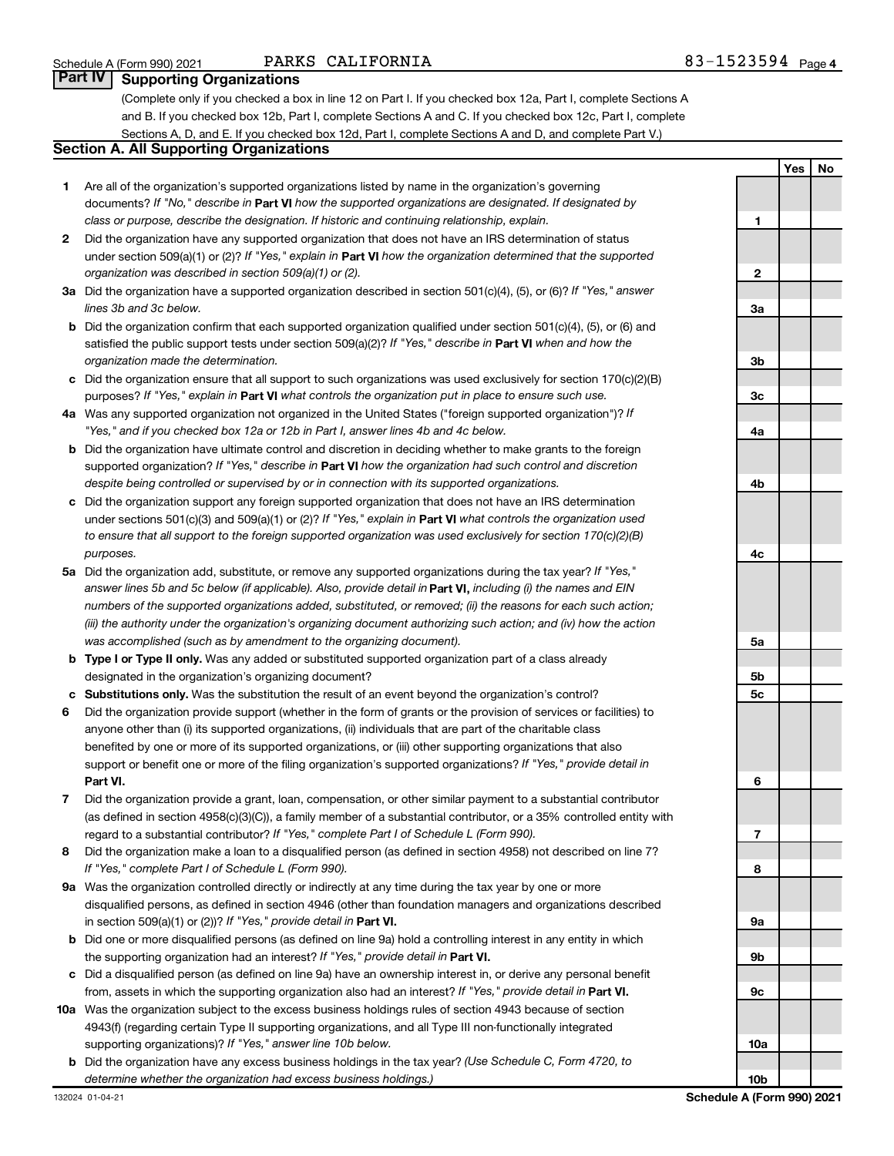## PARKS CALIFORNIA

## **Part IV** | Supporting Organizations

(Complete only if you checked a box in line 12 on Part I. If you checked box 12a, Part I, complete Sections A and B. If you checked box 12b, Part I, complete Sections A and C. If you checked box 12c, Part I, complete Sections A, D, and E. If you checked box 12d, Part I, complete Sections A and D, and complete Part V.)

## **Section A. All Supporting Organizations**

- **1** Are all of the organization's supported organizations listed by name in the organization's governing documents? If "No," describe in Part VI how the supported organizations are designated. If designated by *class or purpose, describe the designation. If historic and continuing relationship, explain.*
- **2** Did the organization have any supported organization that does not have an IRS determination of status under section 509(a)(1) or (2)? If "Yes," explain in Part **VI** how the organization determined that the supported *organization was described in section 509(a)(1) or (2).*
- **3a** Did the organization have a supported organization described in section 501(c)(4), (5), or (6)? If "Yes," answer *lines 3b and 3c below.*
- **b** Did the organization confirm that each supported organization qualified under section 501(c)(4), (5), or (6) and satisfied the public support tests under section 509(a)(2)? If "Yes," describe in Part VI when and how the *organization made the determination.*
- **c** Did the organization ensure that all support to such organizations was used exclusively for section 170(c)(2)(B) purposes? If "Yes," explain in Part VI what controls the organization put in place to ensure such use.
- **4 a** *If* Was any supported organization not organized in the United States ("foreign supported organization")? *"Yes," and if you checked box 12a or 12b in Part I, answer lines 4b and 4c below.*
- **b** Did the organization have ultimate control and discretion in deciding whether to make grants to the foreign supported organization? If "Yes," describe in Part VI how the organization had such control and discretion *despite being controlled or supervised by or in connection with its supported organizations.*
- **c** Did the organization support any foreign supported organization that does not have an IRS determination under sections 501(c)(3) and 509(a)(1) or (2)? If "Yes," explain in Part VI what controls the organization used *to ensure that all support to the foreign supported organization was used exclusively for section 170(c)(2)(B) purposes.*
- **5a** Did the organization add, substitute, or remove any supported organizations during the tax year? If "Yes," answer lines 5b and 5c below (if applicable). Also, provide detail in **Part VI,** including (i) the names and EIN *numbers of the supported organizations added, substituted, or removed; (ii) the reasons for each such action; (iii) the authority under the organization's organizing document authorizing such action; and (iv) how the action was accomplished (such as by amendment to the organizing document).*
- **b Type I or Type II only.** Was any added or substituted supported organization part of a class already designated in the organization's organizing document?
- **c Substitutions only.**  Was the substitution the result of an event beyond the organization's control?
- **6** Did the organization provide support (whether in the form of grants or the provision of services or facilities) to **Part VI.** support or benefit one or more of the filing organization's supported organizations? If "Yes," provide detail in anyone other than (i) its supported organizations, (ii) individuals that are part of the charitable class benefited by one or more of its supported organizations, or (iii) other supporting organizations that also
- **7** Did the organization provide a grant, loan, compensation, or other similar payment to a substantial contributor regard to a substantial contributor? If "Yes," complete Part I of Schedule L (Form 990). (as defined in section 4958(c)(3)(C)), a family member of a substantial contributor, or a 35% controlled entity with
- **8** Did the organization make a loan to a disqualified person (as defined in section 4958) not described on line 7? *If "Yes," complete Part I of Schedule L (Form 990).*
- **9 a** Was the organization controlled directly or indirectly at any time during the tax year by one or more in section 509(a)(1) or (2))? If "Yes," provide detail in **Part VI.** disqualified persons, as defined in section 4946 (other than foundation managers and organizations described
- **b** Did one or more disqualified persons (as defined on line 9a) hold a controlling interest in any entity in which the supporting organization had an interest? If "Yes," provide detail in Part VI.
- **c** Did a disqualified person (as defined on line 9a) have an ownership interest in, or derive any personal benefit from, assets in which the supporting organization also had an interest? If "Yes," provide detail in Part VI.
- **10 a** Was the organization subject to the excess business holdings rules of section 4943 because of section supporting organizations)? If "Yes," answer line 10b below. 4943(f) (regarding certain Type II supporting organizations, and all Type III non-functionally integrated
	- **b** Did the organization have any excess business holdings in the tax year? (Use Schedule C, Form 4720, to *determine whether the organization had excess business holdings.)*

|                 | Yes | <u>No</u> |
|-----------------|-----|-----------|
|                 |     |           |
| 1               |     |           |
|                 |     |           |
| $\overline{2}$  |     |           |
|                 |     |           |
| 3a              |     |           |
|                 |     |           |
| 3b              |     |           |
|                 |     |           |
| 3 <sub>c</sub>  |     |           |
| 4a              |     |           |
|                 |     |           |
| 4b              |     |           |
|                 |     |           |
| 4c              |     |           |
|                 |     |           |
| 5a              |     |           |
|                 |     |           |
| 5b              |     |           |
| 5c              |     |           |
| 6               |     |           |
|                 |     |           |
| 7               |     |           |
|                 |     |           |
| 8               |     |           |
|                 |     |           |
| 9а              |     |           |
|                 |     |           |
| 9b              |     |           |
| 9с              |     |           |
|                 |     |           |
| 10a             |     |           |
| 10 <sub>b</sub> |     |           |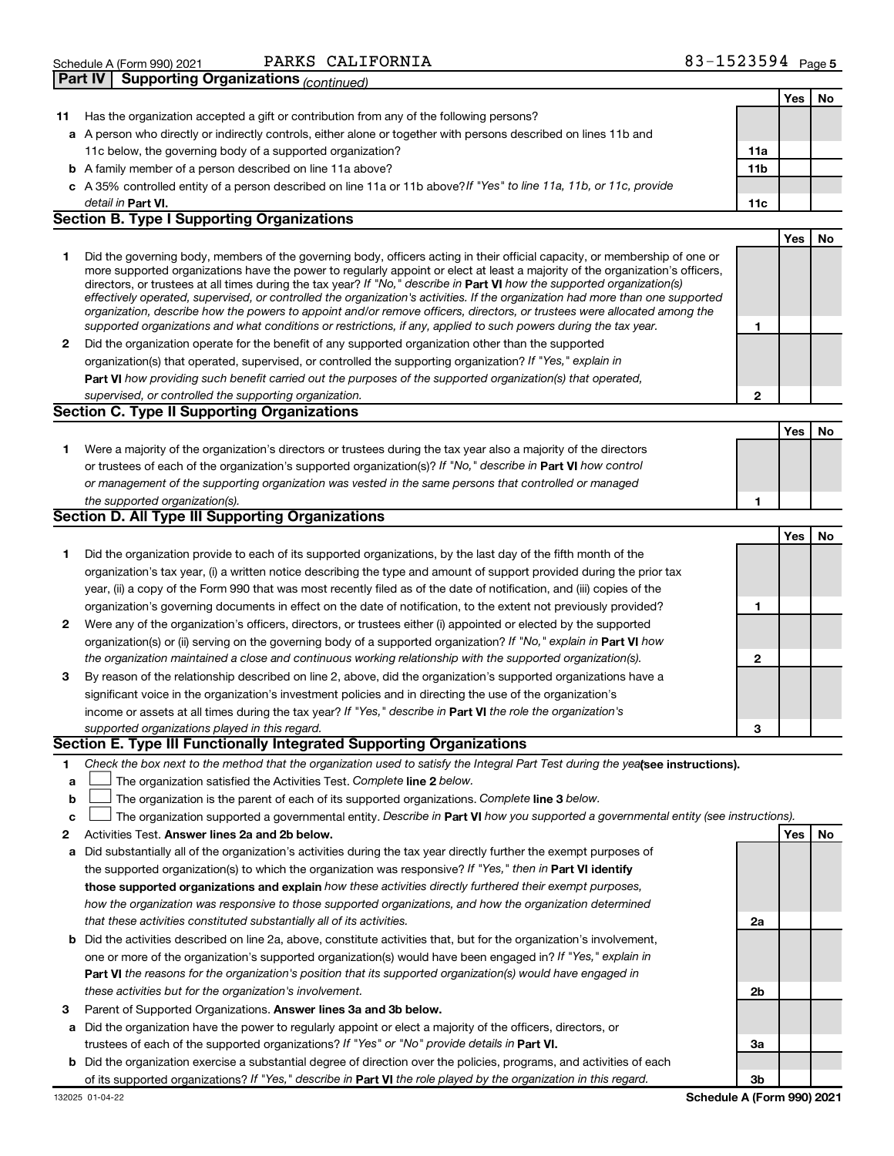| Schedule A (Form 990) 2021 | CALIFORNIA<br>PARKS                         | 1523594<br>Page 5<br><u> - </u> |
|----------------------------|---------------------------------------------|---------------------------------|
| <b>Part IV</b>             | <b>Supporting Organizations (continued)</b> |                                 |

|    | oupporting organizations <sub>(CONTINUEG)</sub>                                                                                                                                                                                                                                                                                                                                        |                 |     |    |
|----|----------------------------------------------------------------------------------------------------------------------------------------------------------------------------------------------------------------------------------------------------------------------------------------------------------------------------------------------------------------------------------------|-----------------|-----|----|
|    |                                                                                                                                                                                                                                                                                                                                                                                        |                 | Yes | No |
| 11 | Has the organization accepted a gift or contribution from any of the following persons?                                                                                                                                                                                                                                                                                                |                 |     |    |
|    | a A person who directly or indirectly controls, either alone or together with persons described on lines 11b and                                                                                                                                                                                                                                                                       |                 |     |    |
|    | 11c below, the governing body of a supported organization?                                                                                                                                                                                                                                                                                                                             | 11a             |     |    |
|    | <b>b</b> A family member of a person described on line 11a above?                                                                                                                                                                                                                                                                                                                      | 11 <sub>b</sub> |     |    |
|    | c A 35% controlled entity of a person described on line 11a or 11b above? If "Yes" to line 11a, 11b, or 11c, provide                                                                                                                                                                                                                                                                   |                 |     |    |
|    | detail in Part VI.<br><b>Section B. Type I Supporting Organizations</b>                                                                                                                                                                                                                                                                                                                | 11c             |     |    |
|    |                                                                                                                                                                                                                                                                                                                                                                                        |                 |     |    |
| 1  | Did the governing body, members of the governing body, officers acting in their official capacity, or membership of one or<br>more supported organizations have the power to regularly appoint or elect at least a majority of the organization's officers,<br>directors, or trustees at all times during the tax year? If "No," describe in Part VI how the supported organization(s) |                 | Yes | No |
|    | effectively operated, supervised, or controlled the organization's activities. If the organization had more than one supported<br>organization, describe how the powers to appoint and/or remove officers, directors, or trustees were allocated among the<br>supported organizations and what conditions or restrictions, if any, applied to such powers during the tax year.         | 1               |     |    |
| 2  | Did the organization operate for the benefit of any supported organization other than the supported                                                                                                                                                                                                                                                                                    |                 |     |    |
|    | organization(s) that operated, supervised, or controlled the supporting organization? If "Yes," explain in                                                                                                                                                                                                                                                                             |                 |     |    |
|    | Part VI how providing such benefit carried out the purposes of the supported organization(s) that operated,                                                                                                                                                                                                                                                                            |                 |     |    |
|    | supervised, or controlled the supporting organization.                                                                                                                                                                                                                                                                                                                                 | 2               |     |    |
|    | <b>Section C. Type II Supporting Organizations</b>                                                                                                                                                                                                                                                                                                                                     |                 |     |    |
|    |                                                                                                                                                                                                                                                                                                                                                                                        |                 | Yes | No |
| 1  | Were a majority of the organization's directors or trustees during the tax year also a majority of the directors                                                                                                                                                                                                                                                                       |                 |     |    |
|    | or trustees of each of the organization's supported organization(s)? If "No," describe in Part VI how control                                                                                                                                                                                                                                                                          |                 |     |    |
|    | or management of the supporting organization was vested in the same persons that controlled or managed                                                                                                                                                                                                                                                                                 |                 |     |    |
|    | the supported organization(s).                                                                                                                                                                                                                                                                                                                                                         | 1               |     |    |
|    | <b>Section D. All Type III Supporting Organizations</b>                                                                                                                                                                                                                                                                                                                                |                 |     |    |
|    |                                                                                                                                                                                                                                                                                                                                                                                        |                 | Yes | No |
| 1  | Did the organization provide to each of its supported organizations, by the last day of the fifth month of the                                                                                                                                                                                                                                                                         |                 |     |    |
|    | organization's tax year, (i) a written notice describing the type and amount of support provided during the prior tax                                                                                                                                                                                                                                                                  |                 |     |    |
|    | year, (ii) a copy of the Form 990 that was most recently filed as of the date of notification, and (iii) copies of the                                                                                                                                                                                                                                                                 |                 |     |    |
|    | organization's governing documents in effect on the date of notification, to the extent not previously provided?                                                                                                                                                                                                                                                                       | 1               |     |    |
| 2  | Were any of the organization's officers, directors, or trustees either (i) appointed or elected by the supported                                                                                                                                                                                                                                                                       |                 |     |    |
|    | organization(s) or (ii) serving on the governing body of a supported organization? If "No," explain in Part VI how                                                                                                                                                                                                                                                                     |                 |     |    |
|    | the organization maintained a close and continuous working relationship with the supported organization(s).                                                                                                                                                                                                                                                                            | 2               |     |    |
| 3  | By reason of the relationship described on line 2, above, did the organization's supported organizations have a                                                                                                                                                                                                                                                                        |                 |     |    |
|    | significant voice in the organization's investment policies and in directing the use of the organization's                                                                                                                                                                                                                                                                             |                 |     |    |
|    | income or assets at all times during the tax year? If "Yes," describe in Part VI the role the organization's                                                                                                                                                                                                                                                                           |                 |     |    |
|    | supported organizations played in this regard.                                                                                                                                                                                                                                                                                                                                         | з               |     |    |
|    | Section E. Type III Functionally Integrated Supporting Organizations                                                                                                                                                                                                                                                                                                                   |                 |     |    |
| 1  | Check the box next to the method that the organization used to satisfy the Integral Part Test during the yealsee instructions).                                                                                                                                                                                                                                                        |                 |     |    |
| a  | The organization satisfied the Activities Test. Complete line 2 below.                                                                                                                                                                                                                                                                                                                 |                 |     |    |
| b  | The organization is the parent of each of its supported organizations. Complete line 3 below.                                                                                                                                                                                                                                                                                          |                 |     |    |
| c  | The organization supported a governmental entity. Describe in Part VI how you supported a governmental entity (see instructions).                                                                                                                                                                                                                                                      |                 |     |    |
| 2  | Activities Test. Answer lines 2a and 2b below.                                                                                                                                                                                                                                                                                                                                         |                 | Yes | No |
| а  | Did substantially all of the organization's activities during the tax year directly further the exempt purposes of                                                                                                                                                                                                                                                                     |                 |     |    |
|    | the supported organization(s) to which the organization was responsive? If "Yes," then in Part VI identify                                                                                                                                                                                                                                                                             |                 |     |    |
|    | those supported organizations and explain how these activities directly furthered their exempt purposes,                                                                                                                                                                                                                                                                               |                 |     |    |
|    | how the organization was responsive to those supported organizations, and how the organization determined                                                                                                                                                                                                                                                                              |                 |     |    |
|    | that these activities constituted substantially all of its activities.                                                                                                                                                                                                                                                                                                                 | 2a              |     |    |
| b  | Did the activities described on line 2a, above, constitute activities that, but for the organization's involvement,<br>one or more of the organization's supported organization(s) would have been engaged in? If "Yes," explain in                                                                                                                                                    |                 |     |    |
|    | <b>Part VI</b> the reasons for the organization's position that its supported organization(s) would have engaged in                                                                                                                                                                                                                                                                    |                 |     |    |
|    | these activities but for the organization's involvement.                                                                                                                                                                                                                                                                                                                               | 2b              |     |    |
| З  | Parent of Supported Organizations. Answer lines 3a and 3b below.                                                                                                                                                                                                                                                                                                                       |                 |     |    |
|    |                                                                                                                                                                                                                                                                                                                                                                                        |                 |     |    |

**3a**

**a** Did the organization have the power to regularly appoint or elect a majority of the officers, directors, or trustees of each of the supported organizations? If "Yes" or "No" provide details in Part VI.

**b** Did the organization exercise a substantial degree of direction over the policies, programs, and activities of each of its supported organizations? If "Yes," describe in Part VI the role played by the organization in this regard.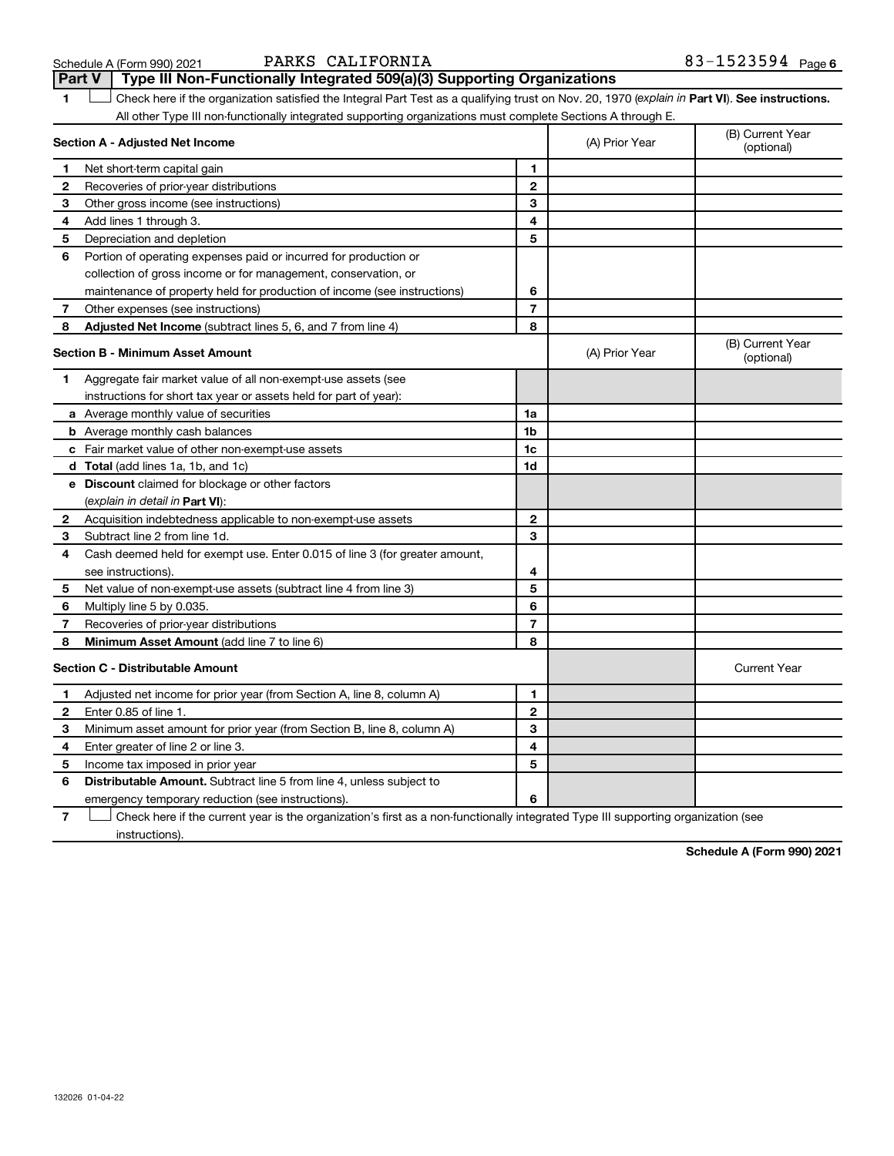| Schedule A (Form 990) 202 |  |  |
|---------------------------|--|--|
|---------------------------|--|--|

## Schedule A (Form 990) 2021 PARKS CALIFORNIA 83-1523594 Page

**1 Part VI** Check here if the organization satisfied the Integral Part Test as a qualifying trust on Nov. 20, 1970 (*explain in* Part **VI**). See instructions. **Section A - Adjusted Net Income 1 2 3 4 5 6 7 8 1 2 3 4 5 6 7 Adjusted Net Income** (subtract lines 5, 6, and 7 from line 4) **8 8 Section B - Minimum Asset Amount 1 2 3 4 5 6 7 8 a** Average monthly value of securities **b** Average monthly cash balances **c** Fair market value of other non-exempt-use assets **d Total**  (add lines 1a, 1b, and 1c) **e Discount** claimed for blockage or other factors **1a 1b 1c 1d 2 3 4 5 6 7 8** (explain in detail in Part VI): **Minimum Asset Amount**  (add line 7 to line 6) **Section C - Distributable Amount 1 2 3 4 5 6 1 2 3 4 5 6** Distributable Amount. Subtract line 5 from line 4, unless subject to All other Type III non-functionally integrated supporting organizations must complete Sections A through E. (B) Current Year (A) Prior Year Net short-term capital gain Recoveries of prior-year distributions Other gross income (see instructions) Add lines 1 through 3. Depreciation and depletion Portion of operating expenses paid or incurred for production or collection of gross income or for management, conservation, or maintenance of property held for production of income (see instructions) Other expenses (see instructions) (B) Current Year  $(A)$  Prior Year  $\left\{\n\begin{array}{ccc}\n\end{array}\n\right\}$  (optional) Aggregate fair market value of all non-exempt-use assets (see instructions for short tax year or assets held for part of year): Acquisition indebtedness applicable to non-exempt-use assets Subtract line 2 from line 1d. Cash deemed held for exempt use. Enter 0.015 of line 3 (for greater amount, see instructions). Net value of non-exempt-use assets (subtract line 4 from line 3) Multiply line 5 by 0.035. Recoveries of prior-year distributions Current Year Adjusted net income for prior year (from Section A, line 8, column A) Enter 0.85 of line 1. Minimum asset amount for prior year (from Section B, line 8, column A) Enter greater of line 2 or line 3. Income tax imposed in prior year emergency temporary reduction (see instructions). **Part V Type III Non-Functionally Integrated 509(a)(3) Supporting Organizations**   $\Box$ 

**7** Check here if the current year is the organization's first as a non-functionally integrated Type III supporting organization (see † instructions).

**Schedule A (Form 990) 2021**

132026 01-04-22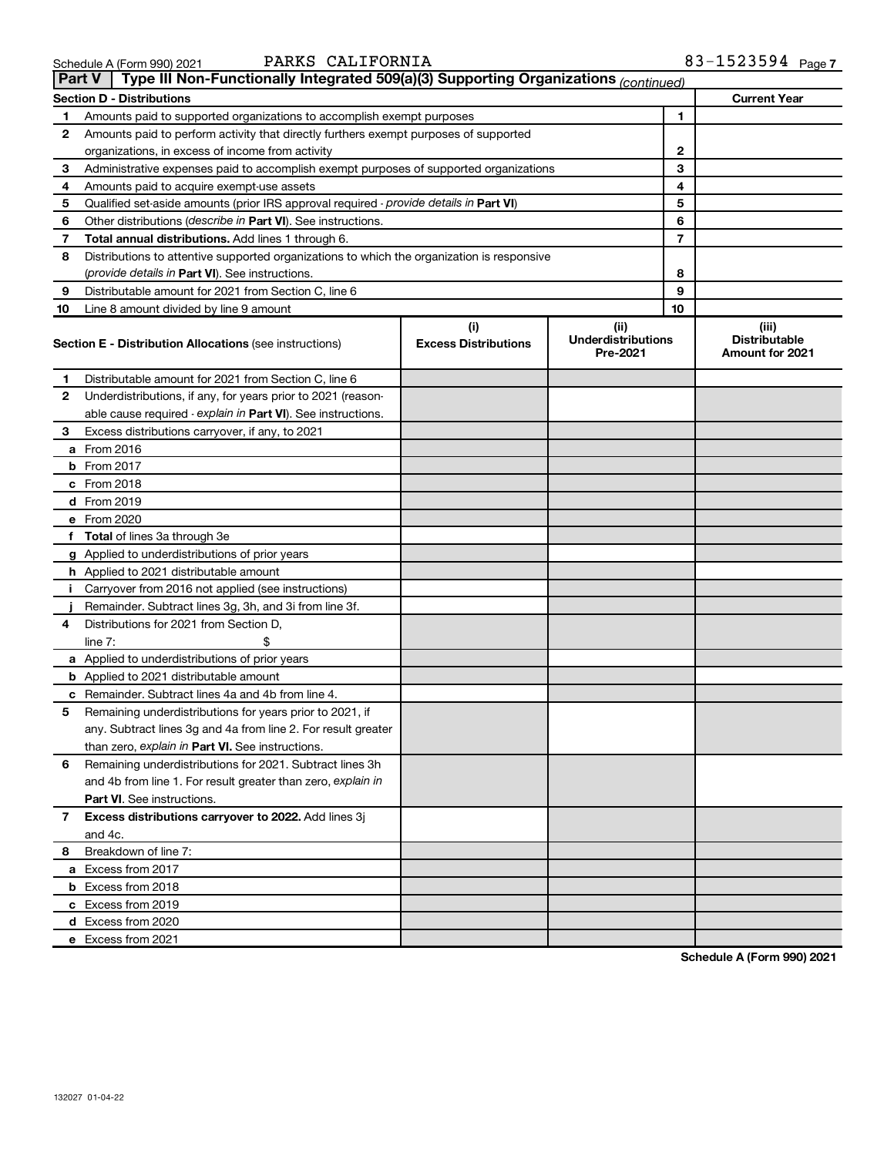| 3chedule A (Form 990) 2021 |  |  |
|----------------------------|--|--|
|                            |  |  |

## Schedule A (Form 990) 2021 PARKS CALIFORNIA 83-1523594 Page

83-1523594 Page 7

|    | Type III Non-Functionally Integrated 509(a)(3) Supporting Organizations (continued)<br><b>Part V</b> |                             |                                       |                                                |
|----|------------------------------------------------------------------------------------------------------|-----------------------------|---------------------------------------|------------------------------------------------|
|    | <b>Section D - Distributions</b>                                                                     |                             |                                       | <b>Current Year</b>                            |
| 1  | Amounts paid to supported organizations to accomplish exempt purposes                                |                             | 1                                     |                                                |
| 2  | Amounts paid to perform activity that directly furthers exempt purposes of supported                 |                             |                                       |                                                |
|    | organizations, in excess of income from activity                                                     |                             | 2                                     |                                                |
| 3  | Administrative expenses paid to accomplish exempt purposes of supported organizations                |                             | 3                                     |                                                |
| 4  | Amounts paid to acquire exempt-use assets                                                            |                             | 4                                     |                                                |
| 5  | Qualified set-aside amounts (prior IRS approval required - provide details in Part VI)               |                             | 5                                     |                                                |
| 6  | Other distributions ( <i>describe in Part VI</i> ). See instructions.                                |                             | 6                                     |                                                |
| 7  | Total annual distributions. Add lines 1 through 6.                                                   |                             | 7                                     |                                                |
| 8  | Distributions to attentive supported organizations to which the organization is responsive           |                             |                                       |                                                |
|    | ( <i>provide details in Part VI</i> ). See instructions.                                             |                             | 8                                     |                                                |
| 9  | Distributable amount for 2021 from Section C, line 6                                                 |                             | 9                                     |                                                |
| 10 | Line 8 amount divided by line 9 amount                                                               |                             | 10                                    |                                                |
|    |                                                                                                      | (i)                         | (ii)                                  | (iii)                                          |
|    | <b>Section E - Distribution Allocations (see instructions)</b>                                       | <b>Excess Distributions</b> | <b>Underdistributions</b><br>Pre-2021 | <b>Distributable</b><br><b>Amount for 2021</b> |
| 1. | Distributable amount for 2021 from Section C, line 6                                                 |                             |                                       |                                                |
| 2  | Underdistributions, if any, for years prior to 2021 (reason-                                         |                             |                                       |                                                |
|    | able cause required - explain in Part VI). See instructions.                                         |                             |                                       |                                                |
| 3  | Excess distributions carryover, if any, to 2021                                                      |                             |                                       |                                                |
|    | a From 2016                                                                                          |                             |                                       |                                                |
|    | <b>b</b> From 2017                                                                                   |                             |                                       |                                                |
|    | c From 2018                                                                                          |                             |                                       |                                                |
|    | d From 2019                                                                                          |                             |                                       |                                                |
|    | e From 2020                                                                                          |                             |                                       |                                                |
|    | f Total of lines 3a through 3e                                                                       |                             |                                       |                                                |
|    | g Applied to underdistributions of prior years                                                       |                             |                                       |                                                |
|    | <b>h</b> Applied to 2021 distributable amount                                                        |                             |                                       |                                                |
| Ť. | Carryover from 2016 not applied (see instructions)                                                   |                             |                                       |                                                |
|    | Remainder. Subtract lines 3g, 3h, and 3i from line 3f.                                               |                             |                                       |                                                |
| 4  | Distributions for 2021 from Section D,                                                               |                             |                                       |                                                |
|    | line $7:$                                                                                            |                             |                                       |                                                |
|    | a Applied to underdistributions of prior years                                                       |                             |                                       |                                                |
|    | <b>b</b> Applied to 2021 distributable amount                                                        |                             |                                       |                                                |
| с  | Remainder. Subtract lines 4a and 4b from line 4.                                                     |                             |                                       |                                                |
| 5  | Remaining underdistributions for years prior to 2021, if                                             |                             |                                       |                                                |
|    | any. Subtract lines 3g and 4a from line 2. For result greater                                        |                             |                                       |                                                |
|    | than zero, explain in Part VI. See instructions.                                                     |                             |                                       |                                                |
| 6  | Remaining underdistributions for 2021. Subtract lines 3h                                             |                             |                                       |                                                |
|    | and 4b from line 1. For result greater than zero, explain in                                         |                             |                                       |                                                |
|    | <b>Part VI.</b> See instructions.                                                                    |                             |                                       |                                                |
| 7  | Excess distributions carryover to 2022. Add lines 3j                                                 |                             |                                       |                                                |
|    | and 4c.                                                                                              |                             |                                       |                                                |
| 8  | Breakdown of line 7:                                                                                 |                             |                                       |                                                |
|    | a Excess from 2017                                                                                   |                             |                                       |                                                |
|    | <b>b</b> Excess from 2018                                                                            |                             |                                       |                                                |
|    | c Excess from 2019                                                                                   |                             |                                       |                                                |
|    | d Excess from 2020                                                                                   |                             |                                       |                                                |
|    | e Excess from 2021                                                                                   |                             |                                       |                                                |

**Schedule A (Form 990) 2021**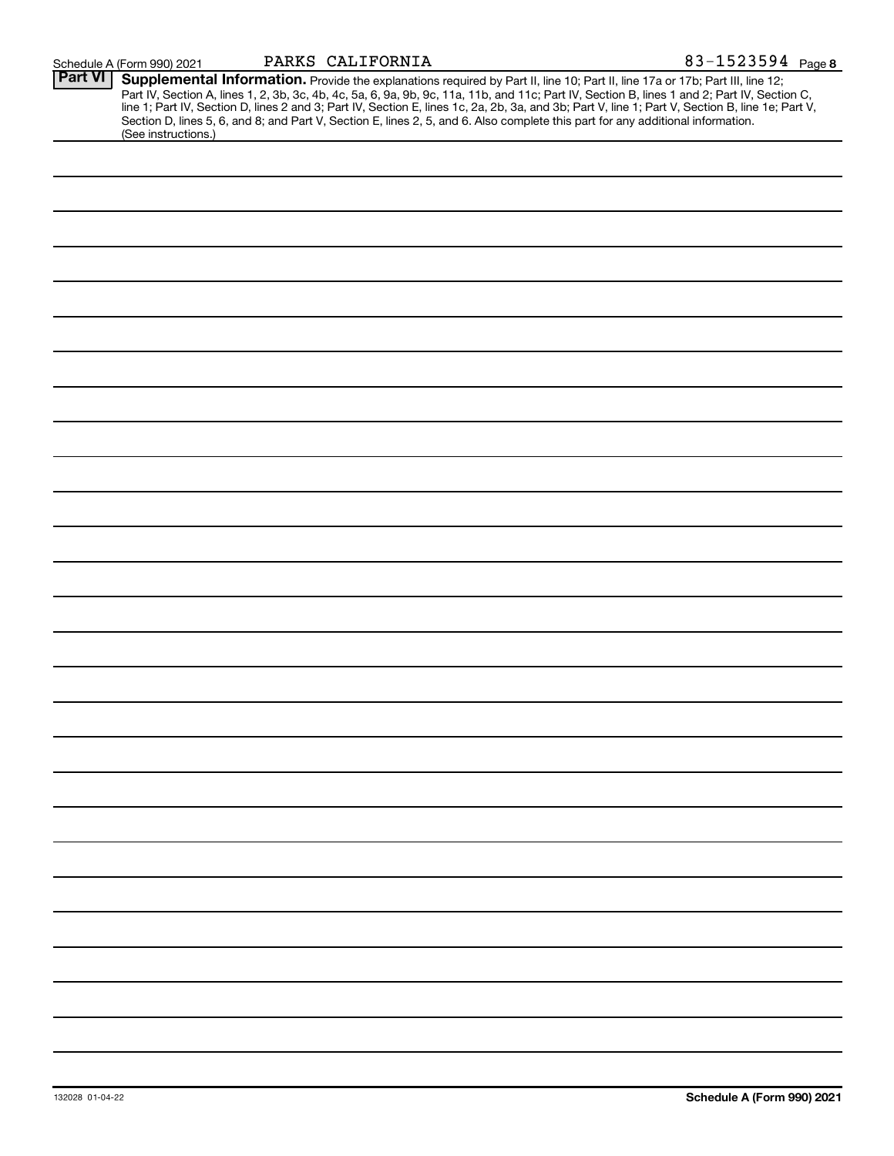| <b>Part VI</b> | Supplemental Information. Provide the explanations required by Part II, line 10; Part II, line 17a or 17b; Part III, line 12;                                                                                                    |
|----------------|----------------------------------------------------------------------------------------------------------------------------------------------------------------------------------------------------------------------------------|
|                | Part IV, Section A, lines 1, 2, 3b, 3c, 4b, 4c, 5a, 6, 9a, 9b, 9c, 11a, 11b, and 11c; Part IV, Section B, lines 1 and 2; Part IV, Section C,<br>line 1; Part IV, Section D, lines 2 and 3; Part IV, Section E, lines 1c, 2a, 2b, |
|                |                                                                                                                                                                                                                                  |
|                | Section D, lines 5, 6, and 8; and Part V, Section E, lines 2, 5, and 6. Also complete this part for any additional information.<br>(See instructions.)                                                                           |
|                |                                                                                                                                                                                                                                  |
|                |                                                                                                                                                                                                                                  |
|                |                                                                                                                                                                                                                                  |
|                |                                                                                                                                                                                                                                  |
|                |                                                                                                                                                                                                                                  |
|                |                                                                                                                                                                                                                                  |
|                |                                                                                                                                                                                                                                  |
|                |                                                                                                                                                                                                                                  |
|                |                                                                                                                                                                                                                                  |
|                |                                                                                                                                                                                                                                  |
|                |                                                                                                                                                                                                                                  |
|                |                                                                                                                                                                                                                                  |
|                |                                                                                                                                                                                                                                  |
|                |                                                                                                                                                                                                                                  |
|                |                                                                                                                                                                                                                                  |
|                |                                                                                                                                                                                                                                  |
|                |                                                                                                                                                                                                                                  |
|                |                                                                                                                                                                                                                                  |
|                |                                                                                                                                                                                                                                  |
|                |                                                                                                                                                                                                                                  |
|                |                                                                                                                                                                                                                                  |
|                |                                                                                                                                                                                                                                  |
|                |                                                                                                                                                                                                                                  |
|                |                                                                                                                                                                                                                                  |
|                |                                                                                                                                                                                                                                  |
|                |                                                                                                                                                                                                                                  |
|                |                                                                                                                                                                                                                                  |
|                |                                                                                                                                                                                                                                  |
|                |                                                                                                                                                                                                                                  |
|                |                                                                                                                                                                                                                                  |
|                |                                                                                                                                                                                                                                  |
|                |                                                                                                                                                                                                                                  |
|                |                                                                                                                                                                                                                                  |
|                |                                                                                                                                                                                                                                  |
|                |                                                                                                                                                                                                                                  |
|                |                                                                                                                                                                                                                                  |
|                |                                                                                                                                                                                                                                  |
|                |                                                                                                                                                                                                                                  |
|                |                                                                                                                                                                                                                                  |
|                |                                                                                                                                                                                                                                  |
|                |                                                                                                                                                                                                                                  |
|                |                                                                                                                                                                                                                                  |
|                |                                                                                                                                                                                                                                  |
|                |                                                                                                                                                                                                                                  |
|                |                                                                                                                                                                                                                                  |
|                |                                                                                                                                                                                                                                  |
|                |                                                                                                                                                                                                                                  |
|                |                                                                                                                                                                                                                                  |
|                |                                                                                                                                                                                                                                  |
|                |                                                                                                                                                                                                                                  |
|                |                                                                                                                                                                                                                                  |
|                |                                                                                                                                                                                                                                  |
|                |                                                                                                                                                                                                                                  |
|                |                                                                                                                                                                                                                                  |
|                |                                                                                                                                                                                                                                  |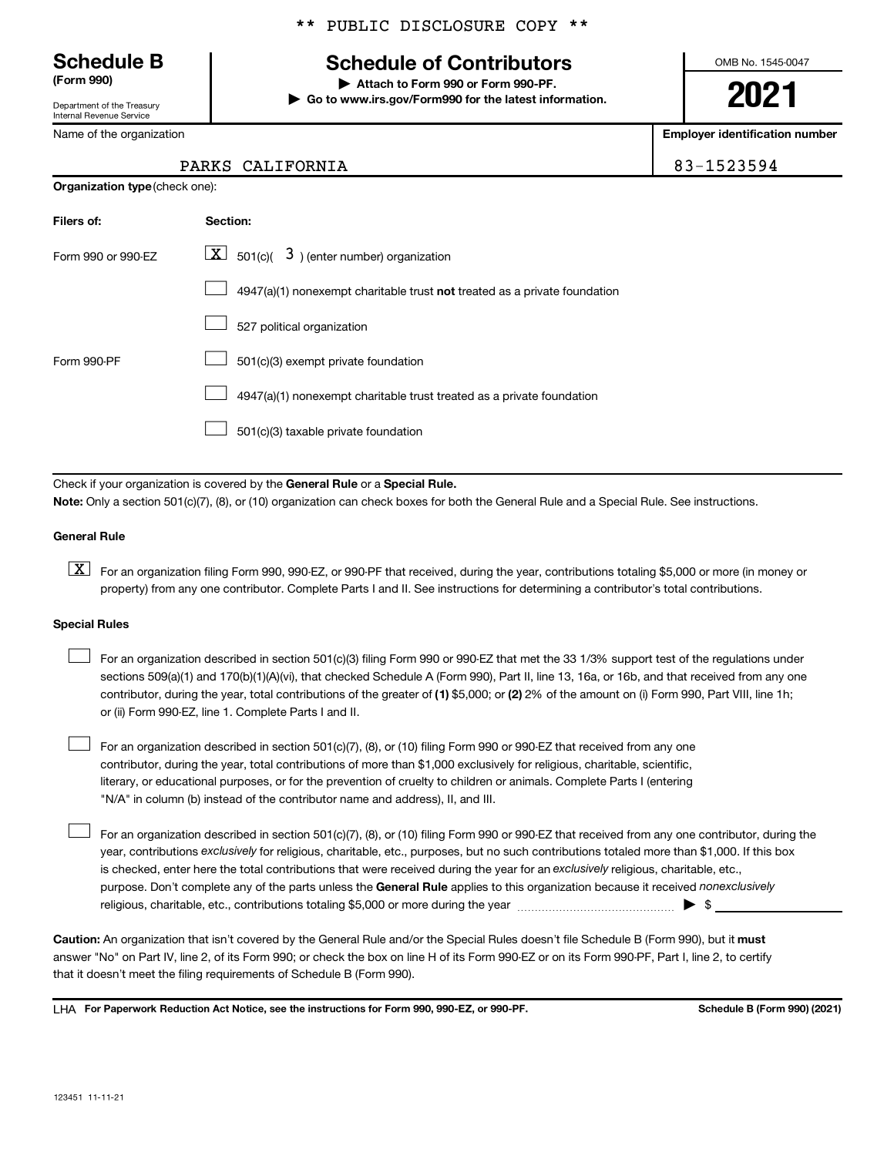Department of the Treasury Internal Revenue Service

Name of the organization

**Organization type** (check one):

## \*\* PUBLIC DISCLOSURE COPY \*\*

## **Schedule B Schedule of Contributors**

**(Form 990) | Attach to Form 990 or Form 990-PF. | Go to www.irs.gov/Form990 for the latest information.** OMB No. 1545-0047

**2021**

**Employer identification number**

| PARKS CALIFORNIA | -1523594<br>$83 - 1$ |
|------------------|----------------------|
|------------------|----------------------|

| Filers of:         | Section:                                                                           |
|--------------------|------------------------------------------------------------------------------------|
| Form 990 or 990-EZ | $\boxed{\textbf{X}}$ 501(c)( 3) (enter number) organization                        |
|                    | $4947(a)(1)$ nonexempt charitable trust <b>not</b> treated as a private foundation |
|                    | 527 political organization                                                         |
| Form 990-PF        | 501(c)(3) exempt private foundation                                                |
|                    | 4947(a)(1) nonexempt charitable trust treated as a private foundation              |
|                    | 501(c)(3) taxable private foundation                                               |

Check if your organization is covered by the General Rule or a Special Rule.

**Note:**  Only a section 501(c)(7), (8), or (10) organization can check boxes for both the General Rule and a Special Rule. See instructions.

## **General Rule**

**K** For an organization filing Form 990, 990-EZ, or 990-PF that received, during the year, contributions totaling \$5,000 or more (in money or property) from any one contributor. Complete Parts I and II. See instructions for determining a contributor's total contributions.

## **Special Rules**

 $\Box$ 

contributor, during the year, total contributions of the greater of (1) \$5,000; or (2) 2% of the amount on (i) Form 990, Part VIII, line 1h; For an organization described in section 501(c)(3) filing Form 990 or 990-EZ that met the 33 1/3% support test of the regulations under sections 509(a)(1) and 170(b)(1)(A)(vi), that checked Schedule A (Form 990), Part II, line 13, 16a, or 16b, and that received from any one or (ii) Form 990-EZ, line 1. Complete Parts I and II.  $\Box$ 

For an organization described in section 501(c)(7), (8), or (10) filing Form 990 or 990-EZ that received from any one contributor, during the year, total contributions of more than \$1,000 exclusively for religious, charitable, scientific, literary, or educational purposes, or for the prevention of cruelty to children or animals. Complete Parts I (entering "N/A" in column (b) instead of the contributor name and address), II, and III.  $\Box$ 

purpose. Don't complete any of the parts unless the General Rule applies to this organization because it received nonexclusively year, contributions exclusively for religious, charitable, etc., purposes, but no such contributions totaled more than \$1,000. If this box is checked, enter here the total contributions that were received during the year for an exclusively religious, charitable, etc., For an organization described in section 501(c)(7), (8), or (10) filing Form 990 or 990-EZ that received from any one contributor, during the religious, charitable, etc., contributions totaling \$5,000 or more during the year  $\ldots$  $\ldots$  $\ldots$  $\ldots$  $\ldots$  $\ldots$ 

Caution: An organization that isn't covered by the General Rule and/or the Special Rules doesn't file Schedule B (Form 990), but it must answer "No" on Part IV, line 2, of its Form 990; or check the box on line H of its Form 990-EZ or on its Form 990-PF, Part I, line 2, to certify that it doesn't meet the filing requirements of Schedule B (Form 990).

LHA For Paperwork Reduction Act Notice, see the instructions for Form 990, 990-EZ, or 990-PF. **Schell B (Form 990)** (2021)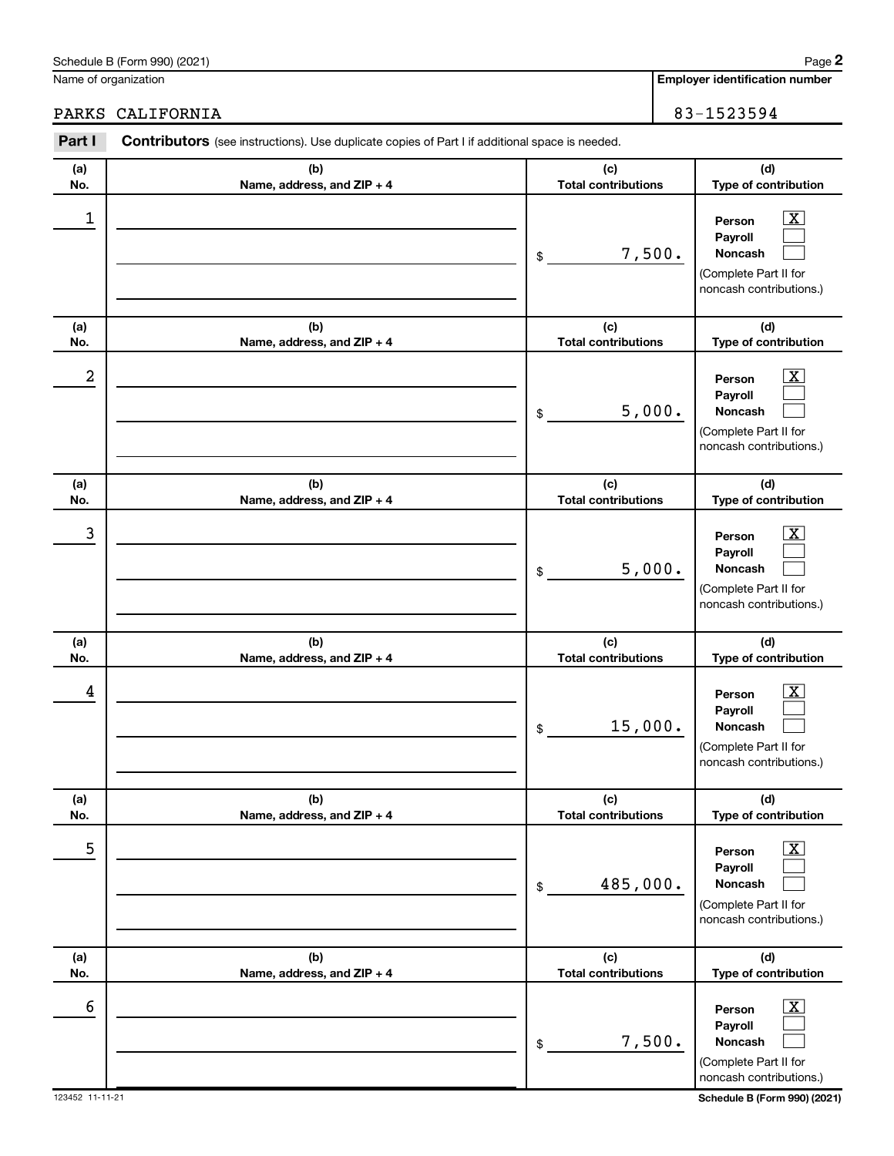| n |  |
|---|--|

| (a)<br>No.           | (b)<br>Name, address, and ZIP + 4 | (c)<br><b>Total contributions</b> | (d)<br>Type of contribution                                                                                                                 |
|----------------------|-----------------------------------|-----------------------------------|---------------------------------------------------------------------------------------------------------------------------------------------|
| 1                    |                                   | 7,500.<br>\$                      | $\overline{\text{X}}$<br>Person<br>Payroll<br>Noncash<br>(Complete Part II for<br>noncash contributions.)                                   |
| (a)<br>No.           | (b)<br>Name, address, and ZIP + 4 | (c)<br><b>Total contributions</b> | (d)<br>Type of contribution                                                                                                                 |
| 2                    |                                   | 5,000.<br>\$                      | $\overline{\text{X}}$<br>Person<br>Payroll<br>Noncash<br>(Complete Part II for<br>noncash contributions.)                                   |
| (a)<br>No.           | (b)<br>Name, address, and ZIP + 4 | (c)<br><b>Total contributions</b> | (d)<br>Type of contribution                                                                                                                 |
| 3                    |                                   | 5,000.<br>\$                      | $\overline{\text{X}}$<br>Person<br>Payroll<br><b>Noncash</b><br>(Complete Part II for<br>noncash contributions.)                            |
| (a)<br>No.           | (b)<br>Name, address, and ZIP + 4 | (c)<br><b>Total contributions</b> | (d)<br>Type of contribution                                                                                                                 |
| 4                    |                                   | 15,000.<br>\$                     | $\overline{\text{X}}$<br>Person<br>Payroll<br><b>Noncash</b><br>(Complete Part II for<br>noncash contributions.)                            |
| (a)<br>No.           | (b)<br>Name, address, and ZIP + 4 | (c)<br><b>Total contributions</b> | (d)<br>Type of contribution                                                                                                                 |
| 5                    |                                   | 485,000.<br>$\$$                  | $\overline{\mathbf{X}}$<br>Person<br>Payroll<br>Noncash<br>(Complete Part II for<br>noncash contributions.)                                 |
| (a)<br>No.           | (b)<br>Name, address, and ZIP + 4 | (c)<br><b>Total contributions</b> | (d)<br>Type of contribution                                                                                                                 |
| 6<br>123452 11-11-21 |                                   | 7,500.<br>\$                      | $\overline{\mathbf{X}}$<br>Person<br>Payroll<br>Noncash<br>(Complete Part II for<br>noncash contributions.)<br>Schedule B (Form 990) (2021) |

**Part I** Contributors (see instructions). Use duplicate copies of Part I if additional space is needed.

Name of organization

**Employer identification number**

## PARKS CALIFORNIA 83-1523594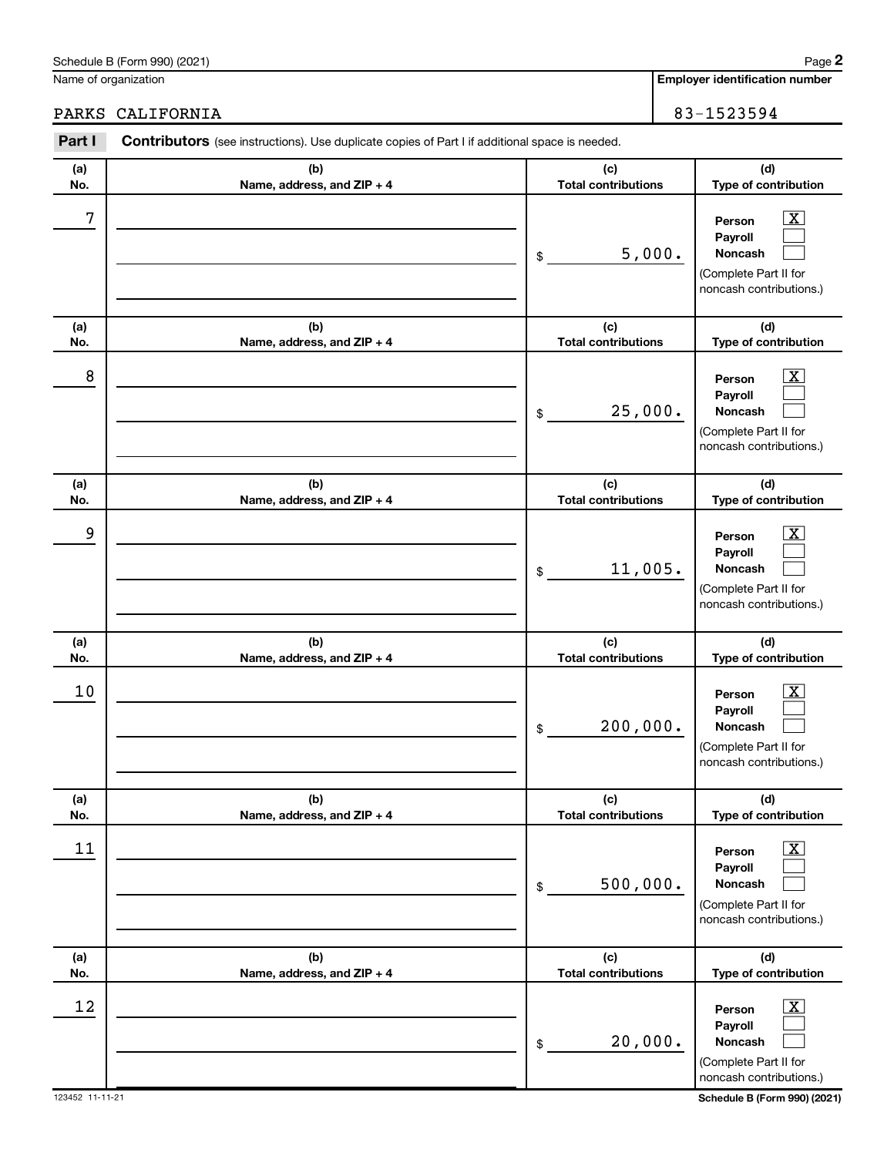| (a)                          | (b)                          | (c)                                          | (d)                                                                                                                                                            |
|------------------------------|------------------------------|----------------------------------------------|----------------------------------------------------------------------------------------------------------------------------------------------------------------|
| No.                          | Name, address, and ZIP + 4   | <b>Total contributions</b>                   | Type of contribution                                                                                                                                           |
| 7                            |                              | 5,000.<br>\$                                 | X<br>Person<br>Payroll<br>Noncash<br>(Complete Part II for<br>noncash contributions.)                                                                          |
| (a)                          | (b)                          | (c)                                          | (d)                                                                                                                                                            |
| No.                          | Name, address, and ZIP + 4   | <b>Total contributions</b>                   | Type of contribution                                                                                                                                           |
| 8                            |                              | 25,000.<br>\$                                | X.<br>Person<br>Payroll<br>Noncash<br>(Complete Part II for<br>noncash contributions.)                                                                         |
| (a)                          | (b)                          | (c)                                          | (d)                                                                                                                                                            |
| No.<br>9                     | Name, address, and ZIP + 4   | <b>Total contributions</b><br>11,005.<br>\$  | Type of contribution<br>X.<br>Person<br>Payroll<br>Noncash<br>(Complete Part II for<br>noncash contributions.)                                                 |
|                              |                              |                                              |                                                                                                                                                                |
| (a)                          | (b)                          | (c)                                          | (d)                                                                                                                                                            |
| No.<br>10                    | Name, address, and ZIP + 4   | <b>Total contributions</b><br>200,000.<br>\$ | Type of contribution<br>Person<br>Payroll<br><b>Noncash</b><br>(Complete Part II for<br>noncash contributions.)                                                |
| (a)                          | (b)                          | (c)                                          | (d)                                                                                                                                                            |
| No.<br>11                    | Name, address, and $ZIP + 4$ | <b>Total contributions</b><br>500,000.<br>\$ | Type of contribution<br>$\boxed{\text{X}}$<br>Person<br>Payroll<br>Noncash<br>(Complete Part II for<br>noncash contributions.)                                 |
| (a)                          | (b)                          | (c)                                          | (d)                                                                                                                                                            |
| No.<br>12<br>123452 11-11-21 | Name, address, and ZIP + 4   | <b>Total contributions</b><br>20,000.<br>\$  | Type of contribution<br>$\boxed{\text{X}}$<br>Person<br>Payroll<br>Noncash<br>(Complete Part II for<br>noncash contributions.)<br>Schedule B (Form 990) (2021) |

## PARKS CALIFORNIA 83-1523594

**Part I** Contributors (see instructions). Use duplicate copies of Part I if additional space is needed.

**Employer identification number**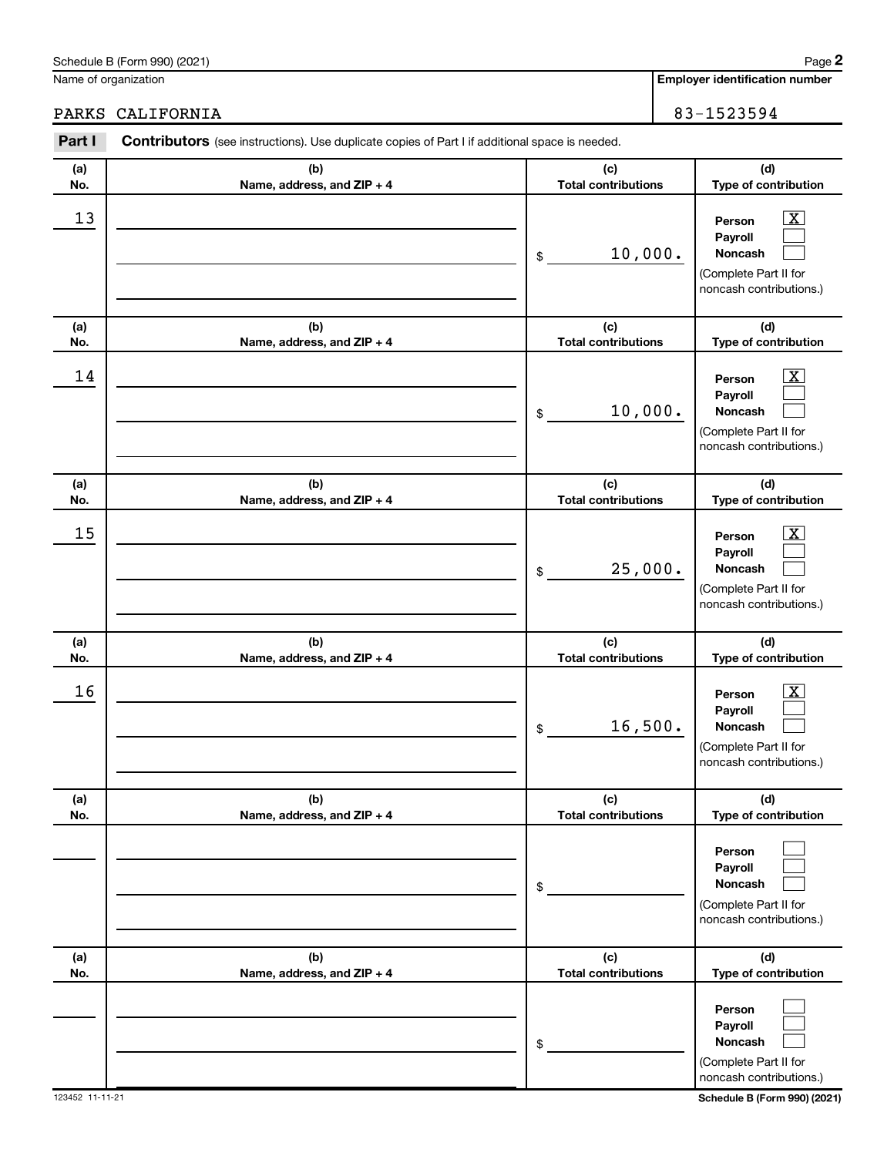(Complete Part II for noncash contributions.)

**(d) Type of contribution**

(Complete Part II for noncash contributions.)

| Part I     | <b>Contributors</b> (see instructions). Use duplicate copies of Part I if additional space is needed. |                                                                                                                |
|------------|-------------------------------------------------------------------------------------------------------|----------------------------------------------------------------------------------------------------------------|
| (a)<br>No. | (b)<br>Name, address, and ZIP + 4                                                                     | (d)<br>(c)<br><b>Total contributions</b><br>Type of contribution                                               |
| 13         |                                                                                                       | X.<br>Person<br>Payroll<br>10,000.<br><b>Noncash</b><br>\$<br>(Complete Part II for<br>noncash contributions.) |
| (a)<br>No. | (b)<br>Name, address, and ZIP + 4                                                                     | (c)<br>(d)<br><b>Total contributions</b><br>Type of contribution                                               |
| 14         |                                                                                                       | X.<br>Person<br>Payroll<br>10,000.<br>Noncash<br>\$<br>(Complete Part II for<br>noncash contributions.)        |
| (a)<br>No. | (b)<br>Name, address, and ZIP + 4                                                                     | (c)<br>(d)<br><b>Total contributions</b><br>Type of contribution                                               |
| 15         |                                                                                                       | Person<br>Payroll<br>25,000.<br>Noncash<br>\$<br>(Complete Part II for<br>noncash contributions.)              |
| (a)<br>No. | (b)<br>Name, address, and ZIP + 4                                                                     | (c)<br>(d)<br><b>Total contributions</b><br>Type of contribution                                               |
| 16         |                                                                                                       | Person<br>Payroll<br>16,500.<br>Noncash<br>\$<br>(Complete Part II for<br>noncash contributions.)              |
| (a)<br>No. | (b)<br>Name, address, and ZIP + 4                                                                     | (c)<br>(d)<br><b>Total contributions</b><br>Type of contribution                                               |
|            |                                                                                                       | Person<br>Payroll<br>Noncash<br>\$                                                                             |

**(b) Name, address, and ZIP + 4**

PARKS CALIFORNIA  $\begin{array}{|c|c|c|c|c|c|c|c|c|} \hline \end{array}$  83-1523594

**Employer identification number**

> $\Box$  $\Box$  $\Box$

**Person Payroll Noncash**

**(c) Total contributions**

\$

**(a) No.**

## Schedule B (Form 990) (2021) Name of organization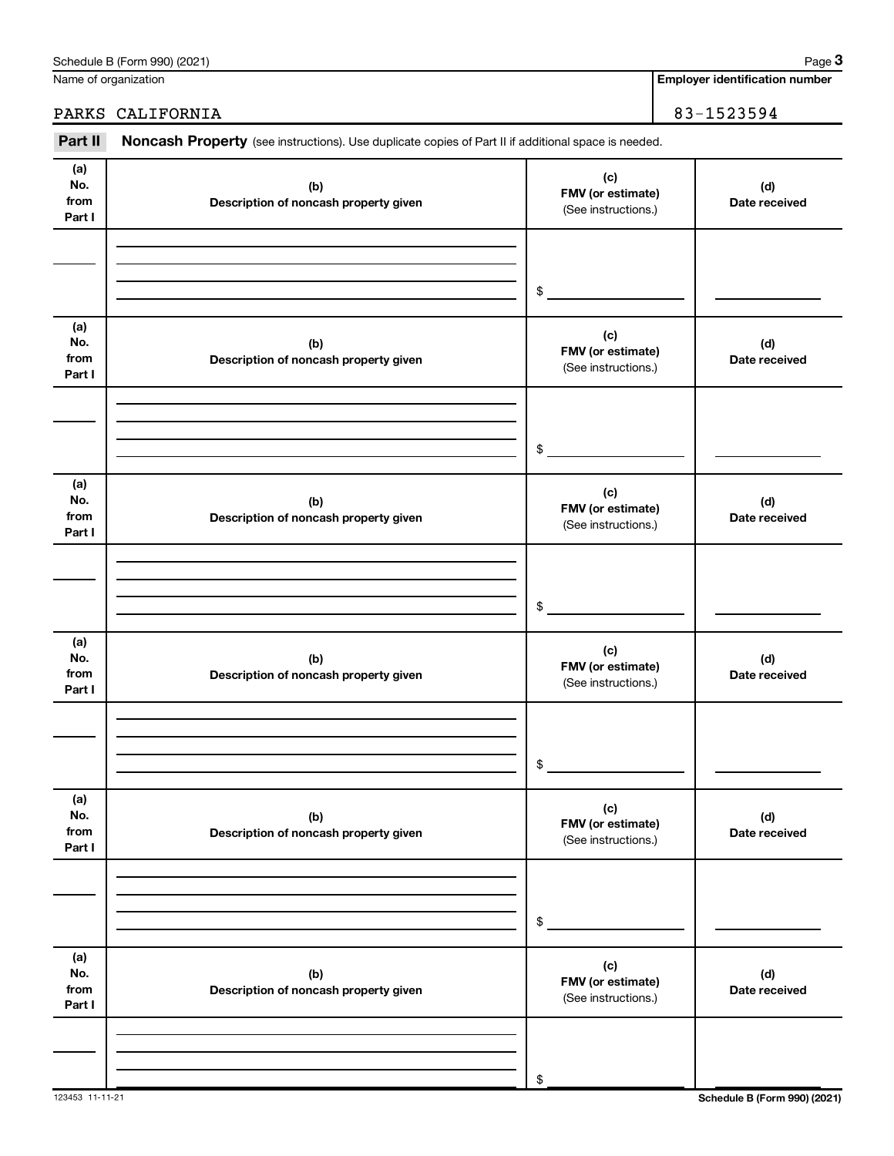| Part II                      | Noncash Property (see instructions). Use duplicate copies of Part II if additional space is needed. |                                                 |                      |
|------------------------------|-----------------------------------------------------------------------------------------------------|-------------------------------------------------|----------------------|
| (a)<br>No.<br>from<br>Part I | (b)<br>Description of noncash property given                                                        | (c)<br>FMV (or estimate)<br>(See instructions.) | (d)<br>Date received |
|                              |                                                                                                     | $$\circ$$                                       |                      |
| (a)<br>No.<br>from<br>Part I | (b)<br>Description of noncash property given                                                        | (c)<br>FMV (or estimate)<br>(See instructions.) | (d)<br>Date received |
|                              |                                                                                                     | $\frac{1}{2}$                                   |                      |
| (a)<br>No.<br>from<br>Part I | (b)<br>Description of noncash property given                                                        | (c)<br>FMV (or estimate)<br>(See instructions.) | (d)<br>Date received |
|                              |                                                                                                     | \$                                              |                      |
| (a)<br>No.<br>from<br>Part I | (b)<br>Description of noncash property given                                                        | (c)<br>FMV (or estimate)<br>(See instructions.) | (d)<br>Date received |
|                              |                                                                                                     | \$                                              |                      |
| (a)<br>No.<br>from<br>Part I | (b)<br>Description of noncash property given                                                        | (c)<br>FMV (or estimate)<br>(See instructions.) | (d)<br>Date received |
|                              |                                                                                                     | \$                                              |                      |
| (a)<br>No.<br>from<br>Part I | (b)<br>Description of noncash property given                                                        | (c)<br>FMV (or estimate)<br>(See instructions.) | (d)<br>Date received |
|                              |                                                                                                     | \$                                              |                      |

123453 11-11-21 **Schedule B (Form 990) (2021)**

Schedule B (Form 990) (2021) Name of organization

**Employer identification number**

PARKS CALIFORNIA 83-1523594

**3**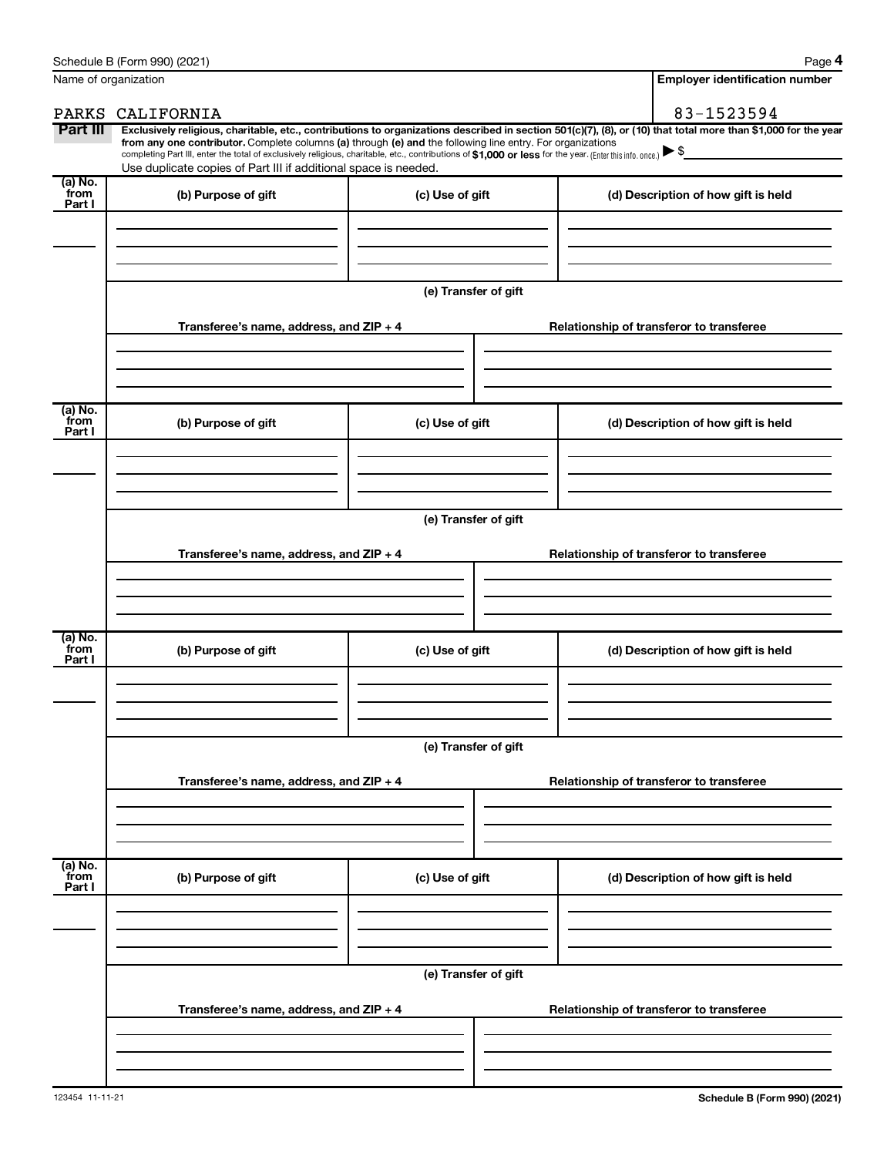| Name of organization      |                                                                                                                                                                                                                                                                                                                                                                                                                                                                                                                                      |                      | <b>Employer identification number</b>    |
|---------------------------|--------------------------------------------------------------------------------------------------------------------------------------------------------------------------------------------------------------------------------------------------------------------------------------------------------------------------------------------------------------------------------------------------------------------------------------------------------------------------------------------------------------------------------------|----------------------|------------------------------------------|
| PARKS                     | CALIFORNIA                                                                                                                                                                                                                                                                                                                                                                                                                                                                                                                           |                      | 83-1523594                               |
| Part III                  | Exclusively religious, charitable, etc., contributions to organizations described in section 501(c)(7), (8), or (10) that total more than \$1,000 for the year<br>from any one contributor. Complete columns (a) through (e) and the following line entry. For organizations<br>completing Part III, enter the total of exclusively religious, charitable, etc., contributions of \$1,000 or less for the year. (Enter this info. once.) $\blacktriangleright$ \$<br>Use duplicate copies of Part III if additional space is needed. |                      |                                          |
| (a) No.<br>from<br>Part I | (b) Purpose of gift                                                                                                                                                                                                                                                                                                                                                                                                                                                                                                                  | (c) Use of gift      | (d) Description of how gift is held      |
|                           |                                                                                                                                                                                                                                                                                                                                                                                                                                                                                                                                      |                      |                                          |
|                           |                                                                                                                                                                                                                                                                                                                                                                                                                                                                                                                                      | (e) Transfer of gift |                                          |
|                           | Transferee's name, address, and ZIP + 4                                                                                                                                                                                                                                                                                                                                                                                                                                                                                              |                      | Relationship of transferor to transferee |
| $(a)$ No.<br>from         |                                                                                                                                                                                                                                                                                                                                                                                                                                                                                                                                      |                      |                                          |
| Part I                    | (b) Purpose of gift                                                                                                                                                                                                                                                                                                                                                                                                                                                                                                                  | (c) Use of gift      | (d) Description of how gift is held      |
|                           |                                                                                                                                                                                                                                                                                                                                                                                                                                                                                                                                      | (e) Transfer of gift |                                          |
|                           | Transferee's name, address, and ZIP + 4                                                                                                                                                                                                                                                                                                                                                                                                                                                                                              |                      | Relationship of transferor to transferee |
|                           |                                                                                                                                                                                                                                                                                                                                                                                                                                                                                                                                      |                      |                                          |
| (a) No.<br>from<br>Part I | (b) Purpose of gift                                                                                                                                                                                                                                                                                                                                                                                                                                                                                                                  | (c) Use of gift      | (d) Description of how gift is held      |
|                           |                                                                                                                                                                                                                                                                                                                                                                                                                                                                                                                                      |                      |                                          |
|                           |                                                                                                                                                                                                                                                                                                                                                                                                                                                                                                                                      | (e) Transfer of gift |                                          |
|                           | Transferee's name, address, and ZIP + 4                                                                                                                                                                                                                                                                                                                                                                                                                                                                                              |                      | Relationship of transferor to transferee |
| (a) No.<br>from           | (b) Purpose of gift                                                                                                                                                                                                                                                                                                                                                                                                                                                                                                                  | (c) Use of gift      | (d) Description of how gift is held      |
| Part I                    |                                                                                                                                                                                                                                                                                                                                                                                                                                                                                                                                      |                      |                                          |
|                           |                                                                                                                                                                                                                                                                                                                                                                                                                                                                                                                                      | (e) Transfer of gift |                                          |
|                           | Transferee's name, address, and ZIP + 4                                                                                                                                                                                                                                                                                                                                                                                                                                                                                              |                      | Relationship of transferor to transferee |
|                           |                                                                                                                                                                                                                                                                                                                                                                                                                                                                                                                                      |                      |                                          |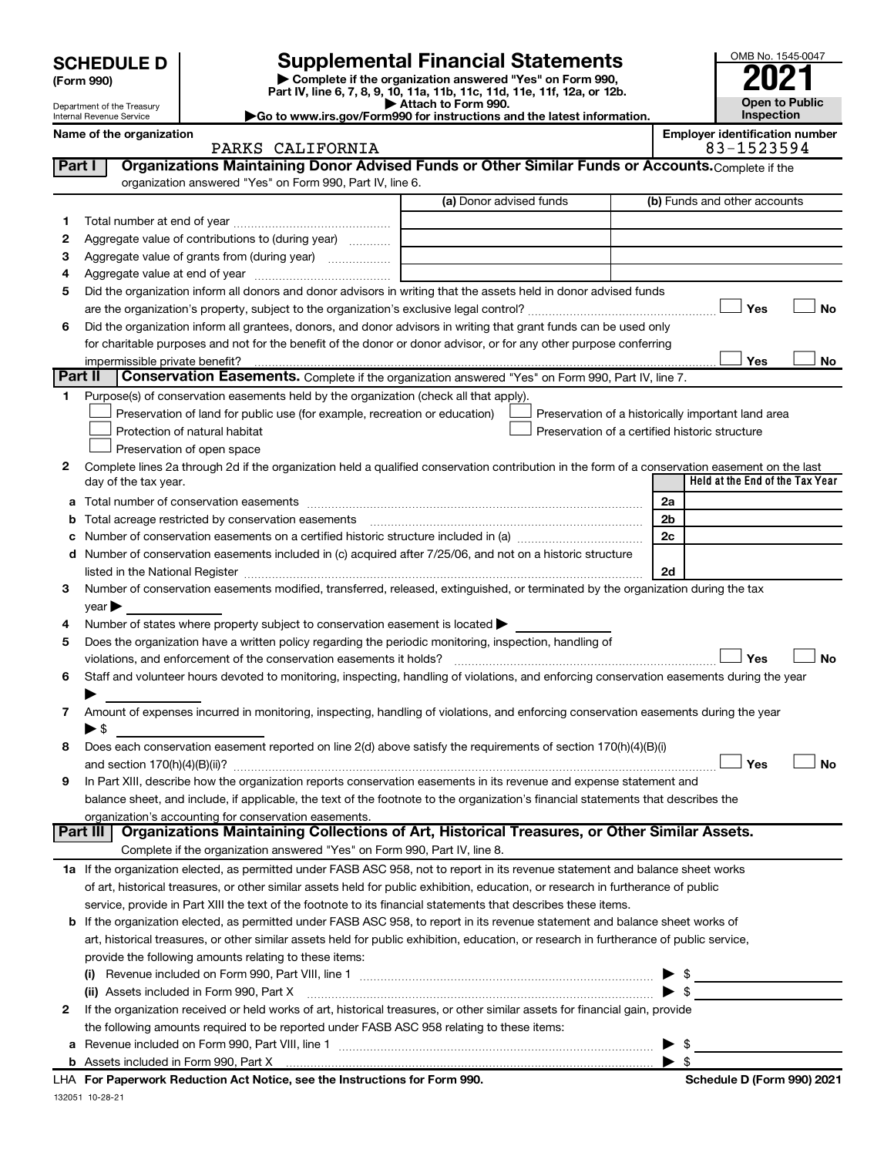Department of the Treasury Internal Revenue Service

| (Form 990) |
|------------|
|            |

**| Complete if the organization answered "Yes" on Form 990, Part IV, line 6, 7, 8, 9, 10, 11a, 11b, 11c, 11d, 11e, 11f, 12a, or 12b. SCHEDULE D Supplemental Financial Statements**<br> **Form 990 Example 5 2021**<br>
Part IV. line 6, 7, 8, 9, 10, 11a, 11b, 11c, 11d, 11e, 11f, 12a, or 12b.

**| Attach to Form 990. |Go to www.irs.gov/Form990 for instructions and the latest information.**

## PARKS CALIFORNIA

Name of the organization<br>
PARKS CALIFORNIA<br>
23594

| Part I       | Organizations Maintaining Donor Advised Funds or Other Similar Funds or Accounts. Complete if the<br>organization answered "Yes" on Form 990, Part IV, line 6.                          |                         |                                                    |
|--------------|-----------------------------------------------------------------------------------------------------------------------------------------------------------------------------------------|-------------------------|----------------------------------------------------|
|              |                                                                                                                                                                                         | (a) Donor advised funds | (b) Funds and other accounts                       |
| 1.           |                                                                                                                                                                                         |                         |                                                    |
| 2            | Aggregate value of contributions to (during year)                                                                                                                                       |                         |                                                    |
| з            | Aggregate value of grants from (during year)                                                                                                                                            |                         |                                                    |
| 4            |                                                                                                                                                                                         |                         |                                                    |
| 5            | Did the organization inform all donors and donor advisors in writing that the assets held in donor advised funds                                                                        |                         |                                                    |
|              |                                                                                                                                                                                         |                         | Yes<br>No                                          |
| 6            | Did the organization inform all grantees, donors, and donor advisors in writing that grant funds can be used only                                                                       |                         |                                                    |
|              | for charitable purposes and not for the benefit of the donor or donor advisor, or for any other purpose conferring                                                                      |                         |                                                    |
|              |                                                                                                                                                                                         |                         | Yes<br>No                                          |
| Part II      | Conservation Easements. Complete if the organization answered "Yes" on Form 990, Part IV, line 7.                                                                                       |                         |                                                    |
| 1            | Purpose(s) of conservation easements held by the organization (check all that apply).                                                                                                   |                         |                                                    |
|              | Preservation of land for public use (for example, recreation or education)                                                                                                              |                         | Preservation of a historically important land area |
|              | Protection of natural habitat                                                                                                                                                           |                         | Preservation of a certified historic structure     |
|              | Preservation of open space                                                                                                                                                              |                         |                                                    |
| 2            | Complete lines 2a through 2d if the organization held a qualified conservation contribution in the form of a conservation easement on the last                                          |                         |                                                    |
|              | day of the tax year.                                                                                                                                                                    |                         | Held at the End of the Tax Year                    |
| а            |                                                                                                                                                                                         |                         | 2a                                                 |
| b            |                                                                                                                                                                                         |                         | 2 <sub>b</sub>                                     |
| с            |                                                                                                                                                                                         |                         | 2c                                                 |
| d            | Number of conservation easements included in (c) acquired after 7/25/06, and not on a historic structure                                                                                |                         |                                                    |
|              |                                                                                                                                                                                         |                         | 2d                                                 |
| 3            | Number of conservation easements modified, transferred, released, extinguished, or terminated by the organization during the tax                                                        |                         |                                                    |
|              | year                                                                                                                                                                                    |                         |                                                    |
| 4<br>5       | Number of states where property subject to conservation easement is located ><br>Does the organization have a written policy regarding the periodic monitoring, inspection, handling of |                         |                                                    |
|              | violations, and enforcement of the conservation easements it holds?                                                                                                                     |                         | Yes<br>No                                          |
| 6            | Staff and volunteer hours devoted to monitoring, inspecting, handling of violations, and enforcing conservation easements during the year                                               |                         |                                                    |
|              |                                                                                                                                                                                         |                         |                                                    |
| 7            | Amount of expenses incurred in monitoring, inspecting, handling of violations, and enforcing conservation easements during the year                                                     |                         |                                                    |
|              | $\blacktriangleright$ s                                                                                                                                                                 |                         |                                                    |
| 8            | Does each conservation easement reported on line 2(d) above satisfy the requirements of section 170(h)(4)(B)(i)                                                                         |                         |                                                    |
|              |                                                                                                                                                                                         |                         | Yes<br>No                                          |
| 9            | In Part XIII, describe how the organization reports conservation easements in its revenue and expense statement and                                                                     |                         |                                                    |
|              | balance sheet, and include, if applicable, the text of the footnote to the organization's financial statements that describes the                                                       |                         |                                                    |
|              | organization's accounting for conservation easements.                                                                                                                                   |                         |                                                    |
|              | Organizations Maintaining Collections of Art, Historical Treasures, or Other Similar Assets.<br>Part III                                                                                |                         |                                                    |
|              | Complete if the organization answered "Yes" on Form 990, Part IV, line 8.                                                                                                               |                         |                                                    |
|              | 1a If the organization elected, as permitted under FASB ASC 958, not to report in its revenue statement and balance sheet works                                                         |                         |                                                    |
|              | of art, historical treasures, or other similar assets held for public exhibition, education, or research in furtherance of public                                                       |                         |                                                    |
|              | service, provide in Part XIII the text of the footnote to its financial statements that describes these items.                                                                          |                         |                                                    |
|              | <b>b</b> If the organization elected, as permitted under FASB ASC 958, to report in its revenue statement and balance sheet works of                                                    |                         |                                                    |
|              | art, historical treasures, or other similar assets held for public exhibition, education, or research in furtherance of public service,                                                 |                         |                                                    |
|              | provide the following amounts relating to these items:                                                                                                                                  |                         |                                                    |
|              |                                                                                                                                                                                         |                         | - \$                                               |
|              | (ii) Assets included in Form 990, Part X                                                                                                                                                |                         | $\blacktriangleright$ \$                           |
| $\mathbf{2}$ | If the organization received or held works of art, historical treasures, or other similar assets for financial gain, provide                                                            |                         |                                                    |
|              | the following amounts required to be reported under FASB ASC 958 relating to these items:                                                                                               |                         |                                                    |
|              |                                                                                                                                                                                         |                         | \$                                                 |
|              |                                                                                                                                                                                         |                         | $\blacktriangleright$ s                            |
|              | LHA For Paperwork Reduction Act Notice, see the Instructions for Form 990.                                                                                                              |                         | Schedule D (Form 990) 2021                         |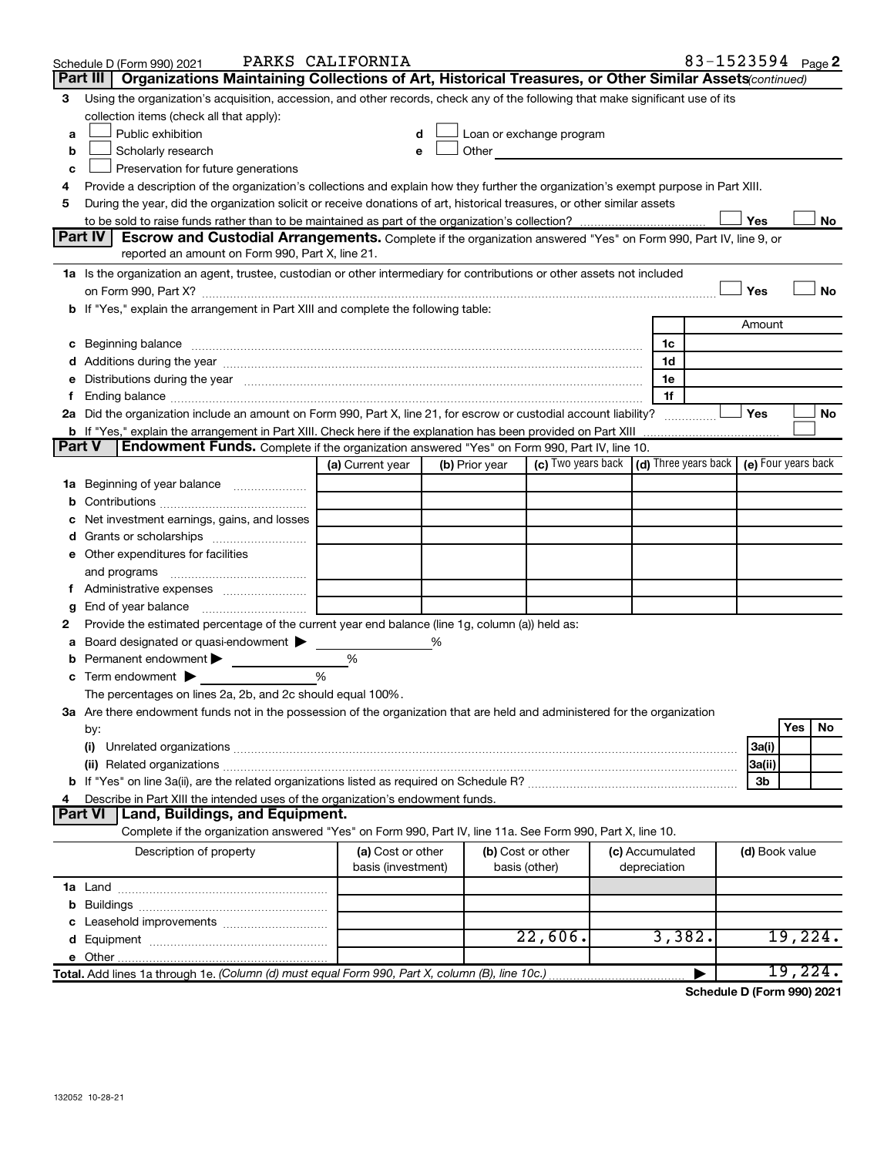|               | Schedule D (Form 990) 2021                                                                                                                                                                                                           | PARKS CALIFORNIA                        |                |                                                                                                                                                                                                                               |                                 |   | 83-1523594 Page 2 |         |           |
|---------------|--------------------------------------------------------------------------------------------------------------------------------------------------------------------------------------------------------------------------------------|-----------------------------------------|----------------|-------------------------------------------------------------------------------------------------------------------------------------------------------------------------------------------------------------------------------|---------------------------------|---|-------------------|---------|-----------|
|               | Part III   Organizations Maintaining Collections of Art, Historical Treasures, or Other Similar Assets (continued)                                                                                                                   |                                         |                |                                                                                                                                                                                                                               |                                 |   |                   |         |           |
| 3             | Using the organization's acquisition, accession, and other records, check any of the following that make significant use of its                                                                                                      |                                         |                |                                                                                                                                                                                                                               |                                 |   |                   |         |           |
|               | collection items (check all that apply):                                                                                                                                                                                             |                                         |                |                                                                                                                                                                                                                               |                                 |   |                   |         |           |
| a             | Public exhibition                                                                                                                                                                                                                    | d                                       |                | Loan or exchange program                                                                                                                                                                                                      |                                 |   |                   |         |           |
| b             | Scholarly research                                                                                                                                                                                                                   | e                                       |                | Other and the contract of the contract of the contract of the contract of the contract of the contract of the contract of the contract of the contract of the contract of the contract of the contract of the contract of the |                                 |   |                   |         |           |
| c             | Preservation for future generations                                                                                                                                                                                                  |                                         |                |                                                                                                                                                                                                                               |                                 |   |                   |         |           |
| 4             | Provide a description of the organization's collections and explain how they further the organization's exempt purpose in Part XIII.                                                                                                 |                                         |                |                                                                                                                                                                                                                               |                                 |   |                   |         |           |
| 5             | During the year, did the organization solicit or receive donations of art, historical treasures, or other similar assets                                                                                                             |                                         |                |                                                                                                                                                                                                                               |                                 |   |                   |         |           |
|               | <b>Part IV</b>                                                                                                                                                                                                                       |                                         |                |                                                                                                                                                                                                                               |                                 |   | Yes               |         | No        |
|               | <b>Escrow and Custodial Arrangements.</b> Complete if the organization answered "Yes" on Form 990, Part IV, line 9, or<br>reported an amount on Form 990, Part X, line 21.                                                           |                                         |                |                                                                                                                                                                                                                               |                                 |   |                   |         |           |
|               | 1a Is the organization an agent, trustee, custodian or other intermediary for contributions or other assets not included                                                                                                             |                                         |                |                                                                                                                                                                                                                               |                                 |   |                   |         |           |
|               |                                                                                                                                                                                                                                      |                                         |                |                                                                                                                                                                                                                               |                                 |   | Yes               |         | <b>No</b> |
|               | b If "Yes," explain the arrangement in Part XIII and complete the following table:                                                                                                                                                   |                                         |                |                                                                                                                                                                                                                               |                                 |   |                   |         |           |
|               |                                                                                                                                                                                                                                      |                                         |                |                                                                                                                                                                                                                               |                                 |   | Amount            |         |           |
|               | c Beginning balance <b>contract to the contract of the contract of the contract of the contract of the contract of the contract of the contract of the contract of the contract of the contract of the contract of the contract </b> |                                         |                |                                                                                                                                                                                                                               | 1c                              |   |                   |         |           |
|               |                                                                                                                                                                                                                                      |                                         |                |                                                                                                                                                                                                                               | 1d                              |   |                   |         |           |
|               | e Distributions during the year manufactured and continuum control of the control of the control of the control of the control of the control of the control of the control of the control of the control of the control of th       |                                         |                |                                                                                                                                                                                                                               | 1е                              |   |                   |         |           |
|               |                                                                                                                                                                                                                                      |                                         |                |                                                                                                                                                                                                                               | 1f                              |   |                   |         |           |
|               | 2a Did the organization include an amount on Form 990, Part X, line 21, for escrow or custodial account liability?                                                                                                                   |                                         |                |                                                                                                                                                                                                                               | .                               |   | Yes               |         | <b>No</b> |
|               | <b>b</b> If "Yes," explain the arrangement in Part XIII. Check here if the explanation has been provided on Part XIII                                                                                                                |                                         |                |                                                                                                                                                                                                                               |                                 |   |                   |         |           |
| <b>Part V</b> | Endowment Funds. Complete if the organization answered "Yes" on Form 990, Part IV, line 10.                                                                                                                                          |                                         |                |                                                                                                                                                                                                                               |                                 |   |                   |         |           |
|               |                                                                                                                                                                                                                                      | (a) Current year                        | (b) Prior year | (c) Two years back (d) Three years back (e) Four years back                                                                                                                                                                   |                                 |   |                   |         |           |
|               | 1a Beginning of year balance                                                                                                                                                                                                         |                                         |                |                                                                                                                                                                                                                               |                                 |   |                   |         |           |
|               |                                                                                                                                                                                                                                      |                                         |                |                                                                                                                                                                                                                               |                                 |   |                   |         |           |
|               | Net investment earnings, gains, and losses                                                                                                                                                                                           |                                         |                |                                                                                                                                                                                                                               |                                 |   |                   |         |           |
|               |                                                                                                                                                                                                                                      |                                         |                |                                                                                                                                                                                                                               |                                 |   |                   |         |           |
|               | e Other expenditures for facilities                                                                                                                                                                                                  |                                         |                |                                                                                                                                                                                                                               |                                 |   |                   |         |           |
|               | and programs                                                                                                                                                                                                                         |                                         |                |                                                                                                                                                                                                                               |                                 |   |                   |         |           |
|               | Administrative expenses                                                                                                                                                                                                              |                                         |                |                                                                                                                                                                                                                               |                                 |   |                   |         |           |
| g             |                                                                                                                                                                                                                                      |                                         |                |                                                                                                                                                                                                                               |                                 |   |                   |         |           |
| 2             | Provide the estimated percentage of the current year end balance (line 1g, column (a)) held as:                                                                                                                                      |                                         |                |                                                                                                                                                                                                                               |                                 |   |                   |         |           |
| а             | Board designated or quasi-endowment $\blacktriangleright$                                                                                                                                                                            |                                         | %              |                                                                                                                                                                                                                               |                                 |   |                   |         |           |
|               | <b>b</b> Permanent endowment $\blacktriangleright$                                                                                                                                                                                   | %<br>%                                  |                |                                                                                                                                                                                                                               |                                 |   |                   |         |           |
|               | $\mathbf c$ Term endowment $\blacktriangleright$<br>The percentages on lines 2a, 2b, and 2c should equal 100%.                                                                                                                       |                                         |                |                                                                                                                                                                                                                               |                                 |   |                   |         |           |
|               | 3a Are there endowment funds not in the possession of the organization that are held and administered for the organization                                                                                                           |                                         |                |                                                                                                                                                                                                                               |                                 |   |                   |         |           |
|               | by:                                                                                                                                                                                                                                  |                                         |                |                                                                                                                                                                                                                               |                                 |   |                   | Yes     | No        |
|               | (i)                                                                                                                                                                                                                                  |                                         |                |                                                                                                                                                                                                                               |                                 |   | 3a(i)             |         |           |
|               |                                                                                                                                                                                                                                      |                                         |                |                                                                                                                                                                                                                               |                                 |   | 3a(ii)            |         |           |
|               |                                                                                                                                                                                                                                      |                                         |                |                                                                                                                                                                                                                               |                                 |   | 3 <sub>b</sub>    |         |           |
| 4             | Describe in Part XIII the intended uses of the organization's endowment funds.                                                                                                                                                       |                                         |                |                                                                                                                                                                                                                               |                                 |   |                   |         |           |
|               | <b>Land, Buildings, and Equipment.</b><br><b>Part VI</b>                                                                                                                                                                             |                                         |                |                                                                                                                                                                                                                               |                                 |   |                   |         |           |
|               | Complete if the organization answered "Yes" on Form 990, Part IV, line 11a. See Form 990, Part X, line 10.                                                                                                                           |                                         |                |                                                                                                                                                                                                                               |                                 |   |                   |         |           |
|               | Description of property                                                                                                                                                                                                              | (a) Cost or other<br>basis (investment) |                | (b) Cost or other<br>basis (other)                                                                                                                                                                                            | (c) Accumulated<br>depreciation |   | (d) Book value    |         |           |
|               |                                                                                                                                                                                                                                      |                                         |                |                                                                                                                                                                                                                               |                                 |   |                   |         |           |
|               |                                                                                                                                                                                                                                      |                                         |                |                                                                                                                                                                                                                               |                                 |   |                   |         |           |
|               |                                                                                                                                                                                                                                      |                                         |                |                                                                                                                                                                                                                               |                                 |   |                   |         |           |
|               |                                                                                                                                                                                                                                      |                                         |                | 22,606.                                                                                                                                                                                                                       | 3,382.                          |   |                   | 19,224. |           |
|               |                                                                                                                                                                                                                                      |                                         |                |                                                                                                                                                                                                                               |                                 |   |                   |         |           |
|               | Total. Add lines 1a through 1e. (Column (d) must equal Form 990, Part X, column (B), line 10c.)                                                                                                                                      |                                         |                |                                                                                                                                                                                                                               |                                 | Þ |                   |         | 19,224.   |

**Schedule D (Form 990) 2021**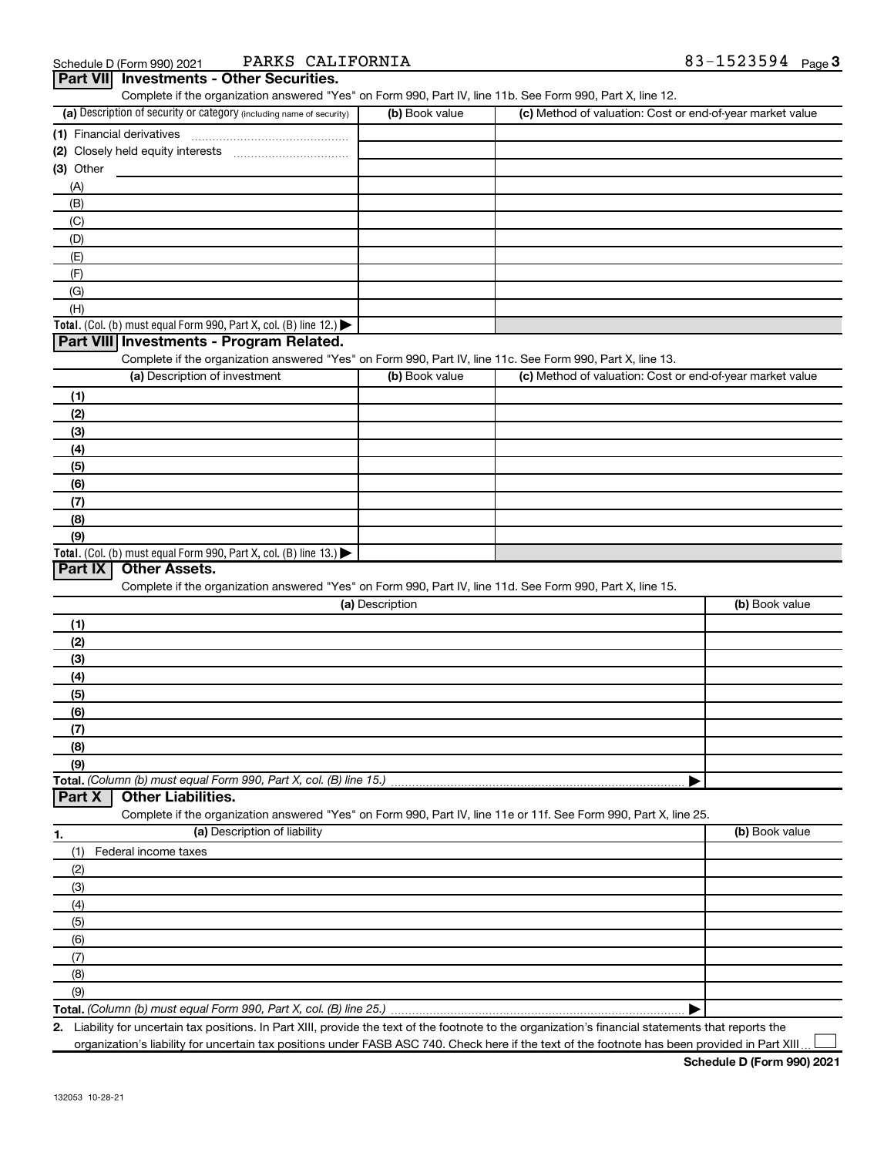| Schedule D (Form 990) 2021 |
|----------------------------|
|----------------------------|

Schedule D (Form 990) 2021 PARKS CALIFORNIA  $83-1523594$  Page

| Part VII Investments - Other Securities.                                                                                           |                                                                    |                                                           |                |
|------------------------------------------------------------------------------------------------------------------------------------|--------------------------------------------------------------------|-----------------------------------------------------------|----------------|
| Complete if the organization answered "Yes" on Form 990, Part IV, line 11b. See Form 990, Part X, line 12.                         |                                                                    |                                                           |                |
| (a) Description of security or category (including name of security)                                                               | (b) Book value                                                     | (c) Method of valuation: Cost or end-of-year market value |                |
| (1) Financial derivatives                                                                                                          |                                                                    |                                                           |                |
|                                                                                                                                    |                                                                    |                                                           |                |
| (3) Other                                                                                                                          |                                                                    |                                                           |                |
| (A)                                                                                                                                |                                                                    |                                                           |                |
| (B)                                                                                                                                |                                                                    |                                                           |                |
| (C)                                                                                                                                |                                                                    |                                                           |                |
| (D)                                                                                                                                |                                                                    |                                                           |                |
| (E)                                                                                                                                |                                                                    |                                                           |                |
| (F)                                                                                                                                |                                                                    |                                                           |                |
| (G)                                                                                                                                |                                                                    |                                                           |                |
| (H)                                                                                                                                |                                                                    |                                                           |                |
| Total. (Col. (b) must equal Form 990, Part X, col. (B) line 12.) $\blacktriangleright$<br>Part VIII Investments - Program Related. |                                                                    |                                                           |                |
| Complete if the organization answered "Yes" on Form 990, Part IV, line 11c. See Form 990, Part X, line 13.                         |                                                                    |                                                           |                |
| (a) Description of investment                                                                                                      | (b) Book value                                                     | (c) Method of valuation: Cost or end-of-year market value |                |
|                                                                                                                                    |                                                                    |                                                           |                |
| (1)                                                                                                                                |                                                                    |                                                           |                |
| (2)                                                                                                                                |                                                                    |                                                           |                |
| (3)                                                                                                                                |                                                                    |                                                           |                |
| (4)                                                                                                                                |                                                                    |                                                           |                |
| (5)                                                                                                                                |                                                                    |                                                           |                |
| (6)                                                                                                                                |                                                                    |                                                           |                |
| (7)                                                                                                                                |                                                                    |                                                           |                |
| (8)                                                                                                                                |                                                                    |                                                           |                |
| (9)                                                                                                                                |                                                                    |                                                           |                |
| Total. (Col. (b) must equal Form 990, Part X, col. (B) line 13.)<br>Part IX<br><b>Other Assets.</b>                                |                                                                    |                                                           |                |
| Complete if the organization answered "Yes" on Form 990, Part IV, line 11d. See Form 990, Part X, line 15.                         |                                                                    |                                                           |                |
|                                                                                                                                    | (a) Description                                                    |                                                           | (b) Book value |
| (1)                                                                                                                                |                                                                    |                                                           |                |
| (2)                                                                                                                                |                                                                    |                                                           |                |
| (3)                                                                                                                                |                                                                    |                                                           |                |
| (4)                                                                                                                                |                                                                    |                                                           |                |
| (5)                                                                                                                                |                                                                    |                                                           |                |
| (6)                                                                                                                                |                                                                    |                                                           |                |
| (7)                                                                                                                                |                                                                    |                                                           |                |
| (8)                                                                                                                                |                                                                    |                                                           |                |
| (9)                                                                                                                                |                                                                    |                                                           |                |
| Total. (Column (b) must equal Form 990, Part X, col. (B) line 15.)                                                                 |                                                                    |                                                           |                |
| <b>Other Liabilities.</b><br>Part X                                                                                                |                                                                    |                                                           |                |
| Complete if the organization answered "Yes" on Form 990, Part IV, line 11e or 11f. See Form 990, Part X, line 25.                  |                                                                    |                                                           |                |
| (a) Description of liability<br>1.                                                                                                 |                                                                    |                                                           | (b) Book value |
| Federal income taxes<br>(1)                                                                                                        |                                                                    |                                                           |                |
| (2)                                                                                                                                |                                                                    |                                                           |                |
| (3)                                                                                                                                |                                                                    |                                                           |                |
| (4)                                                                                                                                |                                                                    |                                                           |                |
| (5)                                                                                                                                |                                                                    |                                                           |                |
| (6)                                                                                                                                |                                                                    |                                                           |                |
| (7)                                                                                                                                |                                                                    |                                                           |                |
| (8)                                                                                                                                |                                                                    |                                                           |                |
| (9)                                                                                                                                |                                                                    |                                                           |                |
|                                                                                                                                    | Total. (Column (b) must equal Form 990, Part X, col. (B) line 25.) |                                                           |                |

**2.** Liability for uncertain tax positions. In Part XIII, provide the text of the footnote to the organization's financial statements that reports the organization's liability for uncertain tax positions under FASB ASC 740. Check here if the text of the footnote has been provided in Part XIII.

 $\perp$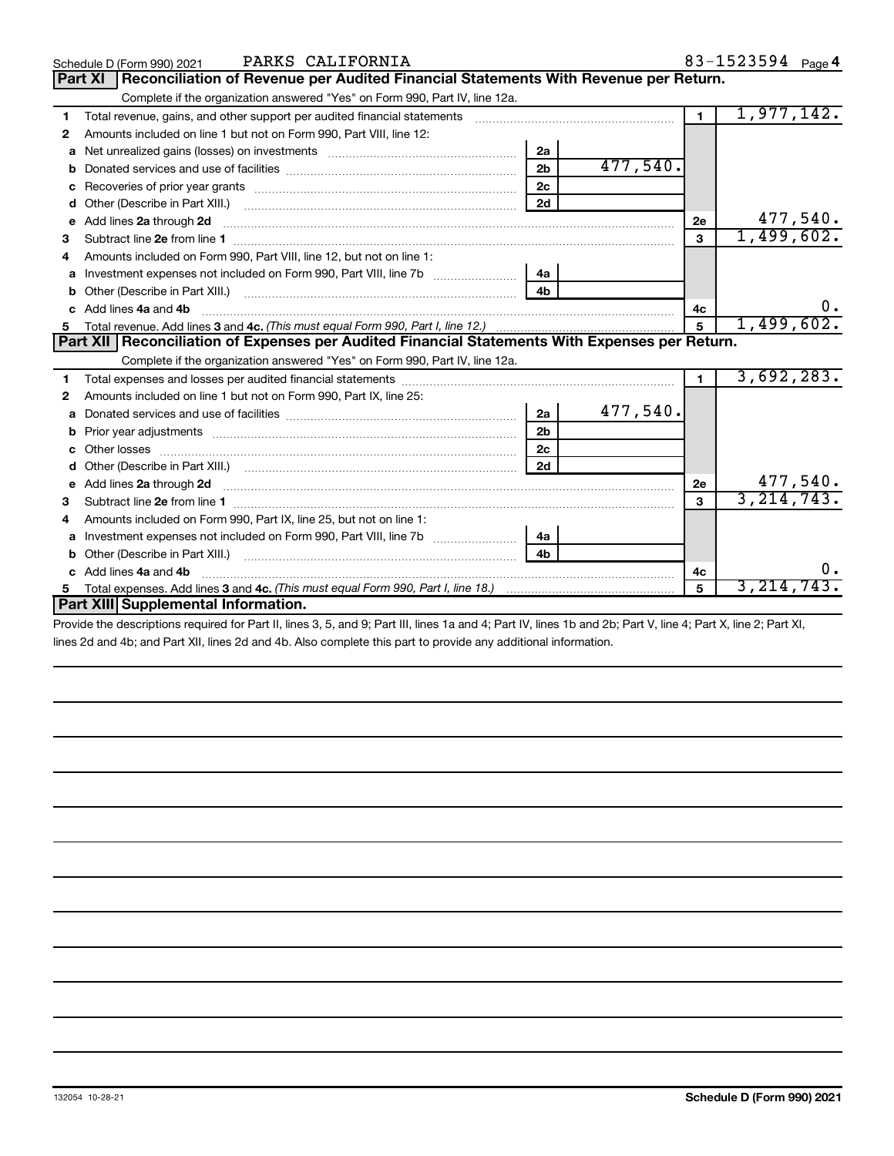|    | PARKS CALIFORNIA<br>Schedule D (Form 990) 2021                                                                |                |          |                | 83-1523594 Page 4 |
|----|---------------------------------------------------------------------------------------------------------------|----------------|----------|----------------|-------------------|
|    | Reconciliation of Revenue per Audited Financial Statements With Revenue per Return.<br><b>Part XI</b>         |                |          |                |                   |
|    | Complete if the organization answered "Yes" on Form 990, Part IV, line 12a.                                   |                |          |                |                   |
| 1  | Total revenue, gains, and other support per audited financial statements [[[[[[[[[[[[[[[[[[[[[[[[]]]]]]]]]]]] |                |          | $\blacksquare$ | 1,977,142.        |
| 2  | Amounts included on line 1 but not on Form 990, Part VIII, line 12:                                           |                |          |                |                   |
| a  |                                                                                                               | 2a             |          |                |                   |
| b  |                                                                                                               | 2 <sub>b</sub> | 477,540. |                |                   |
| c  |                                                                                                               | 2c             |          |                |                   |
| d  | Other (Describe in Part XIII.)                                                                                | 2d             |          |                |                   |
| е  |                                                                                                               |                |          | <b>2e</b>      | 477,540.          |
| з  |                                                                                                               |                |          | 3              | 1,499,602.        |
|    | Amounts included on Form 990, Part VIII, line 12, but not on line 1:                                          |                |          |                |                   |
| a  | Investment expenses not included on Form 990, Part VIII, line 7b [                                            | 4a             |          |                |                   |
| b  |                                                                                                               | 4 <sub>h</sub> |          |                |                   |
| C. | Add lines 4a and 4b                                                                                           |                |          | 4с             | υ.                |
| 5. |                                                                                                               |                |          | $\overline{5}$ | 1,499,602.        |
|    | Part XII   Reconciliation of Expenses per Audited Financial Statements With Expenses per Return.              |                |          |                |                   |
|    | Complete if the organization answered "Yes" on Form 990, Part IV, line 12a.                                   |                |          |                |                   |
| 1  |                                                                                                               |                |          | $\mathbf{1}$   | 3,692,283.        |
| 2  | Amounts included on line 1 but not on Form 990, Part IX, line 25:                                             |                |          |                |                   |
| a  |                                                                                                               | 2a             | 477,540. |                |                   |
| b  |                                                                                                               | 2 <sub>b</sub> |          |                |                   |
| c  |                                                                                                               | 2 <sub>c</sub> |          |                |                   |
| d  |                                                                                                               | 2d             |          |                |                   |
| е  | Add lines 2a through 2d <b>[10]</b> [10] <b>Adding the Second Lines</b> 2a through 2d <b>[10] html</b>        |                |          | <b>2e</b>      | 477,540.          |
| з  |                                                                                                               |                |          | 3              | 3, 214, 743.      |
| 4  | Amounts included on Form 990, Part IX, line 25, but not on line 1:                                            |                |          |                |                   |
| a  |                                                                                                               | 4a             |          |                |                   |
|    |                                                                                                               | 4b             |          |                |                   |
|    | Add lines 4a and 4b                                                                                           |                |          | 4с             |                   |
|    |                                                                                                               |                |          |                |                   |
|    | Part XIII Supplemental Information.                                                                           |                |          | 5              | 3, 214, 743       |

Provide the descriptions required for Part II, lines 3, 5, and 9; Part III, lines 1a and 4; Part IV, lines 1b and 2b; Part V, line 4; Part X, line 2; Part XI, lines 2d and 4b; and Part XII, lines 2d and 4b. Also complete this part to provide any additional information.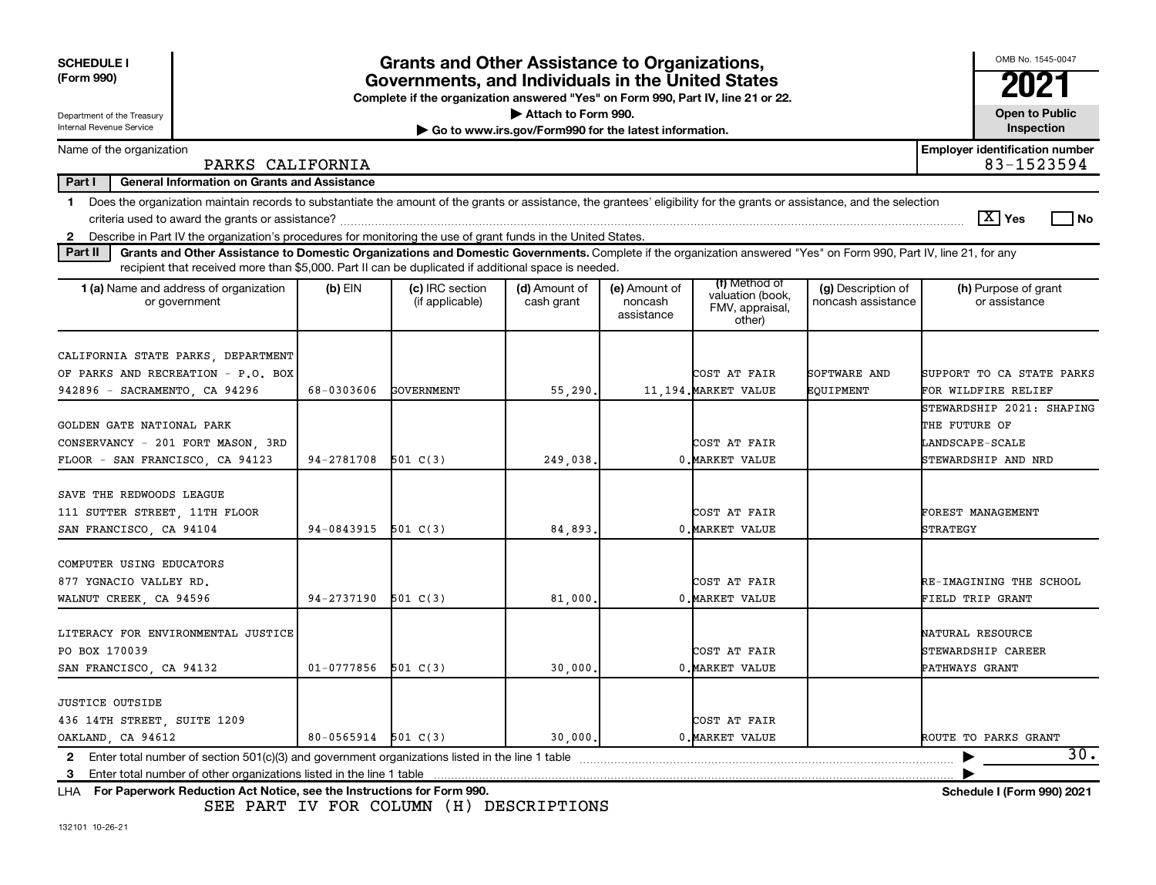| <b>SCHEDULE I</b><br>(Form 990)                                                                                                                                                                                                                                                               |                         | <b>Grants and Other Assistance to Organizations,</b><br>Governments, and Individuals in the United States |                             |                                        |                                                                |                                          | OMB No. 1545-0047<br>2021                                                            |  |  |
|-----------------------------------------------------------------------------------------------------------------------------------------------------------------------------------------------------------------------------------------------------------------------------------------------|-------------------------|-----------------------------------------------------------------------------------------------------------|-----------------------------|----------------------------------------|----------------------------------------------------------------|------------------------------------------|--------------------------------------------------------------------------------------|--|--|
| Complete if the organization answered "Yes" on Form 990, Part IV, line 21 or 22.<br>Attach to Form 990.<br><b>Open to Public</b><br>Department of the Treasury                                                                                                                                |                         |                                                                                                           |                             |                                        |                                                                |                                          |                                                                                      |  |  |
| Internal Revenue Service<br>Inspection<br>Go to www.irs.gov/Form990 for the latest information.                                                                                                                                                                                               |                         |                                                                                                           |                             |                                        |                                                                |                                          |                                                                                      |  |  |
| Name of the organization<br>PARKS CALIFORNIA                                                                                                                                                                                                                                                  |                         |                                                                                                           |                             |                                        |                                                                |                                          | <b>Employer identification number</b><br>83-1523594                                  |  |  |
| Part I<br><b>General Information on Grants and Assistance</b>                                                                                                                                                                                                                                 |                         |                                                                                                           |                             |                                        |                                                                |                                          |                                                                                      |  |  |
| 1 Does the organization maintain records to substantiate the amount of the grants or assistance, the grantees' eligibility for the grants or assistance, and the selection<br>2 Describe in Part IV the organization's procedures for monitoring the use of grant funds in the United States. |                         |                                                                                                           |                             |                                        |                                                                |                                          | $ \mathbf{X} $ Yes<br>No T                                                           |  |  |
| Grants and Other Assistance to Domestic Organizations and Domestic Governments. Complete if the organization answered "Yes" on Form 990, Part IV, line 21, for any<br>Part II<br>recipient that received more than \$5,000. Part II can be duplicated if additional space is needed.          |                         |                                                                                                           |                             |                                        |                                                                |                                          |                                                                                      |  |  |
| <b>1 (a)</b> Name and address of organization<br>or government                                                                                                                                                                                                                                | $(b)$ EIN               | (c) IRC section<br>(if applicable)                                                                        | (d) Amount of<br>cash grant | (e) Amount of<br>noncash<br>assistance | (f) Method of<br>valuation (book,<br>FMV, appraisal,<br>other) | (g) Description of<br>noncash assistance | (h) Purpose of grant<br>or assistance                                                |  |  |
| CALIFORNIA STATE PARKS, DEPARTMENT<br>OF PARKS AND RECREATION - P.O. BOX<br>942896 - SACRAMENTO, CA 94296                                                                                                                                                                                     | 68-0303606              | <b>GOVERNMENT</b>                                                                                         | 55,290.                     |                                        | COST AT FAIR<br>11,194. MARKET VALUE                           | SOFTWARE AND<br>EOUIPMENT                | SUPPORT TO CA STATE PARKS<br>FOR WILDFIRE RELIEF                                     |  |  |
| GOLDEN GATE NATIONAL PARK<br>CONSERVANCY - 201 FORT MASON, 3RD<br>FLOOR - SAN FRANCISCO, CA 94123                                                                                                                                                                                             | $94-2781708$ 501 C(3)   |                                                                                                           | 249,038,                    |                                        | COST AT FAIR<br>0. MARKET VALUE                                |                                          | STEWARDSHIP 2021: SHAPING<br>THE FUTURE OF<br>LANDSCAPE-SCALE<br>STEWARDSHIP AND NRD |  |  |
| SAVE THE REDWOODS LEAGUE<br>111 SUTTER STREET, 11TH FLOOR<br>SAN FRANCISCO, CA 94104                                                                                                                                                                                                          | 94-0843915              | 501 C(3)                                                                                                  | 84,893.                     |                                        | COST AT FAIR<br>0. MARKET VALUE                                |                                          | <b>FOREST MANAGEMENT</b><br>STRATEGY                                                 |  |  |
| COMPUTER USING EDUCATORS<br>877 YGNACIO VALLEY RD.<br>WALNUT CREEK, CA 94596                                                                                                                                                                                                                  | 94-2737190              | 501 C(3)                                                                                                  | 81,000                      |                                        | COST AT FAIR<br>0. MARKET VALUE                                |                                          | RE-IMAGINING THE SCHOOL<br>FIELD TRIP GRANT                                          |  |  |
| LITERACY FOR ENVIRONMENTAL JUSTICE<br>PO BOX 170039<br>SAN FRANCISCO, CA 94132                                                                                                                                                                                                                | 01-0777856              | 501 $C(3)$                                                                                                | 30,000.                     |                                        | COST AT FAIR<br>0. MARKET VALUE                                |                                          | NATURAL RESOURCE<br>STEWARDSHIP CAREER<br>PATHWAYS GRANT                             |  |  |
| <b>JUSTICE OUTSIDE</b><br>436 14TH STREET, SUITE 1209<br>OAKLAND, CA 94612                                                                                                                                                                                                                    | $80 - 0565914$ 501 C(3) |                                                                                                           | 30,000.                     |                                        | COST AT FAIR<br>0. MARKET VALUE                                |                                          | ROUTE TO PARKS GRANT                                                                 |  |  |
| Enter total number of section 501(c)(3) and government organizations listed in the line 1 table<br>$\mathbf{2}$                                                                                                                                                                               |                         |                                                                                                           |                             |                                        |                                                                |                                          | 30.                                                                                  |  |  |

**For Paperwork Reduction Act Notice, see the Instructions for Form 990. Schedule I (Form 990) 2021** LHA

SEE PART IV FOR COLUMN (H) DESCRIPTIONS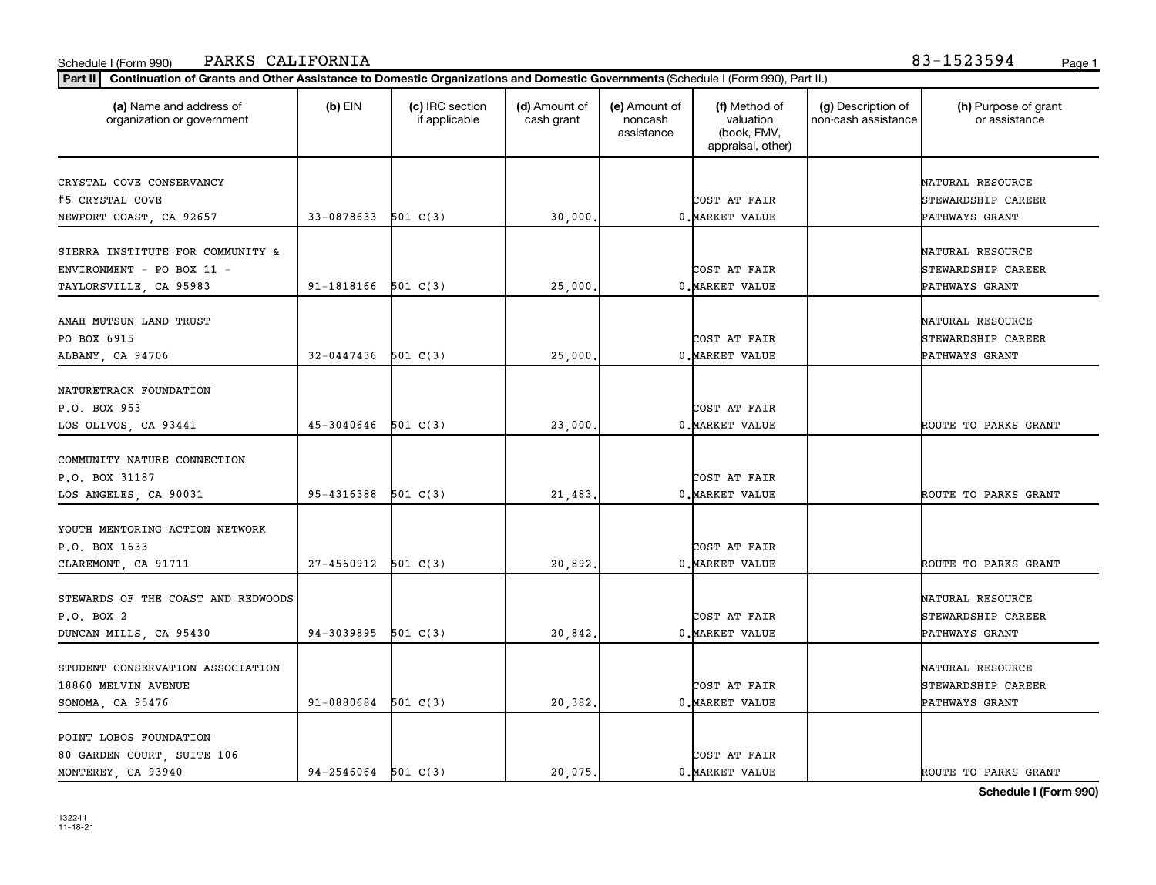| PARKS CALIFORNIA<br>Schedule I (Form 990)                                                                                                   |                         |                                  |                             |                                        |                                                                |                                           | 83-1523594                            | Page 1 |
|---------------------------------------------------------------------------------------------------------------------------------------------|-------------------------|----------------------------------|-----------------------------|----------------------------------------|----------------------------------------------------------------|-------------------------------------------|---------------------------------------|--------|
| Continuation of Grants and Other Assistance to Domestic Organizations and Domestic Governments (Schedule I (Form 990), Part II.)<br>Part II |                         |                                  |                             |                                        |                                                                |                                           |                                       |        |
| (a) Name and address of<br>organization or government                                                                                       | $(b)$ EIN               | (c) IRC section<br>if applicable | (d) Amount of<br>cash grant | (e) Amount of<br>noncash<br>assistance | (f) Method of<br>valuation<br>(book, FMV,<br>appraisal, other) | (g) Description of<br>non-cash assistance | (h) Purpose of grant<br>or assistance |        |
| CRYSTAL COVE CONSERVANCY                                                                                                                    |                         |                                  |                             |                                        |                                                                |                                           | NATURAL RESOURCE                      |        |
| #5 CRYSTAL COVE                                                                                                                             |                         |                                  |                             |                                        | COST AT FAIR                                                   |                                           | STEWARDSHIP CAREER                    |        |
| NEWPORT COAST, CA 92657                                                                                                                     | $33-0878633$ 501 C(3)   |                                  | 30,000.                     |                                        | 0. MARKET VALUE                                                |                                           | PATHWAYS GRANT                        |        |
|                                                                                                                                             |                         |                                  |                             |                                        |                                                                |                                           |                                       |        |
| SIERRA INSTITUTE FOR COMMUNITY &                                                                                                            |                         |                                  |                             |                                        |                                                                |                                           | NATURAL RESOURCE                      |        |
| ENVIRONMENT - PO BOX 11 -                                                                                                                   |                         |                                  |                             |                                        | COST AT FAIR                                                   |                                           | STEWARDSHIP CAREER                    |        |
| TAYLORSVILLE, CA 95983                                                                                                                      | $91 - 1818166$ 501 C(3) |                                  | 25,000                      |                                        | 0. MARKET VALUE                                                |                                           | PATHWAYS GRANT                        |        |
| AMAH MUTSUN LAND TRUST                                                                                                                      |                         |                                  |                             |                                        |                                                                |                                           | NATURAL RESOURCE                      |        |
| PO BOX 6915                                                                                                                                 |                         |                                  |                             |                                        | COST AT FAIR                                                   |                                           | STEWARDSHIP CAREER                    |        |
| ALBANY, CA 94706                                                                                                                            | $32 - 0447436$ 501 C(3) |                                  | 25,000                      |                                        | 0. MARKET VALUE                                                |                                           | PATHWAYS GRANT                        |        |
|                                                                                                                                             |                         |                                  |                             |                                        |                                                                |                                           |                                       |        |
| NATURETRACK FOUNDATION                                                                                                                      |                         |                                  |                             |                                        |                                                                |                                           |                                       |        |
| P.O. BOX 953                                                                                                                                |                         |                                  |                             |                                        | COST AT FAIR                                                   |                                           |                                       |        |
| LOS OLIVOS, CA 93441                                                                                                                        | $45 - 3040646$ 501 C(3) |                                  | 23,000                      |                                        | 0. MARKET VALUE                                                |                                           | ROUTE TO PARKS GRANT                  |        |
|                                                                                                                                             |                         |                                  |                             |                                        |                                                                |                                           |                                       |        |
| COMMUNITY NATURE CONNECTION                                                                                                                 |                         |                                  |                             |                                        |                                                                |                                           |                                       |        |
| P.O. BOX 31187                                                                                                                              |                         |                                  |                             |                                        | COST AT FAIR                                                   |                                           |                                       |        |
| LOS ANGELES, CA 90031                                                                                                                       | $95 - 4316388$ 501 C(3) |                                  | 21,483                      |                                        | 0. MARKET VALUE                                                |                                           | ROUTE TO PARKS GRANT                  |        |
|                                                                                                                                             |                         |                                  |                             |                                        |                                                                |                                           |                                       |        |
| YOUTH MENTORING ACTION NETWORK                                                                                                              |                         |                                  |                             |                                        |                                                                |                                           |                                       |        |
| P.O. BOX 1633                                                                                                                               |                         |                                  |                             |                                        | COST AT FAIR                                                   |                                           |                                       |        |
| CLAREMONT, CA 91711                                                                                                                         | $27-4560912$ 501 C(3)   |                                  | 20,892.                     |                                        | 0. MARKET VALUE                                                |                                           | ROUTE TO PARKS GRANT                  |        |
|                                                                                                                                             |                         |                                  |                             |                                        |                                                                |                                           |                                       |        |
| STEWARDS OF THE COAST AND REDWOODS                                                                                                          |                         |                                  |                             |                                        |                                                                |                                           | NATURAL RESOURCE                      |        |
| P.O. BOX 2                                                                                                                                  |                         |                                  |                             |                                        | COST AT FAIR                                                   |                                           | STEWARDSHIP CAREER                    |        |
| DUNCAN MILLS, CA 95430                                                                                                                      | $94-3039895$ 501 C(3)   |                                  | 20,842                      |                                        | 0. MARKET VALUE                                                |                                           | PATHWAYS GRANT                        |        |
|                                                                                                                                             |                         |                                  |                             |                                        |                                                                |                                           |                                       |        |
| STUDENT CONSERVATION ASSOCIATION                                                                                                            |                         |                                  |                             |                                        |                                                                |                                           | NATURAL RESOURCE                      |        |
| 18860 MELVIN AVENUE                                                                                                                         |                         |                                  |                             |                                        | COST AT FAIR                                                   |                                           | STEWARDSHIP CAREER                    |        |
| SONOMA, CA 95476                                                                                                                            | $91 - 0880684$ 501 C(3) |                                  | 20,382.                     |                                        | 0. MARKET VALUE                                                |                                           | PATHWAYS GRANT                        |        |
| POINT LOBOS FOUNDATION                                                                                                                      |                         |                                  |                             |                                        |                                                                |                                           |                                       |        |

MONTEREY, CA 93940 94-2546064 501 C(3) 20,075. 0.MARKET VALUE I ROUTE TO PARKS GRANT

80 GARDEN COURT, SUITE 106 COST AT FAIR

**Schedule I (Form 990)**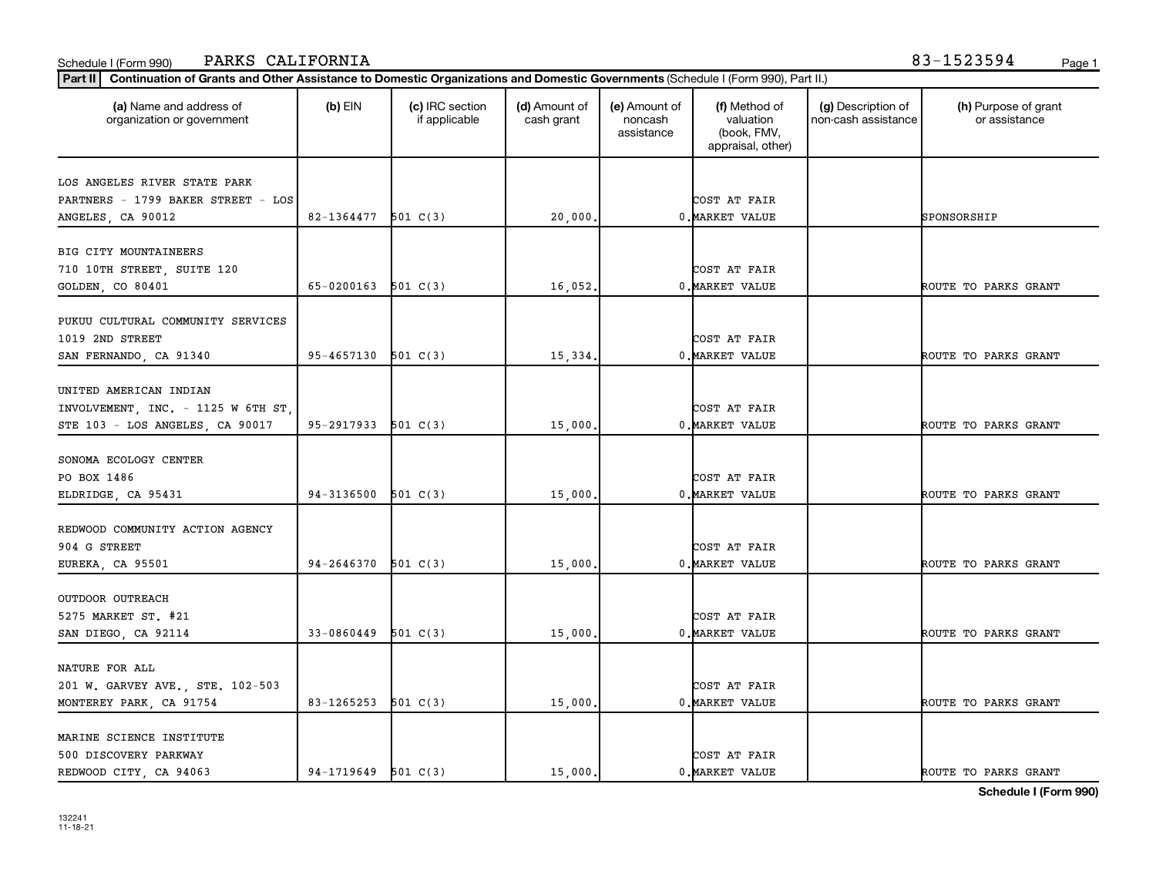| PARKS CALIFORNIA<br>Schedule I (Form 990)                                                                                                   |                         |                                  |                             |                                        |                                                                |                                           | 83-1523594<br>Page 1                  |
|---------------------------------------------------------------------------------------------------------------------------------------------|-------------------------|----------------------------------|-----------------------------|----------------------------------------|----------------------------------------------------------------|-------------------------------------------|---------------------------------------|
| Continuation of Grants and Other Assistance to Domestic Organizations and Domestic Governments (Schedule I (Form 990), Part II.)<br>Part II |                         |                                  |                             |                                        |                                                                |                                           |                                       |
| (a) Name and address of<br>organization or government                                                                                       | $(b)$ EIN               | (c) IRC section<br>if applicable | (d) Amount of<br>cash grant | (e) Amount of<br>noncash<br>assistance | (f) Method of<br>valuation<br>(book, FMV,<br>appraisal, other) | (g) Description of<br>non-cash assistance | (h) Purpose of grant<br>or assistance |
| LOS ANGELES RIVER STATE PARK<br>PARTNERS - 1799 BAKER STREET - LOS                                                                          |                         |                                  |                             |                                        | COST AT FAIR                                                   |                                           |                                       |
| ANGELES, CA 90012                                                                                                                           | $82 - 1364477$ 501 C(3) |                                  | 20,000.                     |                                        | 0. MARKET VALUE                                                |                                           | SPONSORSHIP                           |
| BIG CITY MOUNTAINEERS<br>710 10TH STREET, SUITE 120                                                                                         |                         |                                  |                             |                                        | COST AT FAIR                                                   |                                           |                                       |
| GOLDEN, CO 80401                                                                                                                            | 65-0200163              | 501 C(3)                         | 16,052                      |                                        | 0. MARKET VALUE                                                |                                           | ROUTE TO PARKS GRANT                  |
| PUKUU CULTURAL COMMUNITY SERVICES<br>1019 2ND STREET                                                                                        |                         |                                  |                             |                                        | COST AT FAIR                                                   |                                           |                                       |
| SAN FERNANDO, CA 91340                                                                                                                      | $95 - 4657130$ 501 C(3) |                                  | 15,334.                     |                                        | 0. MARKET VALUE                                                |                                           | ROUTE TO PARKS GRANT                  |
| UNITED AMERICAN INDIAN<br>INVOLVEMENT, INC. - 1125 W 6TH ST,                                                                                |                         |                                  |                             |                                        | COST AT FAIR                                                   |                                           |                                       |
| STE 103 - LOS ANGELES, CA 90017                                                                                                             | 95-2917933 501 C(3)     |                                  | 15,000                      |                                        | 0. MARKET VALUE                                                |                                           | ROUTE TO PARKS GRANT                  |
| SONOMA ECOLOGY CENTER<br>PO BOX 1486<br>ELDRIDGE, CA 95431                                                                                  | 94-3136500              | 501 C(3)                         | 15,000                      |                                        | COST AT FAIR<br>0. MARKET VALUE                                |                                           | ROUTE TO PARKS GRANT                  |
| REDWOOD COMMUNITY ACTION AGENCY<br>904 G STREET                                                                                             |                         |                                  |                             |                                        | COST AT FAIR                                                   |                                           |                                       |
| EUREKA, CA 95501                                                                                                                            | 94-2646370              | 501 C(3)                         | 15,000                      |                                        | 0. MARKET VALUE                                                |                                           | ROUTE TO PARKS GRANT                  |
| OUTDOOR OUTREACH<br>5275 MARKET ST. #21<br>SAN DIEGO, CA 92114                                                                              | 33-0860449              | 501 C(3)                         | 15,000                      |                                        | COST AT FAIR<br>0. MARKET VALUE                                |                                           | ROUTE TO PARKS GRANT                  |
| NATURE FOR ALL<br>201 W. GARVEY AVE., STE. 102-503<br>MONTEREY PARK, CA 91754                                                               | $83 - 1265253$ 501 C(3) |                                  | 15,000.                     |                                        | COST AT FAIR<br>0. MARKET VALUE                                |                                           | ROUTE TO PARKS GRANT                  |
| MARINE SCIENCE INSTITUTE                                                                                                                    |                         |                                  |                             |                                        |                                                                |                                           |                                       |

REDWOOD CITY, CA 94063 94-1719649 501 C(3) 15,000. 0.MARKET VALUE | ROUTE TO PARKS GRANT

500 DISCOVERY PARKWAY **COST AT FAIR** 

**Schedule I (Form 990)**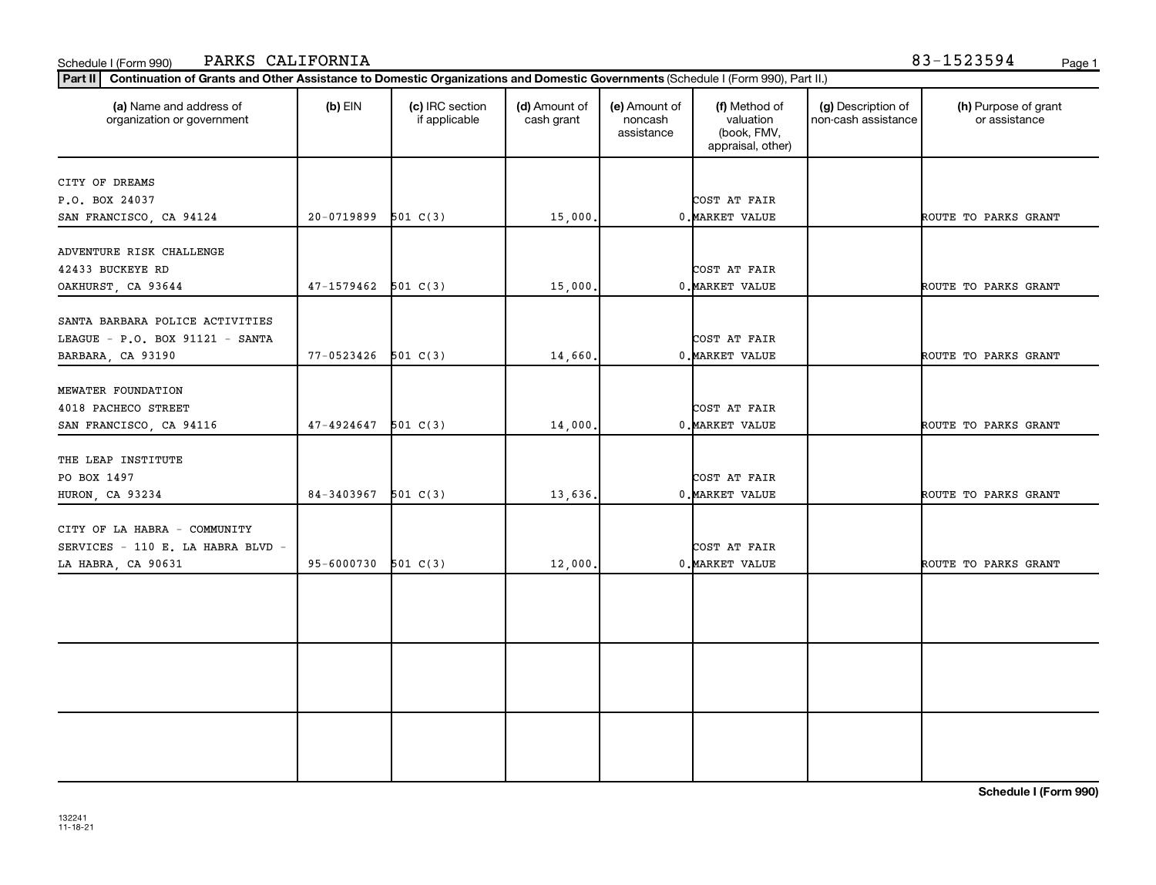| 42433 BUCKEYE RD                  |                       |          |         | COST AT FAIR    |                      |
|-----------------------------------|-----------------------|----------|---------|-----------------|----------------------|
| OAKHURST, CA 93644                | $47-1579462$ 501 C(3) |          | 15,000. | 0. MARKET VALUE | ROUTE TO PARKS GRANT |
| SANTA BARBARA POLICE ACTIVITIES   |                       |          |         |                 |                      |
| LEAGUE - P.O. BOX 91121 - SANTA   |                       |          |         | COST AT FAIR    |                      |
| BARBARA, CA 93190                 | $77-0523426$ 501 C(3) |          | 14,660. | 0. MARKET VALUE | ROUTE TO PARKS GRANT |
| MEWATER FOUNDATION                |                       |          |         |                 |                      |
| 4018 PACHECO STREET               |                       |          |         | COST AT FAIR    |                      |
| SAN FRANCISCO, CA 94116           | 47-4924647            | 501 C(3) | 14,000. | 0. MARKET VALUE | ROUTE TO PARKS GRANT |
| THE LEAP INSTITUTE                |                       |          |         |                 |                      |
| PO BOX 1497                       |                       |          |         | COST AT FAIR    |                      |
| HURON, CA 93234                   | $84-3403967$ 501 C(3) |          | 13,636. | 0. MARKET VALUE | ROUTE TO PARKS GRANT |
| CITY OF LA HABRA - COMMUNITY      |                       |          |         |                 |                      |
| SERVICES - 110 E. LA HABRA BLVD - |                       |          |         | COST AT FAIR    |                      |
| LA HABRA, CA 90631                | 95-6000730            | 501 C(3) | 12,000. | 0. MARKET VALUE | ROUTE TO PARKS GRANT |
|                                   |                       |          |         |                 |                      |
|                                   |                       |          |         |                 |                      |
|                                   |                       |          |         |                 |                      |
|                                   |                       |          |         |                 |                      |
|                                   |                       |          |         |                 |                      |
|                                   |                       |          |         |                 |                      |
|                                   |                       |          |         |                 |                      |
|                                   |                       |          |         |                 |                      |
|                                   |                       |          |         |                 | ------               |

**Part II Continuation of Grants and Other Assistance to Domestic Organizations and Domestic Governments**  (Schedule I (Form 990), Part II.)

if applicable

 $(b)$  EIN  $(c)$  IRC section

P.O. BOX 24037 COST AT FAIR

**(a) (b) (c) (d) (e) (f) (g) (h)** Name and address of

(d) Amount of cash grant

SAN FRANCISCO, CA 94124 20-0719899 501 C(3) 15,000. 10. MARKET VALUE | ROUTE TO PARKS GRANT

(e) Amount of noncash assistance

(f) Method of valuation (book, FMV, appraisal, other)

## Schedule I (Form 990) PARKS CALIFORNIA 83-1523594 <sub>Page 1</sub>

organization or government

CITY OF DREAMS

ADVENTURE RISK CHALLENGE

(h) Purpose of grant or assistance

(g) Description of non-cash assistance

**Schedule I (Form 990)**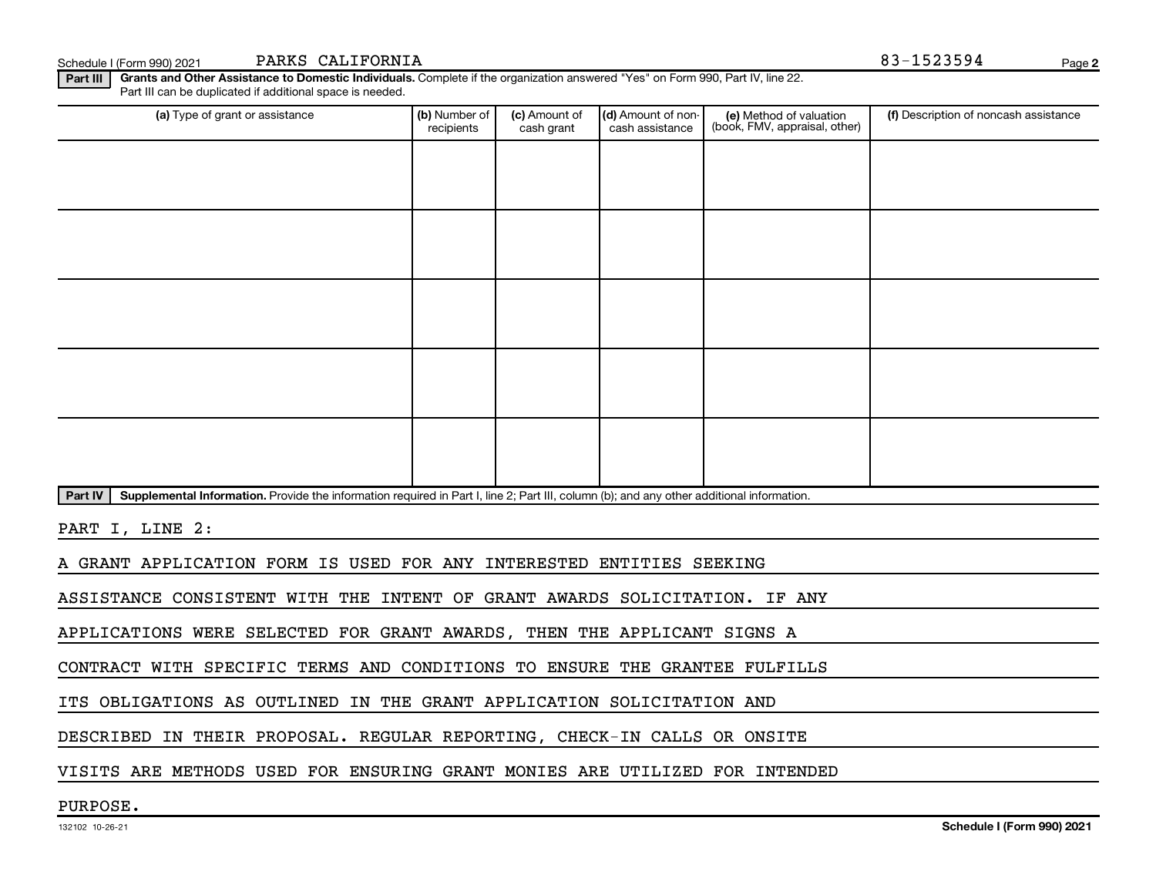Schedule I (Form 990) 2021 PARKS CALIFORNIA Page (Schedule I (Form 990) 2021 Page

**2**

**Part III | Grants and Other Assistance to Domestic Individuals.** Complete if the organization answered "Yes" on Form 990, Part IV, line 22. Part III can be duplicated if additional space is needed.

| (a) Type of grant or assistance                                                                                                                      | (b) Number of<br>recipients | (c) Amount of<br>cash grant | (d) Amount of non-<br>cash assistance | (e) Method of valuation<br>(book, FMV, appraisal, other) | (f) Description of noncash assistance |  |  |  |
|------------------------------------------------------------------------------------------------------------------------------------------------------|-----------------------------|-----------------------------|---------------------------------------|----------------------------------------------------------|---------------------------------------|--|--|--|
|                                                                                                                                                      |                             |                             |                                       |                                                          |                                       |  |  |  |
|                                                                                                                                                      |                             |                             |                                       |                                                          |                                       |  |  |  |
|                                                                                                                                                      |                             |                             |                                       |                                                          |                                       |  |  |  |
|                                                                                                                                                      |                             |                             |                                       |                                                          |                                       |  |  |  |
|                                                                                                                                                      |                             |                             |                                       |                                                          |                                       |  |  |  |
|                                                                                                                                                      |                             |                             |                                       |                                                          |                                       |  |  |  |
|                                                                                                                                                      |                             |                             |                                       |                                                          |                                       |  |  |  |
|                                                                                                                                                      |                             |                             |                                       |                                                          |                                       |  |  |  |
|                                                                                                                                                      |                             |                             |                                       |                                                          |                                       |  |  |  |
|                                                                                                                                                      |                             |                             |                                       |                                                          |                                       |  |  |  |
| Part IV<br>Supplemental Information. Provide the information required in Part I, line 2; Part III, column (b); and any other additional information. |                             |                             |                                       |                                                          |                                       |  |  |  |
| PART I, LINE 2:                                                                                                                                      |                             |                             |                                       |                                                          |                                       |  |  |  |

A GRANT APPLICATION FORM IS USED FOR ANY INTERESTED ENTITIES SEEKING

ASSISTANCE CONSISTENT WITH THE INTENT OF GRANT AWARDS SOLICITATION. IF ANY

APPLICATIONS WERE SELECTED FOR GRANT AWARDS, THEN THE APPLICANT SIGNS A

CONTRACT WITH SPECIFIC TERMS AND CONDITIONS TO ENSURE THE GRANTEE FULFILLS

ITS OBLIGATIONS AS OUTLINED IN THE GRANT APPLICATION SOLICITATION AND

DESCRIBED IN THEIR PROPOSAL. REGULAR REPORTING, CHECK-IN CALLS OR ONSITE

VISITS ARE METHODS USED FOR ENSURING GRANT MONIES ARE UTILIZED FOR INTENDED

PURPOSE.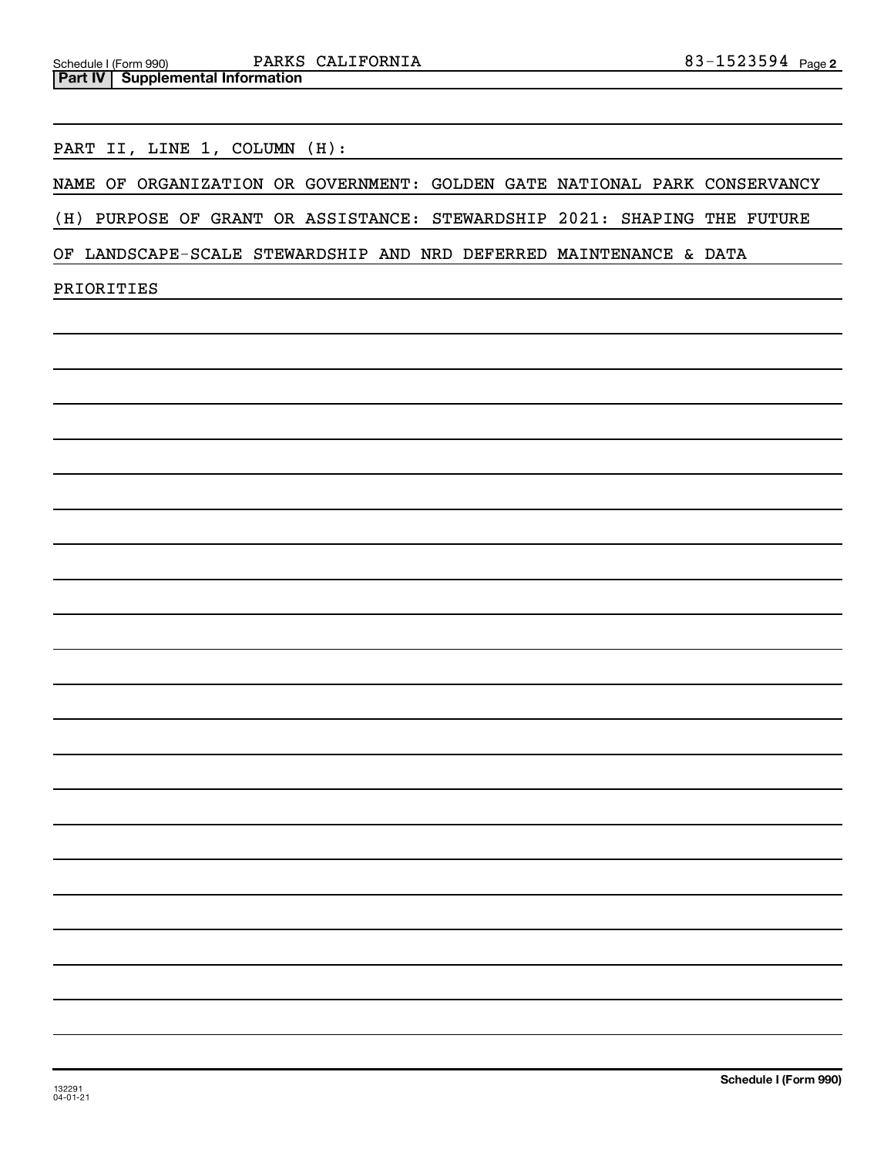PART II, LINE 1, COLUMN (H):

NAME OF ORGANIZATION OR GOVERNMENT: GOLDEN GATE NATIONAL PARK CONSERVANCY

(H) PURPOSE OF GRANT OR ASSISTANCE: STEWARDSHIP 2021: SHAPING THE FUTURE

OF LANDSCAPE-SCALE STEWARDSHIP AND NRD DEFERRED MAINTENANCE & DATA

PRIORITIES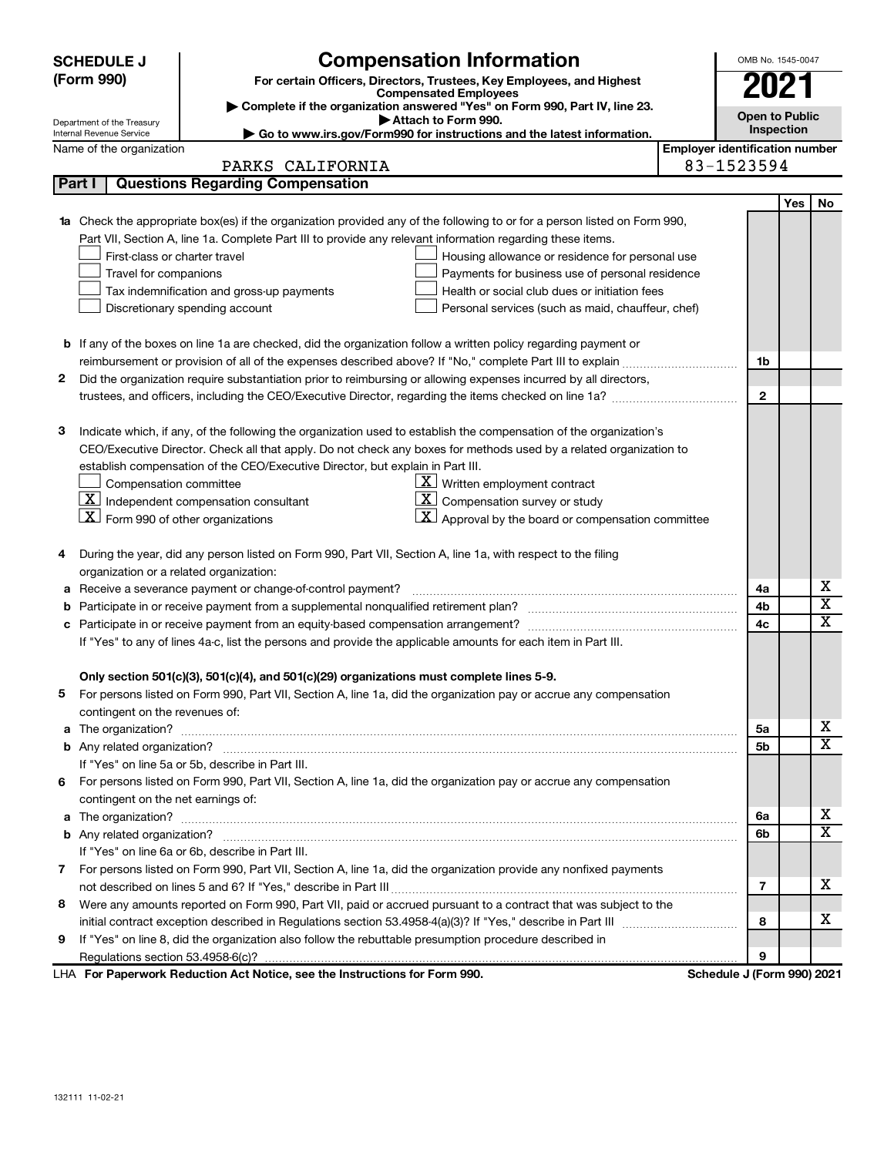|        | <b>Compensation Information</b><br><b>SCHEDULE J</b>                                                                                                                                                 | OMB No. 1545-0047                     |            |                         |  |
|--------|------------------------------------------------------------------------------------------------------------------------------------------------------------------------------------------------------|---------------------------------------|------------|-------------------------|--|
|        | (Form 990)<br>For certain Officers, Directors, Trustees, Key Employees, and Highest                                                                                                                  |                                       |            |                         |  |
|        | <b>Compensated Employees</b><br>Complete if the organization answered "Yes" on Form 990, Part IV, line 23.                                                                                           |                                       | 2027       |                         |  |
|        | Attach to Form 990.<br>Department of the Treasury                                                                                                                                                    | <b>Open to Public</b>                 |            |                         |  |
|        | Go to www.irs.gov/Form990 for instructions and the latest information.<br>Internal Revenue Service                                                                                                   |                                       | Inspection |                         |  |
|        | Name of the organization                                                                                                                                                                             | <b>Employer identification number</b> |            |                         |  |
|        | PARKS CALIFORNIA                                                                                                                                                                                     | 83-1523594                            |            |                         |  |
| Part I | <b>Questions Regarding Compensation</b>                                                                                                                                                              |                                       |            |                         |  |
|        |                                                                                                                                                                                                      |                                       | Yes        | No                      |  |
| 1a     | Check the appropriate box(es) if the organization provided any of the following to or for a person listed on Form 990,                                                                               |                                       |            |                         |  |
|        | Part VII, Section A, line 1a. Complete Part III to provide any relevant information regarding these items.                                                                                           |                                       |            |                         |  |
|        | First-class or charter travel<br>Housing allowance or residence for personal use                                                                                                                     |                                       |            |                         |  |
|        | Travel for companions<br>Payments for business use of personal residence                                                                                                                             |                                       |            |                         |  |
|        | Tax indemnification and gross-up payments<br>Health or social club dues or initiation fees                                                                                                           |                                       |            |                         |  |
|        | Discretionary spending account<br>Personal services (such as maid, chauffeur, chef)                                                                                                                  |                                       |            |                         |  |
|        |                                                                                                                                                                                                      |                                       |            |                         |  |
| b      | If any of the boxes on line 1a are checked, did the organization follow a written policy regarding payment or                                                                                        |                                       |            |                         |  |
|        |                                                                                                                                                                                                      | 1b                                    |            |                         |  |
| 2      | Did the organization require substantiation prior to reimbursing or allowing expenses incurred by all directors,                                                                                     |                                       |            |                         |  |
|        | trustees, and officers, including the CEO/Executive Director, regarding the items checked on line 1a?                                                                                                | $\mathbf{2}$                          |            |                         |  |
|        |                                                                                                                                                                                                      |                                       |            |                         |  |
| з      | Indicate which, if any, of the following the organization used to establish the compensation of the organization's                                                                                   |                                       |            |                         |  |
|        | CEO/Executive Director. Check all that apply. Do not check any boxes for methods used by a related organization to<br>establish compensation of the CEO/Executive Director, but explain in Part III. |                                       |            |                         |  |
|        | $\mathbf{X}$<br>Written employment contract<br>Compensation committee                                                                                                                                |                                       |            |                         |  |
|        | $\underline{\textbf{X}}$ Independent compensation consultant<br>Compensation survey or study                                                                                                         |                                       |            |                         |  |
|        | $X$ Form 990 of other organizations<br>Approval by the board or compensation committee                                                                                                               |                                       |            |                         |  |
|        |                                                                                                                                                                                                      |                                       |            |                         |  |
| 4      | During the year, did any person listed on Form 990, Part VII, Section A, line 1a, with respect to the filing                                                                                         |                                       |            |                         |  |
|        | organization or a related organization:                                                                                                                                                              |                                       |            |                         |  |
|        | Receive a severance payment or change-of-control payment?                                                                                                                                            | 4a                                    |            | X                       |  |
| b      | Participate in or receive payment from a supplemental nonqualified retirement plan?                                                                                                                  | 4b                                    |            | $\overline{\text{x}}$   |  |
| с      | Participate in or receive payment from an equity-based compensation arrangement?                                                                                                                     |                                       |            |                         |  |
|        | If "Yes" to any of lines 4a-c, list the persons and provide the applicable amounts for each item in Part III.                                                                                        |                                       |            |                         |  |
|        |                                                                                                                                                                                                      |                                       |            |                         |  |
|        | Only section 501(c)(3), 501(c)(4), and 501(c)(29) organizations must complete lines 5-9.                                                                                                             |                                       |            |                         |  |
|        | For persons listed on Form 990, Part VII, Section A, line 1a, did the organization pay or accrue any compensation                                                                                    |                                       |            |                         |  |
|        | contingent on the revenues of:                                                                                                                                                                       |                                       |            |                         |  |
|        | a The organization? <b>Constitution</b> and the organization?                                                                                                                                        | 5а                                    |            | х                       |  |
|        |                                                                                                                                                                                                      | 5b                                    |            | $\overline{\mathbf{x}}$ |  |
|        | If "Yes" on line 5a or 5b, describe in Part III.                                                                                                                                                     |                                       |            |                         |  |
| 6      | For persons listed on Form 990, Part VII, Section A, line 1a, did the organization pay or accrue any compensation                                                                                    |                                       |            |                         |  |
|        | contingent on the net earnings of:                                                                                                                                                                   |                                       |            |                         |  |
|        |                                                                                                                                                                                                      | 6а                                    |            | х                       |  |
|        |                                                                                                                                                                                                      | 6b                                    |            | $\overline{\mathtt{x}}$ |  |
|        | If "Yes" on line 6a or 6b, describe in Part III.                                                                                                                                                     |                                       |            |                         |  |
|        | 7 For persons listed on Form 990, Part VII, Section A, line 1a, did the organization provide any nonfixed payments                                                                                   |                                       |            |                         |  |
|        |                                                                                                                                                                                                      | 7                                     |            | х                       |  |
| 8      | Were any amounts reported on Form 990, Part VII, paid or accrued pursuant to a contract that was subject to the                                                                                      |                                       |            |                         |  |
|        |                                                                                                                                                                                                      | 8                                     |            | х                       |  |
| 9      | If "Yes" on line 8, did the organization also follow the rebuttable presumption procedure described in                                                                                               |                                       |            |                         |  |
|        |                                                                                                                                                                                                      | 9                                     |            |                         |  |
|        | LHA For Paperwork Reduction Act Notice, see the Instructions for Form 990.                                                                                                                           | Schedule J (Form 990) 2021            |            |                         |  |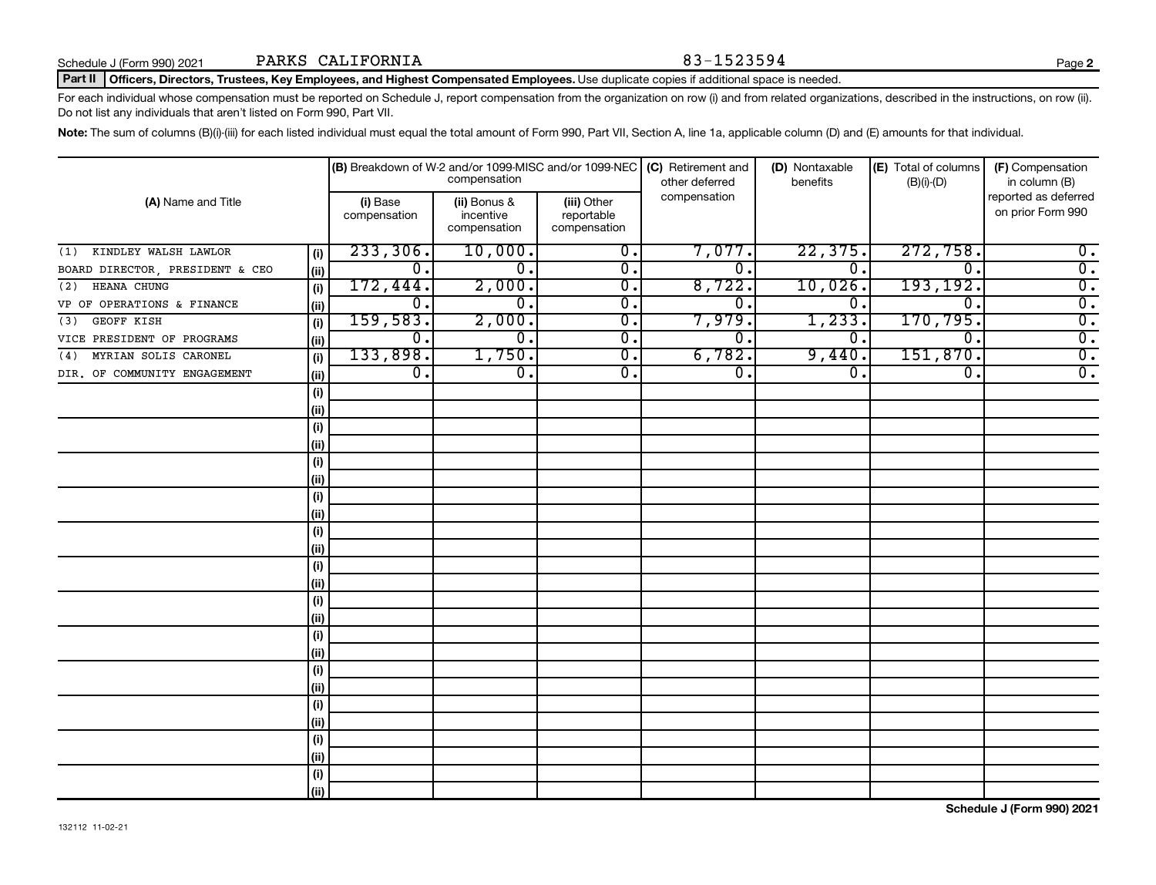### Part II | Officers, Directors, Trustees, Key Employees, and Highest Compensated Employees. Use duplicate copies if additional space is needed.

For each individual whose compensation must be reported on Schedule J, report compensation from the organization on row (i) and from related organizations, described in the instructions, on row (ii). Do not list any individuals that aren't listed on Form 990, Part VII.

Note: The sum of columns (B)(i)-(iii) for each listed individual must equal the total amount of Form 990, Part VII, Section A, line 1a, applicable column (D) and (E) amounts for that individual.

|                                 |      |                           | compensation                              |                                           | (B) Breakdown of W-2 and/or 1099-MISC and/or 1099-NEC (C) Retirement and<br>other deferred | (D) Nontaxable<br>benefits | (E) Total of columns<br>$(B)(i)-(D)$ | (F) Compensation<br>in column (B)         |
|---------------------------------|------|---------------------------|-------------------------------------------|-------------------------------------------|--------------------------------------------------------------------------------------------|----------------------------|--------------------------------------|-------------------------------------------|
| (A) Name and Title              |      | (i) Base<br>compensation  | (ii) Bonus &<br>incentive<br>compensation | (iii) Other<br>reportable<br>compensation | compensation                                                                               |                            |                                      | reported as deferred<br>on prior Form 990 |
| KINDLEY WALSH LAWLOR<br>(1)     | (i)  | 233,306.                  | 10,000.                                   | 0.                                        | 7,077.                                                                                     | 22,375.                    | 272,758.                             | $0$ .                                     |
| BOARD DIRECTOR, PRESIDENT & CEO | (ii) | $\overline{0}$ .          | $\overline{0}$ .                          | 0.                                        | $\overline{0}$ .                                                                           | $\overline{0}$ .           | $\overline{0}$                       | $\overline{0}$ .                          |
| HEANA CHUNG<br>(2)              | (i)  | 172,444.                  | 2,000.                                    | $\overline{0}$ .                          | 8,722.                                                                                     | 10,026.                    | 193, 192.                            | $\overline{0}$ .                          |
| VP OF OPERATIONS & FINANCE      | (ii) | $\overline{0}$ .          | 0.                                        | $\overline{0}$ .                          | 0.                                                                                         | 0.                         | $\overline{0}$ .                     | $\overline{0}$ .                          |
| GEOFF KISH<br>(3)               | (i)  | 159,583.                  | 2,000.                                    | $\overline{0}$ .                          | 7,979.                                                                                     | 1,233.                     | 170,795.                             | $\overline{0}$ .                          |
| VICE PRESIDENT OF PROGRAMS      | (ii) | $\overline{\mathbf{0}}$ . | 0.                                        | $\overline{0}$ .                          | 0.                                                                                         | 0.                         | $\overline{\mathfrak{o}}$ .          | $\overline{0}$ .                          |
| MYRIAN SOLIS CARONEL<br>(4)     | (i)  | 133,898.                  | 1,750.                                    | $\overline{0}$ .                          | 6,782.                                                                                     | 9,440                      | 151,870.                             | $\overline{0}$ .                          |
| DIR. OF COMMUNITY ENGAGEMENT    | (ii) | $\overline{\mathbf{0}}$ . | 0.                                        | 0.                                        | $\overline{0}$ .                                                                           | $\mathbf 0$ .              | 0.                                   | $\overline{0}$ .                          |
|                                 | (i)  |                           |                                           |                                           |                                                                                            |                            |                                      |                                           |
|                                 | (ii) |                           |                                           |                                           |                                                                                            |                            |                                      |                                           |
|                                 | (i)  |                           |                                           |                                           |                                                                                            |                            |                                      |                                           |
|                                 | (ii) |                           |                                           |                                           |                                                                                            |                            |                                      |                                           |
|                                 | (i)  |                           |                                           |                                           |                                                                                            |                            |                                      |                                           |
|                                 | (ii) |                           |                                           |                                           |                                                                                            |                            |                                      |                                           |
|                                 | (i)  |                           |                                           |                                           |                                                                                            |                            |                                      |                                           |
|                                 | (ii) |                           |                                           |                                           |                                                                                            |                            |                                      |                                           |
|                                 | (i)  |                           |                                           |                                           |                                                                                            |                            |                                      |                                           |
|                                 | (ii) |                           |                                           |                                           |                                                                                            |                            |                                      |                                           |
|                                 | (i)  |                           |                                           |                                           |                                                                                            |                            |                                      |                                           |
|                                 | (ii) |                           |                                           |                                           |                                                                                            |                            |                                      |                                           |
|                                 | (i)  |                           |                                           |                                           |                                                                                            |                            |                                      |                                           |
|                                 | (ii) |                           |                                           |                                           |                                                                                            |                            |                                      |                                           |
|                                 | (i)  |                           |                                           |                                           |                                                                                            |                            |                                      |                                           |
|                                 | (ii) |                           |                                           |                                           |                                                                                            |                            |                                      |                                           |
|                                 | (i)  |                           |                                           |                                           |                                                                                            |                            |                                      |                                           |
|                                 | (ii) |                           |                                           |                                           |                                                                                            |                            |                                      |                                           |
|                                 | (i)  |                           |                                           |                                           |                                                                                            |                            |                                      |                                           |
|                                 | (ii) |                           |                                           |                                           |                                                                                            |                            |                                      |                                           |
|                                 | (i)  |                           |                                           |                                           |                                                                                            |                            |                                      |                                           |
|                                 | (ii) |                           |                                           |                                           |                                                                                            |                            |                                      |                                           |
|                                 | (i)  |                           |                                           |                                           |                                                                                            |                            |                                      |                                           |
|                                 | (ii) |                           |                                           |                                           |                                                                                            |                            |                                      |                                           |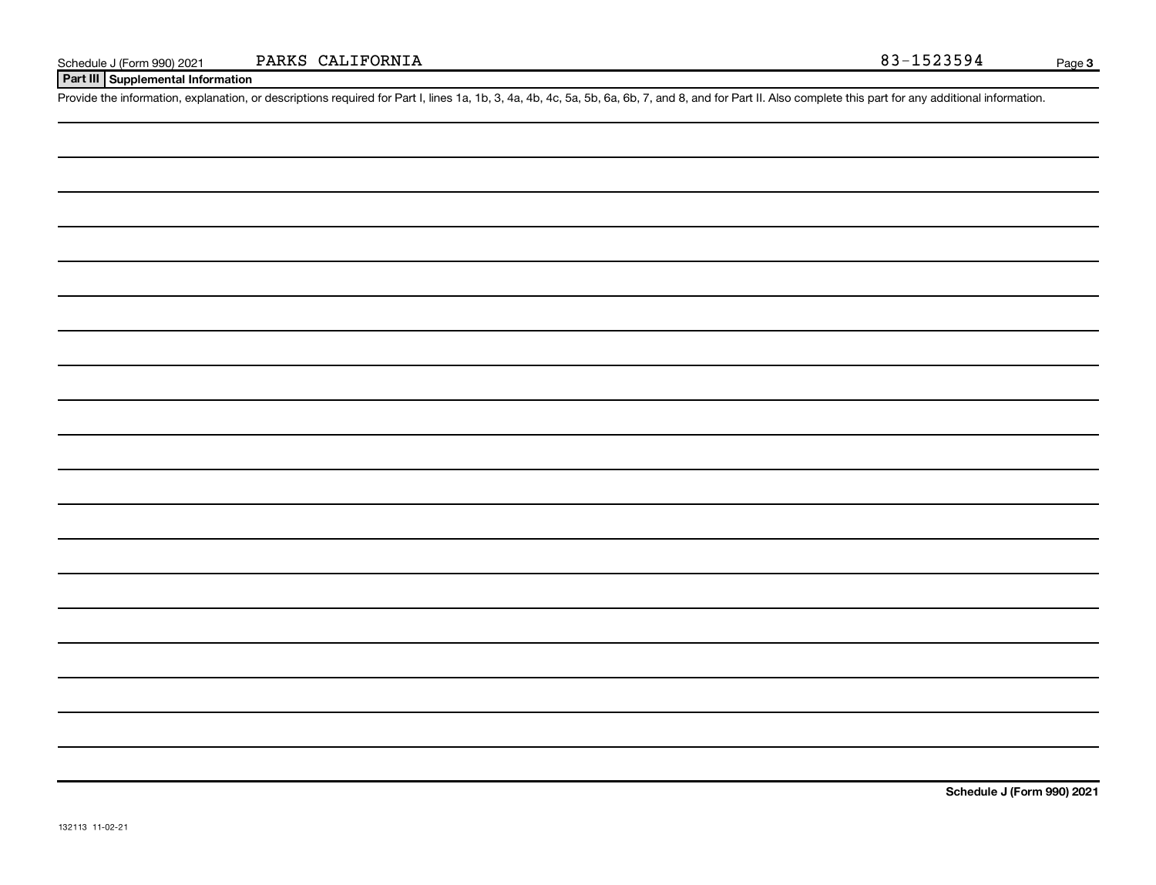**Part III Supplemental Information**

Provide the information, explanation, or descriptions required for Part I, lines 1a, 1b, 3, 4a, 4b, 4c, 5a, 5b, 6a, 6b, 7, and 8, and for Part II. Also complete this part for any additional information.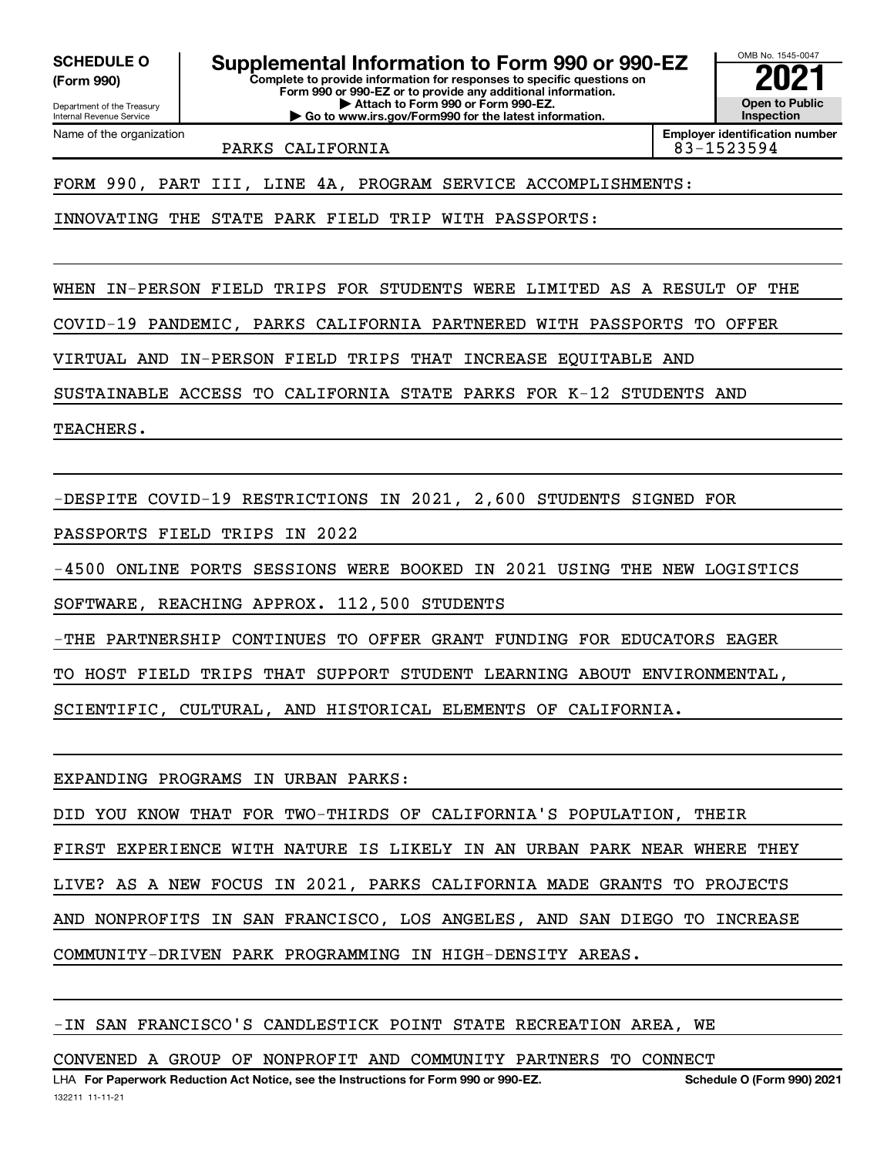**(Form 990)**

Department of the Treasury Internal Revenue Service

Name of the organization

**Complete to provide information for responses to specific questions on Form 990 or 990-EZ or to provide any additional information. | Attach to Form 990 or Form 990-EZ. SCHEDULE O Supplemental Information to Form 990 or 990-EZ**  $\frac{100000}{2}$ 

**| Go to www.irs.gov/Form990 for the latest information.**

OMB No. 1545-0047 **Open to Public Inspection**

PARKS CALIFORNIA  $\vert$  83-1523594

**Employer identification number**

FORM 990, PART III, LINE 4A, PROGRAM SERVICE ACCOMPLISHMENTS:

INNOVATING THE STATE PARK FIELD TRIP WITH PASSPORTS:

WHEN IN-PERSON FIELD TRIPS FOR STUDENTS WERE LIMITED AS A RESULT OF THE

COVID-19 PANDEMIC, PARKS CALIFORNIA PARTNERED WITH PASSPORTS TO OFFER

VIRTUAL AND IN-PERSON FIELD TRIPS THAT INCREASE EQUITABLE AND

SUSTAINABLE ACCESS TO CALIFORNIA STATE PARKS FOR K-12 STUDENTS AND

TEACHERS.

-DESPITE COVID-19 RESTRICTIONS IN 2021, 2,600 STUDENTS SIGNED FOR

PASSPORTS FIELD TRIPS IN 2022

-4500 ONLINE PORTS SESSIONS WERE BOOKED IN 2021 USING THE NEW LOGISTICS

SOFTWARE, REACHING APPROX. 112,500 STUDENTS

-THE PARTNERSHIP CONTINUES TO OFFER GRANT FUNDING FOR EDUCATORS EAGER

TO HOST FIELD TRIPS THAT SUPPORT STUDENT LEARNING ABOUT ENVIRONMENTAL,

SCIENTIFIC, CULTURAL, AND HISTORICAL ELEMENTS OF CALIFORNIA.

EXPANDING PROGRAMS IN URBAN PARKS:

DID YOU KNOW THAT FOR TWO-THIRDS OF CALIFORNIA'S POPULATION, THEIR

FIRST EXPERIENCE WITH NATURE IS LIKELY IN AN URBAN PARK NEAR WHERE THEY

LIVE? AS A NEW FOCUS IN 2021, PARKS CALIFORNIA MADE GRANTS TO PROJECTS

AND NONPROFITS IN SAN FRANCISCO, LOS ANGELES, AND SAN DIEGO TO INCREASE

COMMUNITY-DRIVEN PARK PROGRAMMING IN HIGH-DENSITY AREAS.

## -IN SAN FRANCISCO'S CANDLESTICK POINT STATE RECREATION AREA, WE

CONVENED A GROUP OF NONPROFIT AND COMMUNITY PARTNERS TO CONNECT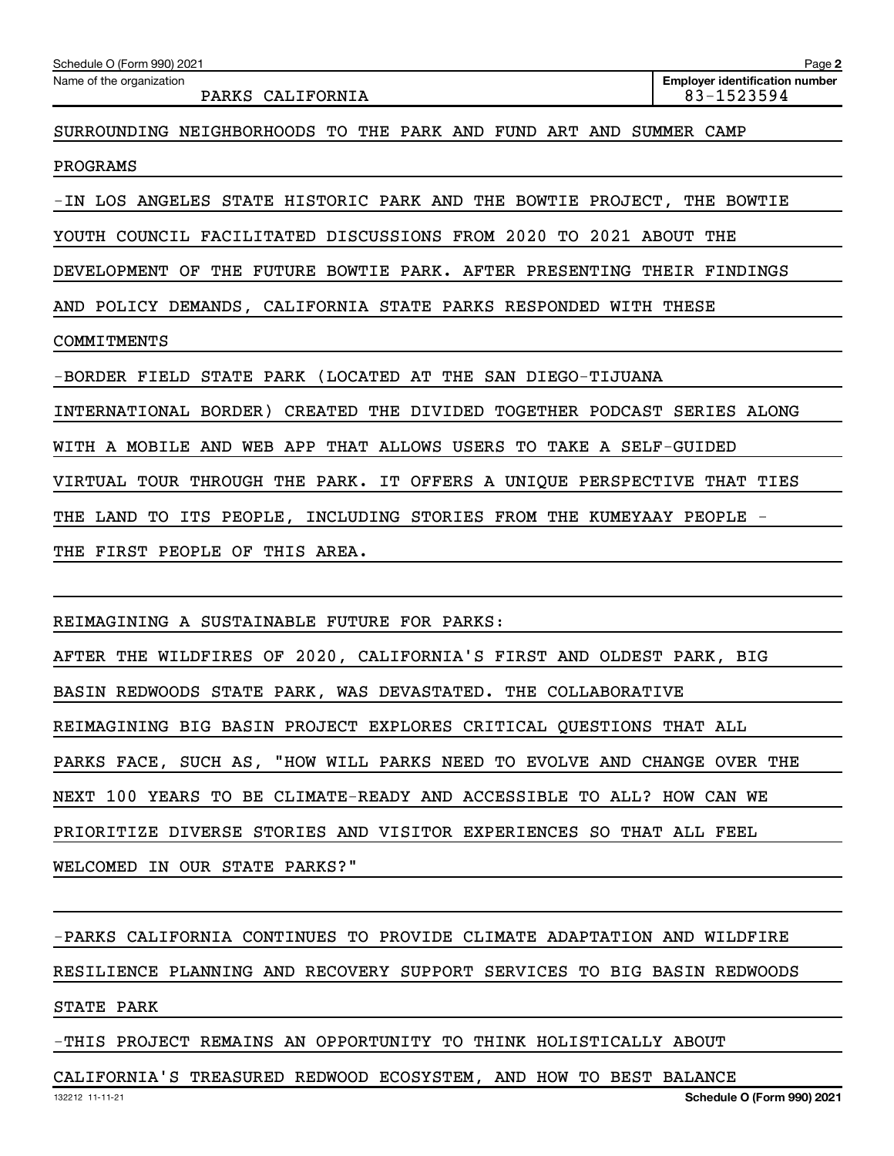| Schedule O (Form 990) 2021                                              | Page 2                                              |
|-------------------------------------------------------------------------|-----------------------------------------------------|
| Name of the organization<br>PARKS CALIFORNIA                            | <b>Employer identification number</b><br>83-1523594 |
| SURROUNDING NEIGHBORHOODS TO THE PARK AND FUND ART AND SUMMER CAMP      |                                                     |
| PROGRAMS                                                                |                                                     |
| -IN LOS ANGELES STATE HISTORIC PARK AND THE BOWTIE PROJECT, THE BOWTIE  |                                                     |
| YOUTH COUNCIL FACILITATED DISCUSSIONS FROM 2020 TO 2021 ABOUT THE       |                                                     |
| DEVELOPMENT OF THE FUTURE BOWTIE PARK. AFTER PRESENTING THEIR FINDINGS  |                                                     |
| AND POLICY DEMANDS, CALIFORNIA STATE PARKS RESPONDED WITH THESE         |                                                     |
| COMMITMENTS                                                             |                                                     |
| -BORDER FIELD STATE PARK (LOCATED AT THE SAN DIEGO-TIJUANA              |                                                     |
| INTERNATIONAL BORDER) CREATED THE DIVIDED TOGETHER PODCAST SERIES ALONG |                                                     |
| WITH A MOBILE AND WEB APP THAT ALLOWS USERS TO TAKE A SELF-GUIDED       |                                                     |
| VIRTUAL TOUR THROUGH THE PARK. IT OFFERS A UNIQUE PERSPECTIVE THAT TIES |                                                     |
| THE LAND TO ITS PEOPLE, INCLUDING STORIES FROM THE KUMEYAAY PEOPLE -    |                                                     |
| THE FIRST PEOPLE OF THIS AREA.                                          |                                                     |
|                                                                         |                                                     |
| REIMAGINING A SUSTAINABLE FUTURE FOR PARKS:                             |                                                     |
| AFTER THE WILDFIRES OF 2020, CALIFORNIA'S FIRST AND OLDEST PARK, BIG    |                                                     |
| BASIN REDWOODS STATE PARK, WAS DEVASTATED. THE COLLABORATIVE            |                                                     |
| REIMAGINING BIG BASIN PROJECT EXPLORES CRITICAL QUESTIONS THAT ALL      |                                                     |
| PARKS FACE, SUCH AS, "HOW WILL PARKS NEED TO EVOLVE AND CHANGE OVER THE |                                                     |
| NEXT 100 YEARS TO BE CLIMATE-READY AND ACCESSIBLE TO ALL? HOW CAN WE    |                                                     |
| PRIORITIZE DIVERSE STORIES AND VISITOR EXPERIENCES SO THAT ALL FEEL     |                                                     |
| WELCOMED IN OUR STATE PARKS?"                                           |                                                     |
| -PARKS CALIFORNIA CONTINUES TO PROVIDE CLIMATE ADAPTATION AND WILDFIRE  |                                                     |
| RESILIENCE PLANNING AND RECOVERY SUPPORT SERVICES TO BIG BASIN REDWOODS |                                                     |

STATE PARK

-THIS PROJECT REMAINS AN OPPORTUNITY TO THINK HOLISTICALLY ABOUT

132212 11-11-21 CALIFORNIA'S TREASURED REDWOOD ECOSYSTEM, AND HOW TO BEST BALANCE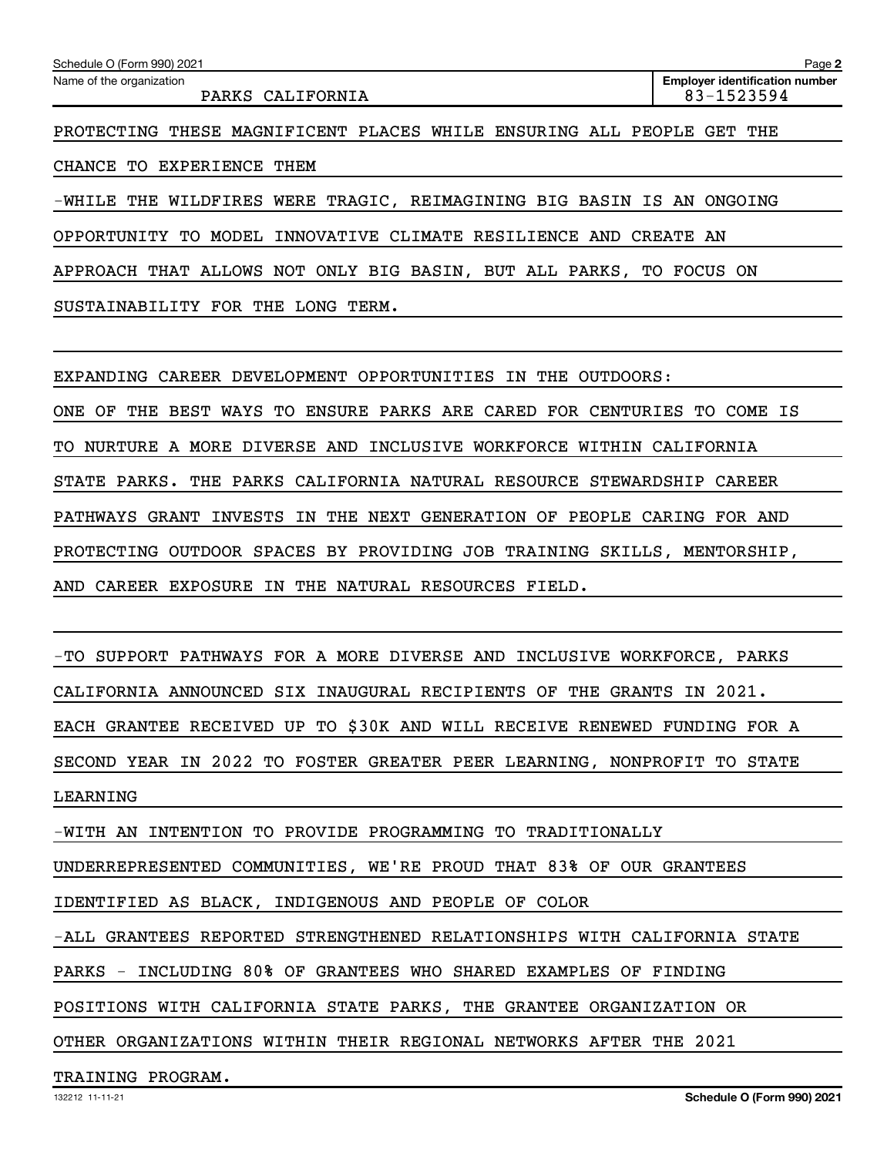| Schedule O (Form 990) 2021<br>Name of the organization                | Page 2<br><b>Employer identification number</b> |
|-----------------------------------------------------------------------|-------------------------------------------------|
| PARKS CALIFORNIA                                                      | 83-1523594                                      |
| PROTECTING THESE MAGNIFICENT PLACES WHILE ENSURING ALL PEOPLE GET THE |                                                 |
| CHANCE TO EXPERIENCE THEM                                             |                                                 |

-WHILE THE WILDFIRES WERE TRAGIC, REIMAGINING BIG BASIN IS AN ONGOING

OPPORTUNITY TO MODEL INNOVATIVE CLIMATE RESILIENCE AND CREATE AN

APPROACH THAT ALLOWS NOT ONLY BIG BASIN, BUT ALL PARKS, TO FOCUS ON

SUSTAINABILITY FOR THE LONG TERM.

EXPANDING CAREER DEVELOPMENT OPPORTUNITIES IN THE OUTDOORS:

ONE OF THE BEST WAYS TO ENSURE PARKS ARE CARED FOR CENTURIES TO COME IS

TO NURTURE A MORE DIVERSE AND INCLUSIVE WORKFORCE WITHIN CALIFORNIA

STATE PARKS. THE PARKS CALIFORNIA NATURAL RESOURCE STEWARDSHIP CAREER

PATHWAYS GRANT INVESTS IN THE NEXT GENERATION OF PEOPLE CARING FOR AND

PROTECTING OUTDOOR SPACES BY PROVIDING JOB TRAINING SKILLS, MENTORSHIP,

AND CAREER EXPOSURE IN THE NATURAL RESOURCES FIELD.

-TO SUPPORT PATHWAYS FOR A MORE DIVERSE AND INCLUSIVE WORKFORCE, PARKS CALIFORNIA ANNOUNCED SIX INAUGURAL RECIPIENTS OF THE GRANTS IN 2021. EACH GRANTEE RECEIVED UP TO \$30K AND WILL RECEIVE RENEWED FUNDING FOR A SECOND YEAR IN 2022 TO FOSTER GREATER PEER LEARNING, NONPROFIT TO STATE LEARNING

-WITH AN INTENTION TO PROVIDE PROGRAMMING TO TRADITIONALLY

UNDERREPRESENTED COMMUNITIES, WE'RE PROUD THAT 83% OF OUR GRANTEES

IDENTIFIED AS BLACK, INDIGENOUS AND PEOPLE OF COLOR

-ALL GRANTEES REPORTED STRENGTHENED RELATIONSHIPS WITH CALIFORNIA STATE

PARKS - INCLUDING 80% OF GRANTEES WHO SHARED EXAMPLES OF FINDING

POSITIONS WITH CALIFORNIA STATE PARKS, THE GRANTEE ORGANIZATION OR

OTHER ORGANIZATIONS WITHIN THEIR REGIONAL NETWORKS AFTER THE 2021

TRAINING PROGRAM.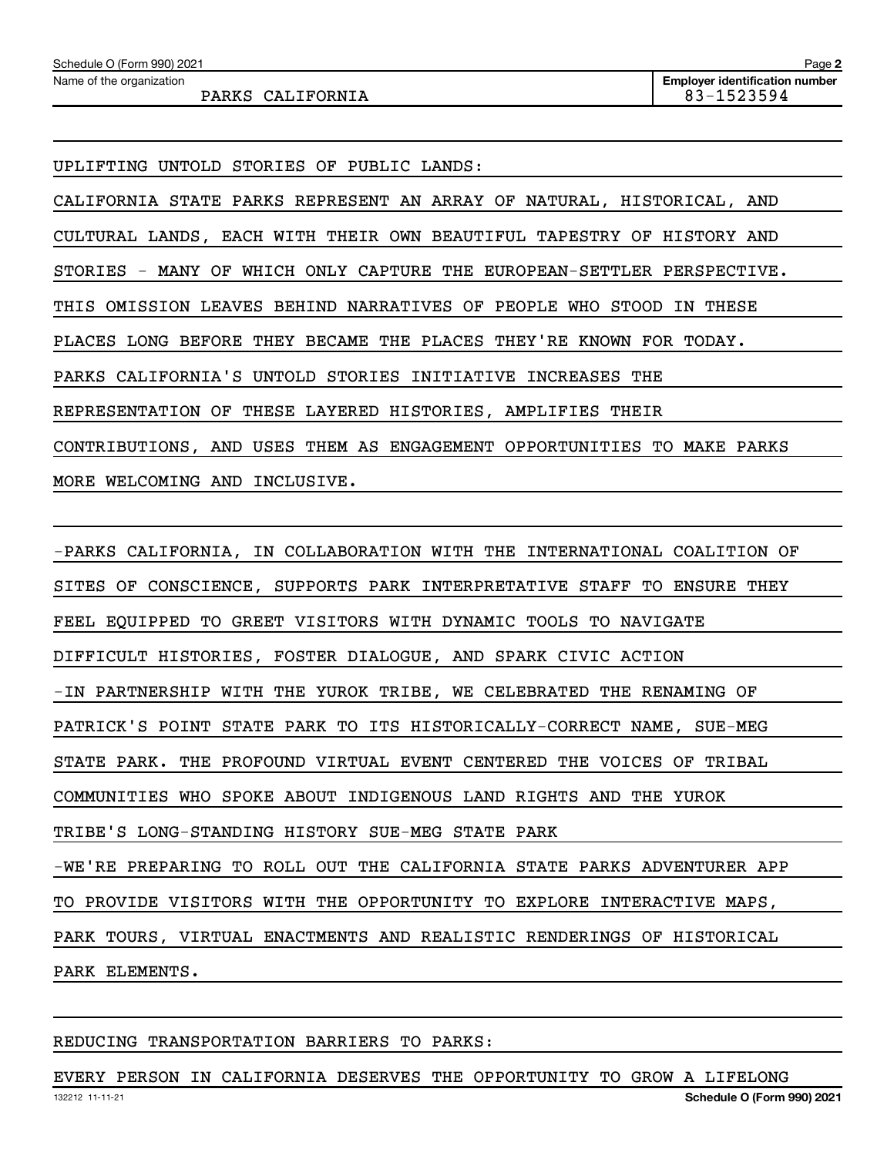| Schedule O (Form 990) 2021 | Page 2                                |
|----------------------------|---------------------------------------|
| Name of the organization   | <b>Employer identification number</b> |
| PARKS<br>CALIFORNIA        | 83-1523594                            |

UPLIFTING UNTOLD STORIES OF PUBLIC LANDS:

CALIFORNIA STATE PARKS REPRESENT AN ARRAY OF NATURAL, HISTORICAL, AND CULTURAL LANDS, EACH WITH THEIR OWN BEAUTIFUL TAPESTRY OF HISTORY AND STORIES - MANY OF WHICH ONLY CAPTURE THE EUROPEAN-SETTLER PERSPECTIVE. THIS OMISSION LEAVES BEHIND NARRATIVES OF PEOPLE WHO STOOD IN THESE PLACES LONG BEFORE THEY BECAME THE PLACES THEY'RE KNOWN FOR TODAY. PARKS CALIFORNIA'S UNTOLD STORIES INITIATIVE INCREASES THE REPRESENTATION OF THESE LAYERED HISTORIES, AMPLIFIES THEIR CONTRIBUTIONS, AND USES THEM AS ENGAGEMENT OPPORTUNITIES TO MAKE PARKS MORE WELCOMING AND INCLUSIVE.

-PARKS CALIFORNIA, IN COLLABORATION WITH THE INTERNATIONAL COALITION OF SITES OF CONSCIENCE, SUPPORTS PARK INTERPRETATIVE STAFF TO ENSURE THEY FEEL EQUIPPED TO GREET VISITORS WITH DYNAMIC TOOLS TO NAVIGATE DIFFICULT HISTORIES, FOSTER DIALOGUE, AND SPARK CIVIC ACTION -IN PARTNERSHIP WITH THE YUROK TRIBE, WE CELEBRATED THE RENAMING OF PATRICK'S POINT STATE PARK TO ITS HISTORICALLY-CORRECT NAME, SUE-MEG STATE PARK. THE PROFOUND VIRTUAL EVENT CENTERED THE VOICES OF TRIBAL COMMUNITIES WHO SPOKE ABOUT INDIGENOUS LAND RIGHTS AND THE YUROK TRIBE'S LONG-STANDING HISTORY SUE-MEG STATE PARK -WE'RE PREPARING TO ROLL OUT THE CALIFORNIA STATE PARKS ADVENTURER APP TO PROVIDE VISITORS WITH THE OPPORTUNITY TO EXPLORE INTERACTIVE MAPS, PARK TOURS, VIRTUAL ENACTMENTS AND REALISTIC RENDERINGS OF HISTORICAL PARK ELEMENTS.

### REDUCING TRANSPORTATION BARRIERS TO PARKS:

EVERY PERSON IN CALIFORNIA DESERVES THE OPPORTUNITY TO GROW A LIFELONG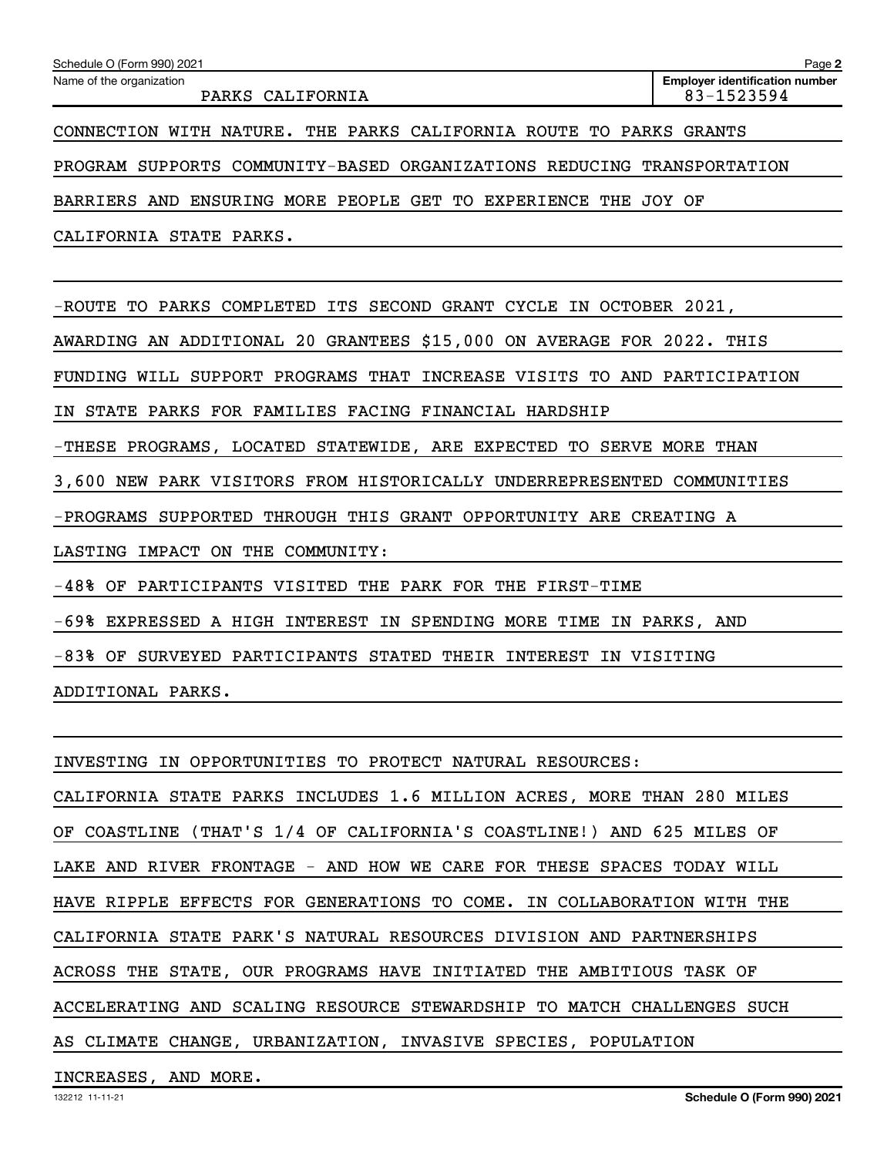|                                                                            | <b>Employer identification number</b> |
|----------------------------------------------------------------------------|---------------------------------------|
| Name of the organization<br>PARKS CALIFORNIA                               | 83-1523594                            |
|                                                                            |                                       |
| CONNECTION WITH NATURE. THE PARKS CALIFORNIA ROUTE TO PARKS GRANTS         |                                       |
| PROGRAM SUPPORTS COMMUNITY-BASED ORGANIZATIONS REDUCING TRANSPORTATION     |                                       |
| ENSURING MORE PEOPLE GET<br>TO EXPERIENCE<br><b>BARRIERS AND</b><br>THE    | JOY OF                                |
| CALIFORNIA STATE PARKS.                                                    |                                       |
|                                                                            |                                       |
| COMPLETED ITS SECOND GRANT CYCLE IN OCTOBER 2021,<br>-ROUTE TO PARKS       |                                       |
| AWARDING AN ADDITIONAL 20 GRANTEES \$15,000 ON AVERAGE FOR 2022. THIS      |                                       |
|                                                                            |                                       |
| SUPPORT PROGRAMS THAT INCREASE VISITS TO AND PARTICIPATION<br>FUNDING WILL |                                       |
| IN STATE PARKS FOR FAMILIES FACING FINANCIAL HARDSHIP                      |                                       |
| -THESE PROGRAMS, LOCATED STATEWIDE, ARE EXPECTED TO SERVE MORE THAN        |                                       |

LASTING IMPACT ON THE COMMUNITY:

-48% OF PARTICIPANTS VISITED THE PARK FOR THE FIRST-TIME

-69% EXPRESSED A HIGH INTEREST IN SPENDING MORE TIME IN PARKS, AND

-83% OF SURVEYED PARTICIPANTS STATED THEIR INTEREST IN VISITING

ADDITIONAL PARKS.

INVESTING IN OPPORTUNITIES TO PROTECT NATURAL RESOURCES: CALIFORNIA STATE PARKS INCLUDES 1.6 MILLION ACRES, MORE THAN 280 MILES OF COASTLINE (THAT'S 1/4 OF CALIFORNIA'S COASTLINE!) AND 625 MILES OF LAKE AND RIVER FRONTAGE - AND HOW WE CARE FOR THESE SPACES TODAY WILL HAVE RIPPLE EFFECTS FOR GENERATIONS TO COME. IN COLLABORATION WITH THE CALIFORNIA STATE PARK'S NATURAL RESOURCES DIVISION AND PARTNERSHIPS ACROSS THE STATE, OUR PROGRAMS HAVE INITIATED THE AMBITIOUS TASK OF ACCELERATING AND SCALING RESOURCE STEWARDSHIP TO MATCH CHALLENGES SUCH AS CLIMATE CHANGE, URBANIZATION, INVASIVE SPECIES, POPULATION

## INCREASES, AND MORE.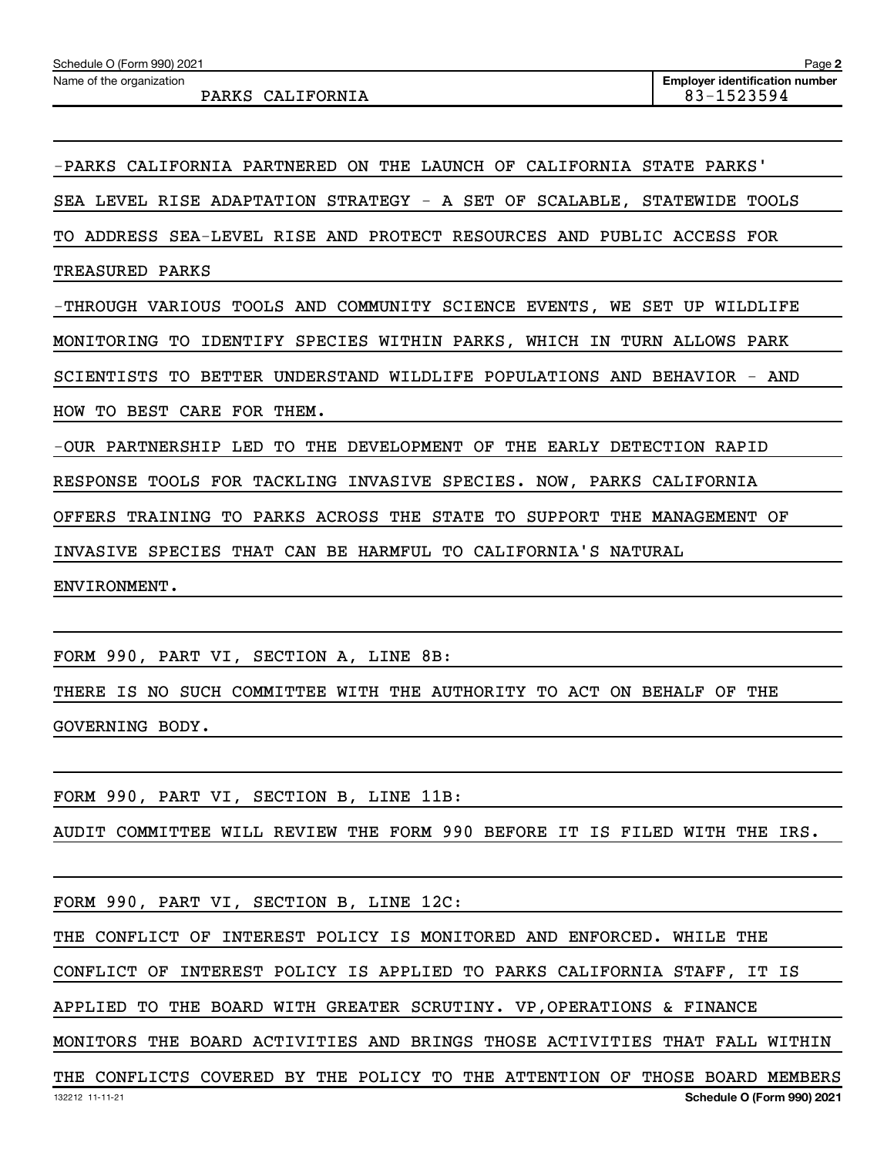-PARKS CALIFORNIA PARTNERED ON THE LAUNCH OF CALIFORNIA STATE PARKS'

SEA LEVEL RISE ADAPTATION STRATEGY - A SET OF SCALABLE, STATEWIDE TOOLS

TO ADDRESS SEA-LEVEL RISE AND PROTECT RESOURCES AND PUBLIC ACCESS FOR

TREASURED PARKS

-THROUGH VARIOUS TOOLS AND COMMUNITY SCIENCE EVENTS, WE SET UP WILDLIFE

MONITORING TO IDENTIFY SPECIES WITHIN PARKS, WHICH IN TURN ALLOWS PARK

SCIENTISTS TO BETTER UNDERSTAND WILDLIFE POPULATIONS AND BEHAVIOR - AND

HOW TO BEST CARE FOR THEM.

-OUR PARTNERSHIP LED TO THE DEVELOPMENT OF THE EARLY DETECTION RAPID

RESPONSE TOOLS FOR TACKLING INVASIVE SPECIES. NOW, PARKS CALIFORNIA

OFFERS TRAINING TO PARKS ACROSS THE STATE TO SUPPORT THE MANAGEMENT OF

INVASIVE SPECIES THAT CAN BE HARMFUL TO CALIFORNIA'S NATURAL

ENVIRONMENT.

FORM 990, PART VI, SECTION A, LINE 8B:

THERE IS NO SUCH COMMITTEE WITH THE AUTHORITY TO ACT ON BEHALF OF THE GOVERNING BODY.

FORM 990, PART VI, SECTION B, LINE 11B:

AUDIT COMMITTEE WILL REVIEW THE FORM 990 BEFORE IT IS FILED WITH THE IRS.

FORM 990, PART VI, SECTION B, LINE 12C:

THE CONFLICT OF INTEREST POLICY IS MONITORED AND ENFORCED. WHILE THE

CONFLICT OF INTEREST POLICY IS APPLIED TO PARKS CALIFORNIA STAFF, IT IS

APPLIED TO THE BOARD WITH GREATER SCRUTINY. VP,OPERATIONS & FINANCE

MONITORS THE BOARD ACTIVITIES AND BRINGS THOSE ACTIVITIES THAT FALL WITHIN

132212 11-11-21 **Schedule O (Form 990) 2021** THE CONFLICTS COVERED BY THE POLICY TO THE ATTENTION OF THOSE BOARD MEMBERS